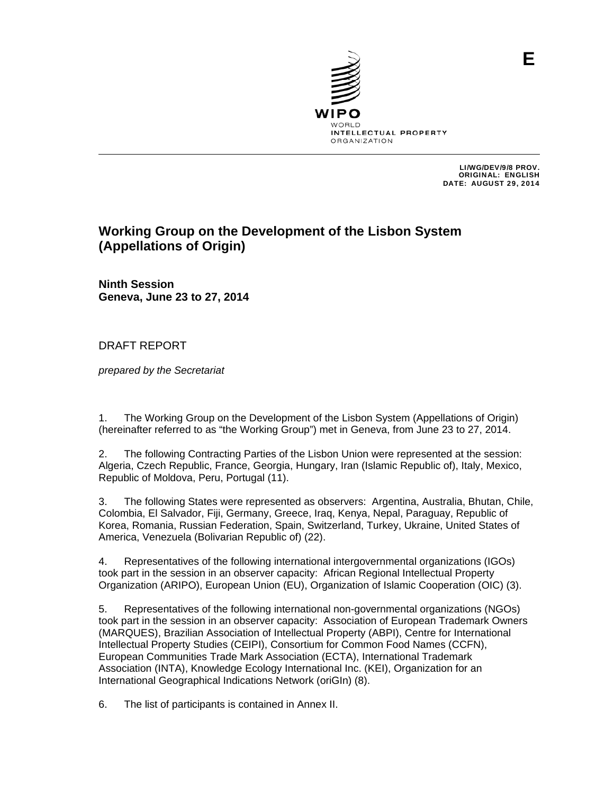

 LI/WG/DEV/9/8 PROV. ORIGINAL: ENGLISH DATE: AUGUST 29, 2014

# **Working Group on the Development of the Lisbon System (Appellations of Origin)**

**Ninth Session Geneva, June 23 to 27, 2014**

# DRAFT REPORT

*prepared by the Secretariat* 

1. The Working Group on the Development of the Lisbon System (Appellations of Origin) (hereinafter referred to as "the Working Group") met in Geneva, from June 23 to 27, 2014.

2. The following Contracting Parties of the Lisbon Union were represented at the session: Algeria, Czech Republic, France, Georgia, Hungary, Iran (Islamic Republic of), Italy, Mexico, Republic of Moldova, Peru, Portugal (11).

3. The following States were represented as observers: Argentina, Australia, Bhutan, Chile, Colombia, El Salvador, Fiji, Germany, Greece, Iraq, Kenya, Nepal, Paraguay, Republic of Korea, Romania, Russian Federation, Spain, Switzerland, Turkey, Ukraine, United States of America, Venezuela (Bolivarian Republic of) (22).

4. Representatives of the following international intergovernmental organizations (IGOs) took part in the session in an observer capacity: African Regional Intellectual Property Organization (ARIPO), European Union (EU), Organization of Islamic Cooperation (OIC) (3).

5. Representatives of the following international non-governmental organizations (NGOs) took part in the session in an observer capacity: Association of European Trademark Owners (MARQUES), Brazilian Association of Intellectual Property (ABPI), Centre for International Intellectual Property Studies (CEIPI), Consortium for Common Food Names (CCFN), European Communities Trade Mark Association (ECTA), International Trademark Association (INTA), Knowledge Ecology International Inc. (KEI), Organization for an International Geographical Indications Network (oriGIn) (8).

6. The list of participants is contained in Annex II.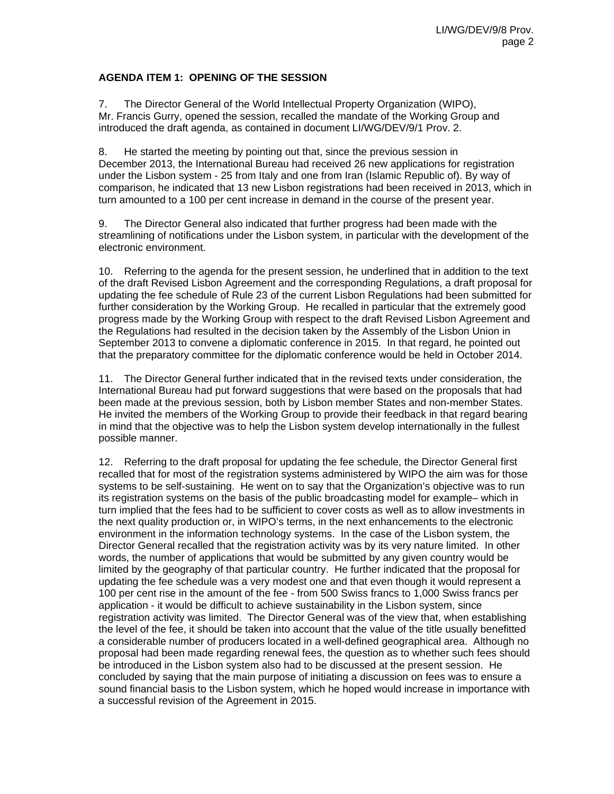## **AGENDA ITEM 1: OPENING OF THE SESSION**

7. The Director General of the World Intellectual Property Organization (WIPO), Mr. Francis Gurry, opened the session, recalled the mandate of the Working Group and introduced the draft agenda, as contained in document LI/WG/DEV/9/1 Prov. 2.

8. He started the meeting by pointing out that, since the previous session in December 2013, the International Bureau had received 26 new applications for registration under the Lisbon system - 25 from Italy and one from Iran (Islamic Republic of). By way of comparison, he indicated that 13 new Lisbon registrations had been received in 2013, which in turn amounted to a 100 per cent increase in demand in the course of the present year.

9. The Director General also indicated that further progress had been made with the streamlining of notifications under the Lisbon system, in particular with the development of the electronic environment.

10. Referring to the agenda for the present session, he underlined that in addition to the text of the draft Revised Lisbon Agreement and the corresponding Regulations, a draft proposal for updating the fee schedule of Rule 23 of the current Lisbon Regulations had been submitted for further consideration by the Working Group. He recalled in particular that the extremely good progress made by the Working Group with respect to the draft Revised Lisbon Agreement and the Regulations had resulted in the decision taken by the Assembly of the Lisbon Union in September 2013 to convene a diplomatic conference in 2015. In that regard, he pointed out that the preparatory committee for the diplomatic conference would be held in October 2014.

11. The Director General further indicated that in the revised texts under consideration, the International Bureau had put forward suggestions that were based on the proposals that had been made at the previous session, both by Lisbon member States and non-member States. He invited the members of the Working Group to provide their feedback in that regard bearing in mind that the objective was to help the Lisbon system develop internationally in the fullest possible manner.

12. Referring to the draft proposal for updating the fee schedule, the Director General first recalled that for most of the registration systems administered by WIPO the aim was for those systems to be self-sustaining. He went on to say that the Organization's objective was to run its registration systems on the basis of the public broadcasting model for example– which in turn implied that the fees had to be sufficient to cover costs as well as to allow investments in the next quality production or, in WIPO's terms, in the next enhancements to the electronic environment in the information technology systems. In the case of the Lisbon system, the Director General recalled that the registration activity was by its very nature limited. In other words, the number of applications that would be submitted by any given country would be limited by the geography of that particular country. He further indicated that the proposal for updating the fee schedule was a very modest one and that even though it would represent a 100 per cent rise in the amount of the fee - from 500 Swiss francs to 1,000 Swiss francs per application - it would be difficult to achieve sustainability in the Lisbon system, since registration activity was limited. The Director General was of the view that, when establishing the level of the fee, it should be taken into account that the value of the title usually benefitted a considerable number of producers located in a well-defined geographical area. Although no proposal had been made regarding renewal fees, the question as to whether such fees should be introduced in the Lisbon system also had to be discussed at the present session. He concluded by saying that the main purpose of initiating a discussion on fees was to ensure a sound financial basis to the Lisbon system, which he hoped would increase in importance with a successful revision of the Agreement in 2015.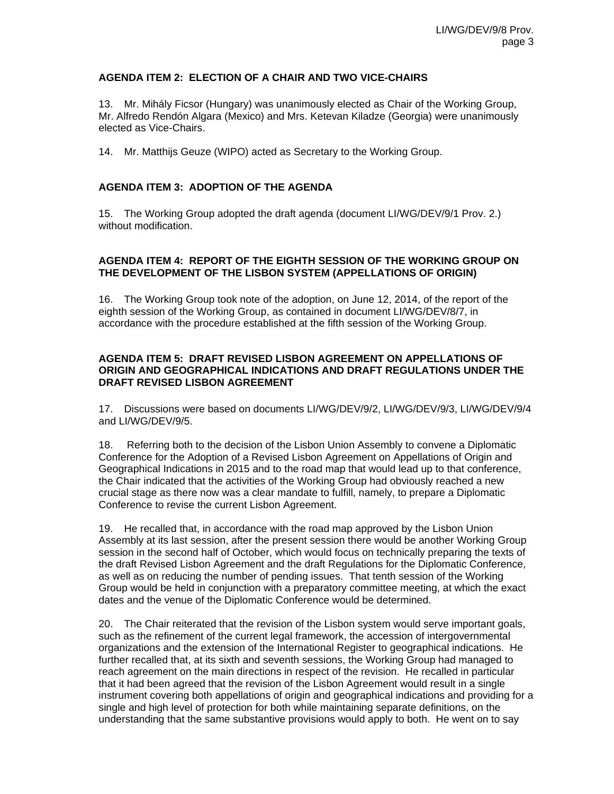## **AGENDA ITEM 2: ELECTION OF A CHAIR AND TWO VICE-CHAIRS**

13. Mr. Mihály Ficsor (Hungary) was unanimously elected as Chair of the Working Group, Mr. Alfredo Rendón Algara (Mexico) and Mrs. Ketevan Kiladze (Georgia) were unanimously elected as Vice-Chairs.

14. Mr. Matthijs Geuze (WIPO) acted as Secretary to the Working Group.

## **AGENDA ITEM 3: ADOPTION OF THE AGENDA**

15. The Working Group adopted the draft agenda (document LI/WG/DEV/9/1 Prov. 2.) without modification.

## **AGENDA ITEM 4: REPORT OF THE EIGHTH SESSION OF THE WORKING GROUP ON THE DEVELOPMENT OF THE LISBON SYSTEM (APPELLATIONS OF ORIGIN)**

16. The Working Group took note of the adoption, on June 12, 2014, of the report of the eighth session of the Working Group, as contained in document LI/WG/DEV/8/7, in accordance with the procedure established at the fifth session of the Working Group.

## **AGENDA ITEM 5: DRAFT REVISED LISBON AGREEMENT ON APPELLATIONS OF ORIGIN AND GEOGRAPHICAL INDICATIONS AND DRAFT REGULATIONS UNDER THE DRAFT REVISED LISBON AGREEMENT**

17. Discussions were based on documents LI/WG/DEV/9/2, LI/WG/DEV/9/3, LI/WG/DEV/9/4 and LI/WG/DEV/9/5.

18. Referring both to the decision of the Lisbon Union Assembly to convene a Diplomatic Conference for the Adoption of a Revised Lisbon Agreement on Appellations of Origin and Geographical Indications in 2015 and to the road map that would lead up to that conference, the Chair indicated that the activities of the Working Group had obviously reached a new crucial stage as there now was a clear mandate to fulfill, namely, to prepare a Diplomatic Conference to revise the current Lisbon Agreement.

19. He recalled that, in accordance with the road map approved by the Lisbon Union Assembly at its last session, after the present session there would be another Working Group session in the second half of October, which would focus on technically preparing the texts of the draft Revised Lisbon Agreement and the draft Regulations for the Diplomatic Conference, as well as on reducing the number of pending issues. That tenth session of the Working Group would be held in conjunction with a preparatory committee meeting, at which the exact dates and the venue of the Diplomatic Conference would be determined.

20. The Chair reiterated that the revision of the Lisbon system would serve important goals, such as the refinement of the current legal framework, the accession of intergovernmental organizations and the extension of the International Register to geographical indications. He further recalled that, at its sixth and seventh sessions, the Working Group had managed to reach agreement on the main directions in respect of the revision. He recalled in particular that it had been agreed that the revision of the Lisbon Agreement would result in a single instrument covering both appellations of origin and geographical indications and providing for a single and high level of protection for both while maintaining separate definitions, on the understanding that the same substantive provisions would apply to both. He went on to say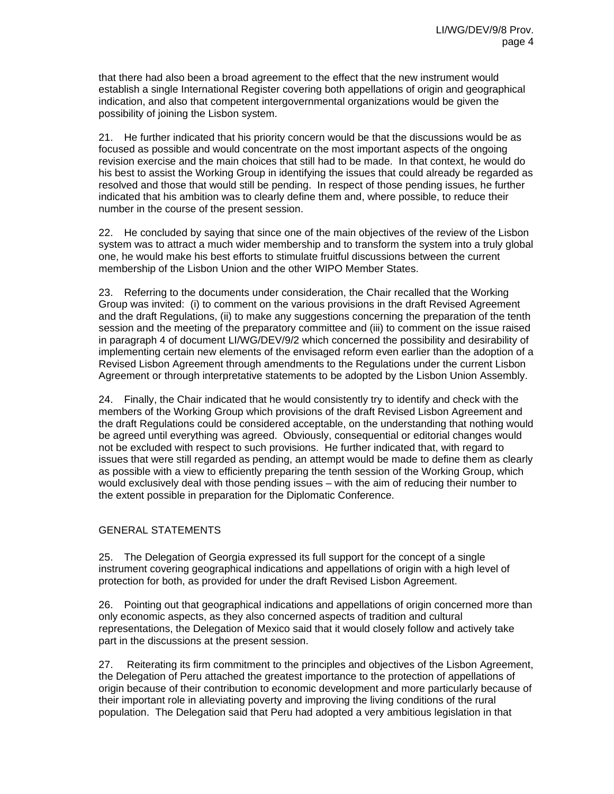that there had also been a broad agreement to the effect that the new instrument would establish a single International Register covering both appellations of origin and geographical indication, and also that competent intergovernmental organizations would be given the possibility of joining the Lisbon system.

21. He further indicated that his priority concern would be that the discussions would be as focused as possible and would concentrate on the most important aspects of the ongoing revision exercise and the main choices that still had to be made. In that context, he would do his best to assist the Working Group in identifying the issues that could already be regarded as resolved and those that would still be pending. In respect of those pending issues, he further indicated that his ambition was to clearly define them and, where possible, to reduce their number in the course of the present session.

22. He concluded by saying that since one of the main objectives of the review of the Lisbon system was to attract a much wider membership and to transform the system into a truly global one, he would make his best efforts to stimulate fruitful discussions between the current membership of the Lisbon Union and the other WIPO Member States.

23. Referring to the documents under consideration, the Chair recalled that the Working Group was invited: (i) to comment on the various provisions in the draft Revised Agreement and the draft Regulations, (ii) to make any suggestions concerning the preparation of the tenth session and the meeting of the preparatory committee and (iii) to comment on the issue raised in paragraph 4 of document LI/WG/DEV/9/2 which concerned the possibility and desirability of implementing certain new elements of the envisaged reform even earlier than the adoption of a Revised Lisbon Agreement through amendments to the Regulations under the current Lisbon Agreement or through interpretative statements to be adopted by the Lisbon Union Assembly.

24. Finally, the Chair indicated that he would consistently try to identify and check with the members of the Working Group which provisions of the draft Revised Lisbon Agreement and the draft Regulations could be considered acceptable, on the understanding that nothing would be agreed until everything was agreed. Obviously, consequential or editorial changes would not be excluded with respect to such provisions. He further indicated that, with regard to issues that were still regarded as pending, an attempt would be made to define them as clearly as possible with a view to efficiently preparing the tenth session of the Working Group, which would exclusively deal with those pending issues – with the aim of reducing their number to the extent possible in preparation for the Diplomatic Conference.

# GENERAL STATEMENTS

25. The Delegation of Georgia expressed its full support for the concept of a single instrument covering geographical indications and appellations of origin with a high level of protection for both, as provided for under the draft Revised Lisbon Agreement.

26. Pointing out that geographical indications and appellations of origin concerned more than only economic aspects, as they also concerned aspects of tradition and cultural representations, the Delegation of Mexico said that it would closely follow and actively take part in the discussions at the present session.

27. Reiterating its firm commitment to the principles and objectives of the Lisbon Agreement, the Delegation of Peru attached the greatest importance to the protection of appellations of origin because of their contribution to economic development and more particularly because of their important role in alleviating poverty and improving the living conditions of the rural population. The Delegation said that Peru had adopted a very ambitious legislation in that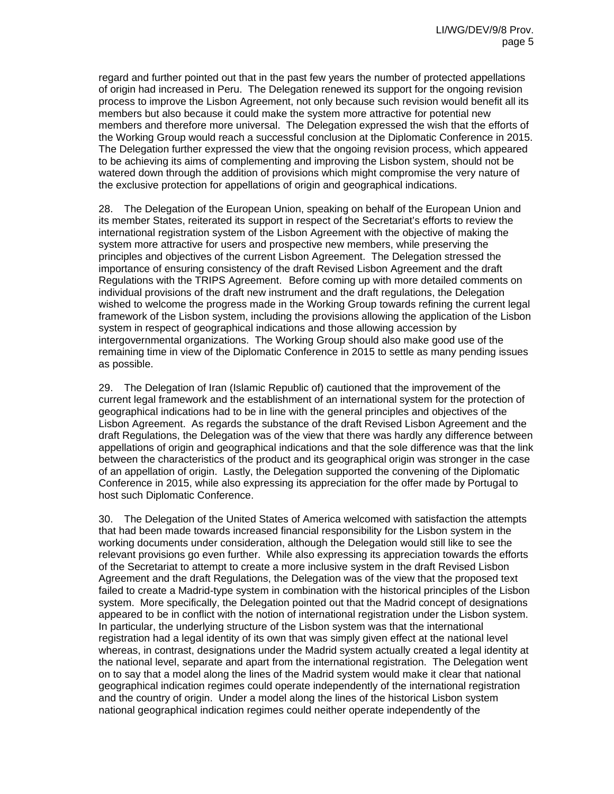regard and further pointed out that in the past few years the number of protected appellations of origin had increased in Peru. The Delegation renewed its support for the ongoing revision process to improve the Lisbon Agreement, not only because such revision would benefit all its members but also because it could make the system more attractive for potential new members and therefore more universal. The Delegation expressed the wish that the efforts of the Working Group would reach a successful conclusion at the Diplomatic Conference in 2015. The Delegation further expressed the view that the ongoing revision process, which appeared to be achieving its aims of complementing and improving the Lisbon system, should not be watered down through the addition of provisions which might compromise the very nature of the exclusive protection for appellations of origin and geographical indications.

28. The Delegation of the European Union, speaking on behalf of the European Union and its member States, reiterated its support in respect of the Secretariat's efforts to review the international registration system of the Lisbon Agreement with the objective of making the system more attractive for users and prospective new members, while preserving the principles and objectives of the current Lisbon Agreement. The Delegation stressed the importance of ensuring consistency of the draft Revised Lisbon Agreement and the draft Regulations with the TRIPS Agreement. Before coming up with more detailed comments on individual provisions of the draft new instrument and the draft regulations, the Delegation wished to welcome the progress made in the Working Group towards refining the current legal framework of the Lisbon system, including the provisions allowing the application of the Lisbon system in respect of geographical indications and those allowing accession by intergovernmental organizations. The Working Group should also make good use of the remaining time in view of the Diplomatic Conference in 2015 to settle as many pending issues as possible.

29. The Delegation of Iran (Islamic Republic of) cautioned that the improvement of the current legal framework and the establishment of an international system for the protection of geographical indications had to be in line with the general principles and objectives of the Lisbon Agreement. As regards the substance of the draft Revised Lisbon Agreement and the draft Regulations, the Delegation was of the view that there was hardly any difference between appellations of origin and geographical indications and that the sole difference was that the link between the characteristics of the product and its geographical origin was stronger in the case of an appellation of origin. Lastly, the Delegation supported the convening of the Diplomatic Conference in 2015, while also expressing its appreciation for the offer made by Portugal to host such Diplomatic Conference.

30. The Delegation of the United States of America welcomed with satisfaction the attempts that had been made towards increased financial responsibility for the Lisbon system in the working documents under consideration, although the Delegation would still like to see the relevant provisions go even further. While also expressing its appreciation towards the efforts of the Secretariat to attempt to create a more inclusive system in the draft Revised Lisbon Agreement and the draft Regulations, the Delegation was of the view that the proposed text failed to create a Madrid-type system in combination with the historical principles of the Lisbon system. More specifically, the Delegation pointed out that the Madrid concept of designations appeared to be in conflict with the notion of international registration under the Lisbon system. In particular, the underlying structure of the Lisbon system was that the international registration had a legal identity of its own that was simply given effect at the national level whereas, in contrast, designations under the Madrid system actually created a legal identity at the national level, separate and apart from the international registration. The Delegation went on to say that a model along the lines of the Madrid system would make it clear that national geographical indication regimes could operate independently of the international registration and the country of origin. Under a model along the lines of the historical Lisbon system national geographical indication regimes could neither operate independently of the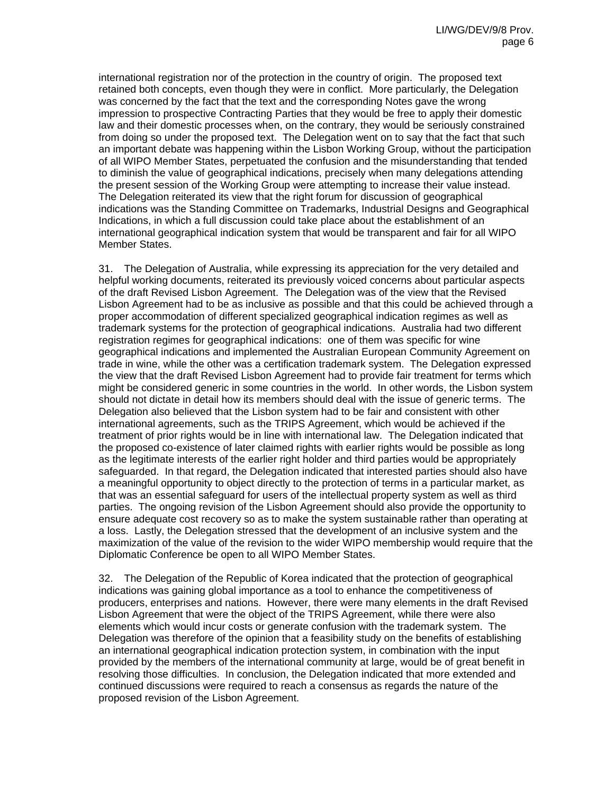international registration nor of the protection in the country of origin. The proposed text retained both concepts, even though they were in conflict. More particularly, the Delegation was concerned by the fact that the text and the corresponding Notes gave the wrong impression to prospective Contracting Parties that they would be free to apply their domestic law and their domestic processes when, on the contrary, they would be seriously constrained from doing so under the proposed text. The Delegation went on to say that the fact that such an important debate was happening within the Lisbon Working Group, without the participation of all WIPO Member States, perpetuated the confusion and the misunderstanding that tended to diminish the value of geographical indications, precisely when many delegations attending the present session of the Working Group were attempting to increase their value instead. The Delegation reiterated its view that the right forum for discussion of geographical indications was the Standing Committee on Trademarks, Industrial Designs and Geographical Indications, in which a full discussion could take place about the establishment of an international geographical indication system that would be transparent and fair for all WIPO Member States.

31. The Delegation of Australia, while expressing its appreciation for the very detailed and helpful working documents, reiterated its previously voiced concerns about particular aspects of the draft Revised Lisbon Agreement. The Delegation was of the view that the Revised Lisbon Agreement had to be as inclusive as possible and that this could be achieved through a proper accommodation of different specialized geographical indication regimes as well as trademark systems for the protection of geographical indications. Australia had two different registration regimes for geographical indications: one of them was specific for wine geographical indications and implemented the Australian European Community Agreement on trade in wine, while the other was a certification trademark system. The Delegation expressed the view that the draft Revised Lisbon Agreement had to provide fair treatment for terms which might be considered generic in some countries in the world. In other words, the Lisbon system should not dictate in detail how its members should deal with the issue of generic terms. The Delegation also believed that the Lisbon system had to be fair and consistent with other international agreements, such as the TRIPS Agreement, which would be achieved if the treatment of prior rights would be in line with international law. The Delegation indicated that the proposed co-existence of later claimed rights with earlier rights would be possible as long as the legitimate interests of the earlier right holder and third parties would be appropriately safeguarded. In that regard, the Delegation indicated that interested parties should also have a meaningful opportunity to object directly to the protection of terms in a particular market, as that was an essential safeguard for users of the intellectual property system as well as third parties. The ongoing revision of the Lisbon Agreement should also provide the opportunity to ensure adequate cost recovery so as to make the system sustainable rather than operating at a loss. Lastly, the Delegation stressed that the development of an inclusive system and the maximization of the value of the revision to the wider WIPO membership would require that the Diplomatic Conference be open to all WIPO Member States.

32. The Delegation of the Republic of Korea indicated that the protection of geographical indications was gaining global importance as a tool to enhance the competitiveness of producers, enterprises and nations. However, there were many elements in the draft Revised Lisbon Agreement that were the object of the TRIPS Agreement, while there were also elements which would incur costs or generate confusion with the trademark system. The Delegation was therefore of the opinion that a feasibility study on the benefits of establishing an international geographical indication protection system, in combination with the input provided by the members of the international community at large, would be of great benefit in resolving those difficulties. In conclusion, the Delegation indicated that more extended and continued discussions were required to reach a consensus as regards the nature of the proposed revision of the Lisbon Agreement.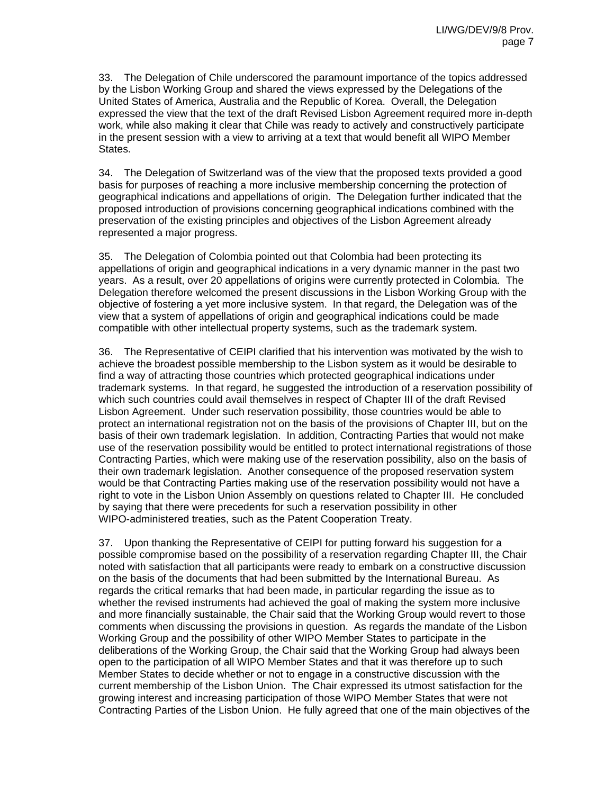33. The Delegation of Chile underscored the paramount importance of the topics addressed by the Lisbon Working Group and shared the views expressed by the Delegations of the United States of America, Australia and the Republic of Korea. Overall, the Delegation expressed the view that the text of the draft Revised Lisbon Agreement required more in-depth work, while also making it clear that Chile was ready to actively and constructively participate in the present session with a view to arriving at a text that would benefit all WIPO Member States.

34. The Delegation of Switzerland was of the view that the proposed texts provided a good basis for purposes of reaching a more inclusive membership concerning the protection of geographical indications and appellations of origin. The Delegation further indicated that the proposed introduction of provisions concerning geographical indications combined with the preservation of the existing principles and objectives of the Lisbon Agreement already represented a major progress.

35. The Delegation of Colombia pointed out that Colombia had been protecting its appellations of origin and geographical indications in a very dynamic manner in the past two years. As a result, over 20 appellations of origins were currently protected in Colombia. The Delegation therefore welcomed the present discussions in the Lisbon Working Group with the objective of fostering a yet more inclusive system. In that regard, the Delegation was of the view that a system of appellations of origin and geographical indications could be made compatible with other intellectual property systems, such as the trademark system.

36. The Representative of CEIPI clarified that his intervention was motivated by the wish to achieve the broadest possible membership to the Lisbon system as it would be desirable to find a way of attracting those countries which protected geographical indications under trademark systems. In that regard, he suggested the introduction of a reservation possibility of which such countries could avail themselves in respect of Chapter III of the draft Revised Lisbon Agreement. Under such reservation possibility, those countries would be able to protect an international registration not on the basis of the provisions of Chapter III, but on the basis of their own trademark legislation. In addition, Contracting Parties that would not make use of the reservation possibility would be entitled to protect international registrations of those Contracting Parties, which were making use of the reservation possibility, also on the basis of their own trademark legislation. Another consequence of the proposed reservation system would be that Contracting Parties making use of the reservation possibility would not have a right to vote in the Lisbon Union Assembly on questions related to Chapter III. He concluded by saying that there were precedents for such a reservation possibility in other WIPO-administered treaties, such as the Patent Cooperation Treaty.

37. Upon thanking the Representative of CEIPI for putting forward his suggestion for a possible compromise based on the possibility of a reservation regarding Chapter III, the Chair noted with satisfaction that all participants were ready to embark on a constructive discussion on the basis of the documents that had been submitted by the International Bureau. As regards the critical remarks that had been made, in particular regarding the issue as to whether the revised instruments had achieved the goal of making the system more inclusive and more financially sustainable, the Chair said that the Working Group would revert to those comments when discussing the provisions in question. As regards the mandate of the Lisbon Working Group and the possibility of other WIPO Member States to participate in the deliberations of the Working Group, the Chair said that the Working Group had always been open to the participation of all WIPO Member States and that it was therefore up to such Member States to decide whether or not to engage in a constructive discussion with the current membership of the Lisbon Union. The Chair expressed its utmost satisfaction for the growing interest and increasing participation of those WIPO Member States that were not Contracting Parties of the Lisbon Union. He fully agreed that one of the main objectives of the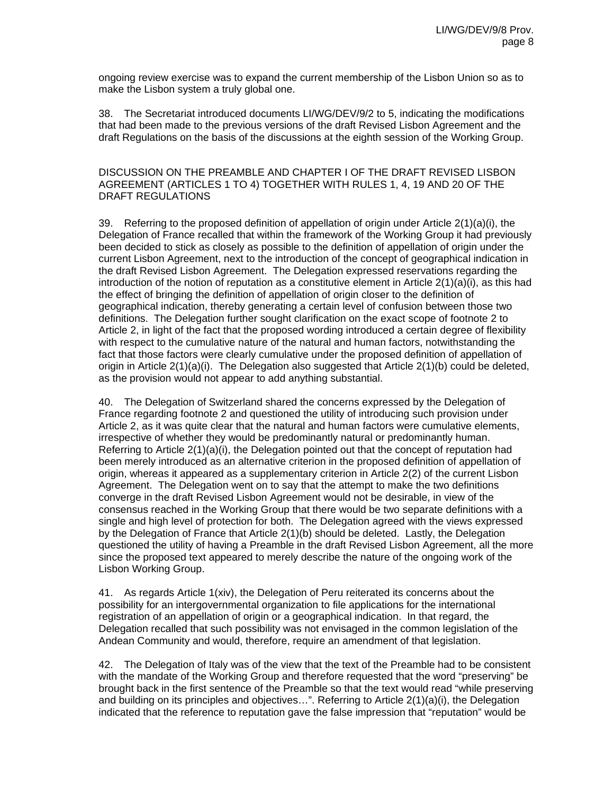ongoing review exercise was to expand the current membership of the Lisbon Union so as to make the Lisbon system a truly global one.

38. The Secretariat introduced documents LI/WG/DEV/9/2 to 5, indicating the modifications that had been made to the previous versions of the draft Revised Lisbon Agreement and the draft Regulations on the basis of the discussions at the eighth session of the Working Group.

## DISCUSSION ON THE PREAMBLE AND CHAPTER I OF THE DRAFT REVISED LISBON AGREEMENT (ARTICLES 1 TO 4) TOGETHER WITH RULES 1, 4, 19 AND 20 OF THE DRAFT REGULATIONS

39. Referring to the proposed definition of appellation of origin under Article 2(1)(a)(i), the Delegation of France recalled that within the framework of the Working Group it had previously been decided to stick as closely as possible to the definition of appellation of origin under the current Lisbon Agreement, next to the introduction of the concept of geographical indication in the draft Revised Lisbon Agreement. The Delegation expressed reservations regarding the introduction of the notion of reputation as a constitutive element in Article  $2(1)(a)(i)$ , as this had the effect of bringing the definition of appellation of origin closer to the definition of geographical indication, thereby generating a certain level of confusion between those two definitions. The Delegation further sought clarification on the exact scope of footnote 2 to Article 2, in light of the fact that the proposed wording introduced a certain degree of flexibility with respect to the cumulative nature of the natural and human factors, notwithstanding the fact that those factors were clearly cumulative under the proposed definition of appellation of origin in Article 2(1)(a)(i). The Delegation also suggested that Article 2(1)(b) could be deleted, as the provision would not appear to add anything substantial.

40. The Delegation of Switzerland shared the concerns expressed by the Delegation of France regarding footnote 2 and questioned the utility of introducing such provision under Article 2, as it was quite clear that the natural and human factors were cumulative elements, irrespective of whether they would be predominantly natural or predominantly human. Referring to Article  $2(1)(a)(i)$ , the Delegation pointed out that the concept of reputation had been merely introduced as an alternative criterion in the proposed definition of appellation of origin, whereas it appeared as a supplementary criterion in Article 2(2) of the current Lisbon Agreement. The Delegation went on to say that the attempt to make the two definitions converge in the draft Revised Lisbon Agreement would not be desirable, in view of the consensus reached in the Working Group that there would be two separate definitions with a single and high level of protection for both. The Delegation agreed with the views expressed by the Delegation of France that Article 2(1)(b) should be deleted. Lastly, the Delegation questioned the utility of having a Preamble in the draft Revised Lisbon Agreement, all the more since the proposed text appeared to merely describe the nature of the ongoing work of the Lisbon Working Group.

41. As regards Article 1(xiv), the Delegation of Peru reiterated its concerns about the possibility for an intergovernmental organization to file applications for the international registration of an appellation of origin or a geographical indication. In that regard, the Delegation recalled that such possibility was not envisaged in the common legislation of the Andean Community and would, therefore, require an amendment of that legislation.

42. The Delegation of Italy was of the view that the text of the Preamble had to be consistent with the mandate of the Working Group and therefore requested that the word "preserving" be brought back in the first sentence of the Preamble so that the text would read "while preserving and building on its principles and objectives…". Referring to Article 2(1)(a)(i), the Delegation indicated that the reference to reputation gave the false impression that "reputation" would be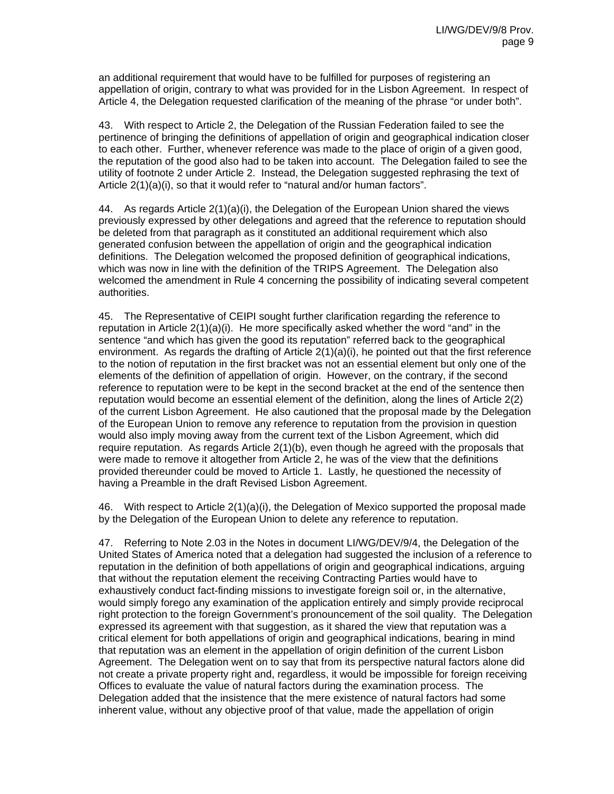an additional requirement that would have to be fulfilled for purposes of registering an appellation of origin, contrary to what was provided for in the Lisbon Agreement. In respect of Article 4, the Delegation requested clarification of the meaning of the phrase "or under both".

43. With respect to Article 2, the Delegation of the Russian Federation failed to see the pertinence of bringing the definitions of appellation of origin and geographical indication closer to each other. Further, whenever reference was made to the place of origin of a given good, the reputation of the good also had to be taken into account. The Delegation failed to see the utility of footnote 2 under Article 2. Instead, the Delegation suggested rephrasing the text of Article 2(1)(a)(i), so that it would refer to "natural and/or human factors".

44. As regards Article 2(1)(a)(i), the Delegation of the European Union shared the views previously expressed by other delegations and agreed that the reference to reputation should be deleted from that paragraph as it constituted an additional requirement which also generated confusion between the appellation of origin and the geographical indication definitions. The Delegation welcomed the proposed definition of geographical indications, which was now in line with the definition of the TRIPS Agreement. The Delegation also welcomed the amendment in Rule 4 concerning the possibility of indicating several competent authorities.

45. The Representative of CEIPI sought further clarification regarding the reference to reputation in Article 2(1)(a)(i). He more specifically asked whether the word "and" in the sentence "and which has given the good its reputation" referred back to the geographical environment. As regards the drafting of Article  $2(1)(a)(i)$ , he pointed out that the first reference to the notion of reputation in the first bracket was not an essential element but only one of the elements of the definition of appellation of origin. However, on the contrary, if the second reference to reputation were to be kept in the second bracket at the end of the sentence then reputation would become an essential element of the definition, along the lines of Article 2(2) of the current Lisbon Agreement. He also cautioned that the proposal made by the Delegation of the European Union to remove any reference to reputation from the provision in question would also imply moving away from the current text of the Lisbon Agreement, which did require reputation. As regards Article 2(1)(b), even though he agreed with the proposals that were made to remove it altogether from Article 2, he was of the view that the definitions provided thereunder could be moved to Article 1. Lastly, he questioned the necessity of having a Preamble in the draft Revised Lisbon Agreement.

46. With respect to Article 2(1)(a)(i), the Delegation of Mexico supported the proposal made by the Delegation of the European Union to delete any reference to reputation.

47. Referring to Note 2.03 in the Notes in document LI/WG/DEV/9/4, the Delegation of the United States of America noted that a delegation had suggested the inclusion of a reference to reputation in the definition of both appellations of origin and geographical indications, arguing that without the reputation element the receiving Contracting Parties would have to exhaustively conduct fact-finding missions to investigate foreign soil or, in the alternative, would simply forego any examination of the application entirely and simply provide reciprocal right protection to the foreign Government's pronouncement of the soil quality. The Delegation expressed its agreement with that suggestion, as it shared the view that reputation was a critical element for both appellations of origin and geographical indications, bearing in mind that reputation was an element in the appellation of origin definition of the current Lisbon Agreement. The Delegation went on to say that from its perspective natural factors alone did not create a private property right and, regardless, it would be impossible for foreign receiving Offices to evaluate the value of natural factors during the examination process. The Delegation added that the insistence that the mere existence of natural factors had some inherent value, without any objective proof of that value, made the appellation of origin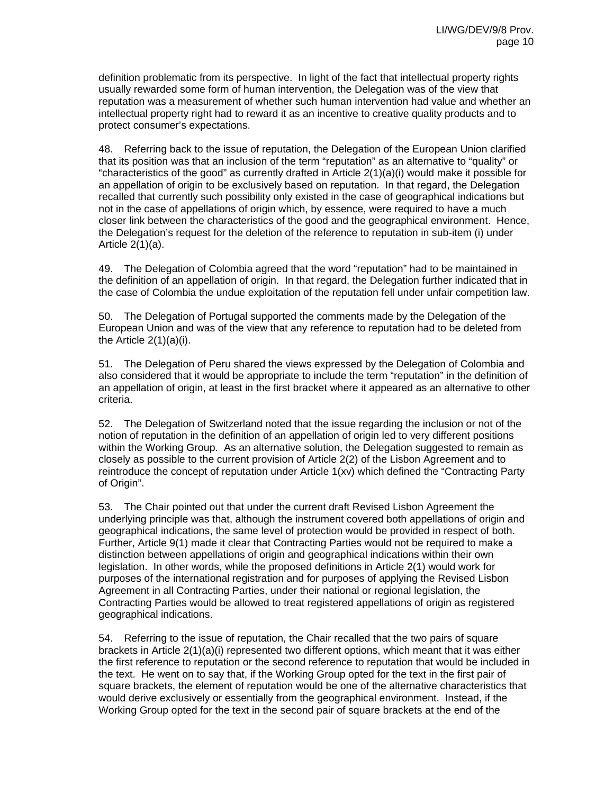definition problematic from its perspective. In light of the fact that intellectual property rights usually rewarded some form of human intervention, the Delegation was of the view that reputation was a measurement of whether such human intervention had value and whether an intellectual property right had to reward it as an incentive to creative quality products and to protect consumer's expectations.

48. Referring back to the issue of reputation, the Delegation of the European Union clarified that its position was that an inclusion of the term "reputation" as an alternative to "quality" or "characteristics of the good" as currently drafted in Article  $2(1)(a)(i)$  would make it possible for an appellation of origin to be exclusively based on reputation. In that regard, the Delegation recalled that currently such possibility only existed in the case of geographical indications but not in the case of appellations of origin which, by essence, were required to have a much closer link between the characteristics of the good and the geographical environment. Hence, the Delegation's request for the deletion of the reference to reputation in sub-item (i) under Article  $2(1)(a)$ .

49. The Delegation of Colombia agreed that the word "reputation" had to be maintained in the definition of an appellation of origin. In that regard, the Delegation further indicated that in the case of Colombia the undue exploitation of the reputation fell under unfair competition law.

50. The Delegation of Portugal supported the comments made by the Delegation of the European Union and was of the view that any reference to reputation had to be deleted from the Article 2(1)(a)(i).

51. The Delegation of Peru shared the views expressed by the Delegation of Colombia and also considered that it would be appropriate to include the term "reputation" in the definition of an appellation of origin, at least in the first bracket where it appeared as an alternative to other criteria.

52. The Delegation of Switzerland noted that the issue regarding the inclusion or not of the notion of reputation in the definition of an appellation of origin led to very different positions within the Working Group. As an alternative solution, the Delegation suggested to remain as closely as possible to the current provision of Article 2(2) of the Lisbon Agreement and to reintroduce the concept of reputation under Article 1(xv) which defined the "Contracting Party of Origin".

53. The Chair pointed out that under the current draft Revised Lisbon Agreement the underlying principle was that, although the instrument covered both appellations of origin and geographical indications, the same level of protection would be provided in respect of both. Further, Article 9(1) made it clear that Contracting Parties would not be required to make a distinction between appellations of origin and geographical indications within their own legislation. In other words, while the proposed definitions in Article 2(1) would work for purposes of the international registration and for purposes of applying the Revised Lisbon Agreement in all Contracting Parties, under their national or regional legislation, the Contracting Parties would be allowed to treat registered appellations of origin as registered geographical indications.

54. Referring to the issue of reputation, the Chair recalled that the two pairs of square brackets in Article 2(1)(a)(i) represented two different options, which meant that it was either the first reference to reputation or the second reference to reputation that would be included in the text. He went on to say that, if the Working Group opted for the text in the first pair of square brackets, the element of reputation would be one of the alternative characteristics that would derive exclusively or essentially from the geographical environment. Instead, if the Working Group opted for the text in the second pair of square brackets at the end of the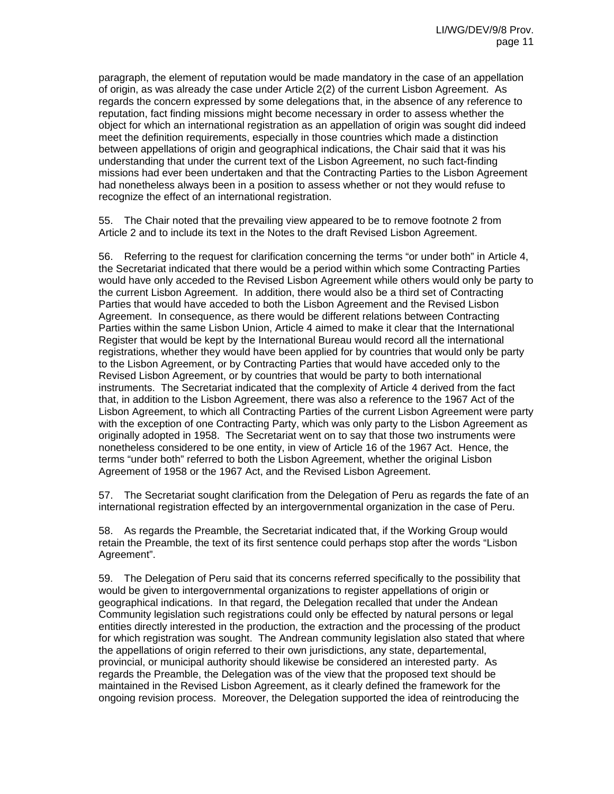paragraph, the element of reputation would be made mandatory in the case of an appellation of origin, as was already the case under Article 2(2) of the current Lisbon Agreement. As regards the concern expressed by some delegations that, in the absence of any reference to reputation, fact finding missions might become necessary in order to assess whether the object for which an international registration as an appellation of origin was sought did indeed meet the definition requirements, especially in those countries which made a distinction between appellations of origin and geographical indications, the Chair said that it was his understanding that under the current text of the Lisbon Agreement, no such fact-finding missions had ever been undertaken and that the Contracting Parties to the Lisbon Agreement had nonetheless always been in a position to assess whether or not they would refuse to recognize the effect of an international registration.

55. The Chair noted that the prevailing view appeared to be to remove footnote 2 from Article 2 and to include its text in the Notes to the draft Revised Lisbon Agreement.

56. Referring to the request for clarification concerning the terms "or under both" in Article 4, the Secretariat indicated that there would be a period within which some Contracting Parties would have only acceded to the Revised Lisbon Agreement while others would only be party to the current Lisbon Agreement. In addition, there would also be a third set of Contracting Parties that would have acceded to both the Lisbon Agreement and the Revised Lisbon Agreement. In consequence, as there would be different relations between Contracting Parties within the same Lisbon Union, Article 4 aimed to make it clear that the International Register that would be kept by the International Bureau would record all the international registrations, whether they would have been applied for by countries that would only be party to the Lisbon Agreement, or by Contracting Parties that would have acceded only to the Revised Lisbon Agreement, or by countries that would be party to both international instruments. The Secretariat indicated that the complexity of Article 4 derived from the fact that, in addition to the Lisbon Agreement, there was also a reference to the 1967 Act of the Lisbon Agreement, to which all Contracting Parties of the current Lisbon Agreement were party with the exception of one Contracting Party, which was only party to the Lisbon Agreement as originally adopted in 1958. The Secretariat went on to say that those two instruments were nonetheless considered to be one entity, in view of Article 16 of the 1967 Act. Hence, the terms "under both" referred to both the Lisbon Agreement, whether the original Lisbon Agreement of 1958 or the 1967 Act, and the Revised Lisbon Agreement.

57. The Secretariat sought clarification from the Delegation of Peru as regards the fate of an international registration effected by an intergovernmental organization in the case of Peru.

58. As regards the Preamble, the Secretariat indicated that, if the Working Group would retain the Preamble, the text of its first sentence could perhaps stop after the words "Lisbon Agreement".

59. The Delegation of Peru said that its concerns referred specifically to the possibility that would be given to intergovernmental organizations to register appellations of origin or geographical indications. In that regard, the Delegation recalled that under the Andean Community legislation such registrations could only be effected by natural persons or legal entities directly interested in the production, the extraction and the processing of the product for which registration was sought. The Andrean community legislation also stated that where the appellations of origin referred to their own jurisdictions, any state, departemental, provincial, or municipal authority should likewise be considered an interested party. As regards the Preamble, the Delegation was of the view that the proposed text should be maintained in the Revised Lisbon Agreement, as it clearly defined the framework for the ongoing revision process. Moreover, the Delegation supported the idea of reintroducing the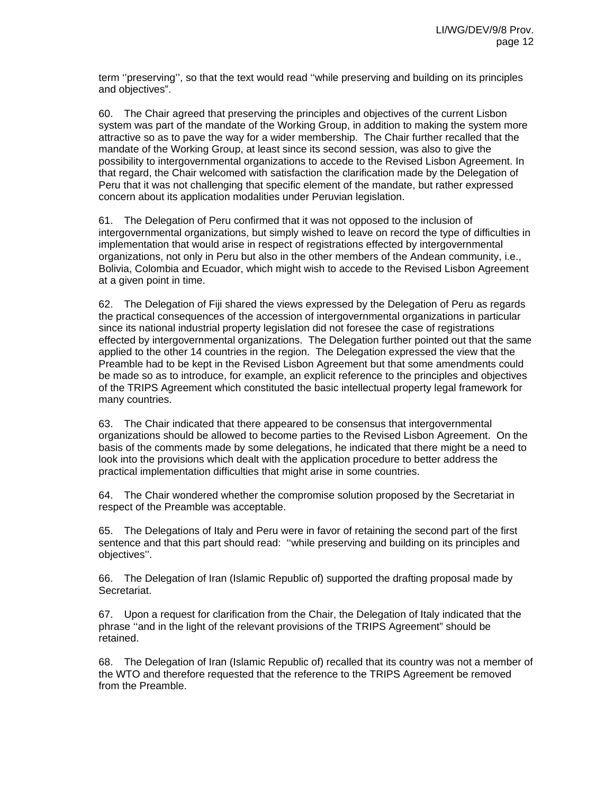term ''preserving'', so that the text would read ''while preserving and building on its principles and objectives".

60. The Chair agreed that preserving the principles and objectives of the current Lisbon system was part of the mandate of the Working Group, in addition to making the system more attractive so as to pave the way for a wider membership. The Chair further recalled that the mandate of the Working Group, at least since its second session, was also to give the possibility to intergovernmental organizations to accede to the Revised Lisbon Agreement. In that regard, the Chair welcomed with satisfaction the clarification made by the Delegation of Peru that it was not challenging that specific element of the mandate, but rather expressed concern about its application modalities under Peruvian legislation.

61. The Delegation of Peru confirmed that it was not opposed to the inclusion of intergovernmental organizations, but simply wished to leave on record the type of difficulties in implementation that would arise in respect of registrations effected by intergovernmental organizations, not only in Peru but also in the other members of the Andean community, i.e., Bolivia, Colombia and Ecuador, which might wish to accede to the Revised Lisbon Agreement at a given point in time.

62. The Delegation of Fiji shared the views expressed by the Delegation of Peru as regards the practical consequences of the accession of intergovernmental organizations in particular since its national industrial property legislation did not foresee the case of registrations effected by intergovernmental organizations. The Delegation further pointed out that the same applied to the other 14 countries in the region. The Delegation expressed the view that the Preamble had to be kept in the Revised Lisbon Agreement but that some amendments could be made so as to introduce, for example, an explicit reference to the principles and objectives of the TRIPS Agreement which constituted the basic intellectual property legal framework for many countries.

63. The Chair indicated that there appeared to be consensus that intergovernmental organizations should be allowed to become parties to the Revised Lisbon Agreement. On the basis of the comments made by some delegations, he indicated that there might be a need to look into the provisions which dealt with the application procedure to better address the practical implementation difficulties that might arise in some countries.

64. The Chair wondered whether the compromise solution proposed by the Secretariat in respect of the Preamble was acceptable.

65. The Delegations of Italy and Peru were in favor of retaining the second part of the first sentence and that this part should read: ''while preserving and building on its principles and objectives''.

66. The Delegation of Iran (Islamic Republic of) supported the drafting proposal made by Secretariat.

67. Upon a request for clarification from the Chair, the Delegation of Italy indicated that the phrase ''and in the light of the relevant provisions of the TRIPS Agreement" should be retained.

68. The Delegation of Iran (Islamic Republic of) recalled that its country was not a member of the WTO and therefore requested that the reference to the TRIPS Agreement be removed from the Preamble.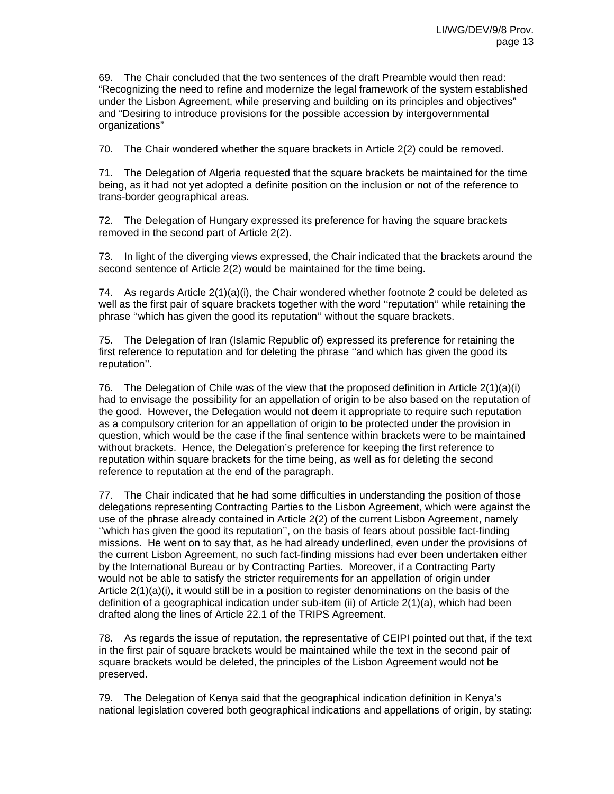69. The Chair concluded that the two sentences of the draft Preamble would then read: "Recognizing the need to refine and modernize the legal framework of the system established under the Lisbon Agreement, while preserving and building on its principles and objectives" and "Desiring to introduce provisions for the possible accession by intergovernmental organizations"

70. The Chair wondered whether the square brackets in Article 2(2) could be removed.

71. The Delegation of Algeria requested that the square brackets be maintained for the time being, as it had not yet adopted a definite position on the inclusion or not of the reference to trans-border geographical areas.

72. The Delegation of Hungary expressed its preference for having the square brackets removed in the second part of Article 2(2).

73. In light of the diverging views expressed, the Chair indicated that the brackets around the second sentence of Article 2(2) would be maintained for the time being.

74. As regards Article 2(1)(a)(i), the Chair wondered whether footnote 2 could be deleted as well as the first pair of square brackets together with the word ''reputation'' while retaining the phrase ''which has given the good its reputation'' without the square brackets.

75. The Delegation of Iran (Islamic Republic of) expressed its preference for retaining the first reference to reputation and for deleting the phrase ''and which has given the good its reputation''.

76. The Delegation of Chile was of the view that the proposed definition in Article 2(1)(a)(i) had to envisage the possibility for an appellation of origin to be also based on the reputation of the good. However, the Delegation would not deem it appropriate to require such reputation as a compulsory criterion for an appellation of origin to be protected under the provision in question, which would be the case if the final sentence within brackets were to be maintained without brackets. Hence, the Delegation's preference for keeping the first reference to reputation within square brackets for the time being, as well as for deleting the second reference to reputation at the end of the paragraph.

77. The Chair indicated that he had some difficulties in understanding the position of those delegations representing Contracting Parties to the Lisbon Agreement, which were against the use of the phrase already contained in Article 2(2) of the current Lisbon Agreement, namely ''which has given the good its reputation'', on the basis of fears about possible fact-finding missions. He went on to say that, as he had already underlined, even under the provisions of the current Lisbon Agreement, no such fact-finding missions had ever been undertaken either by the International Bureau or by Contracting Parties. Moreover, if a Contracting Party would not be able to satisfy the stricter requirements for an appellation of origin under Article 2(1)(a)(i), it would still be in a position to register denominations on the basis of the definition of a geographical indication under sub-item (ii) of Article 2(1)(a), which had been drafted along the lines of Article 22.1 of the TRIPS Agreement.

78. As regards the issue of reputation, the representative of CEIPI pointed out that, if the text in the first pair of square brackets would be maintained while the text in the second pair of square brackets would be deleted, the principles of the Lisbon Agreement would not be preserved.

79. The Delegation of Kenya said that the geographical indication definition in Kenya's national legislation covered both geographical indications and appellations of origin, by stating: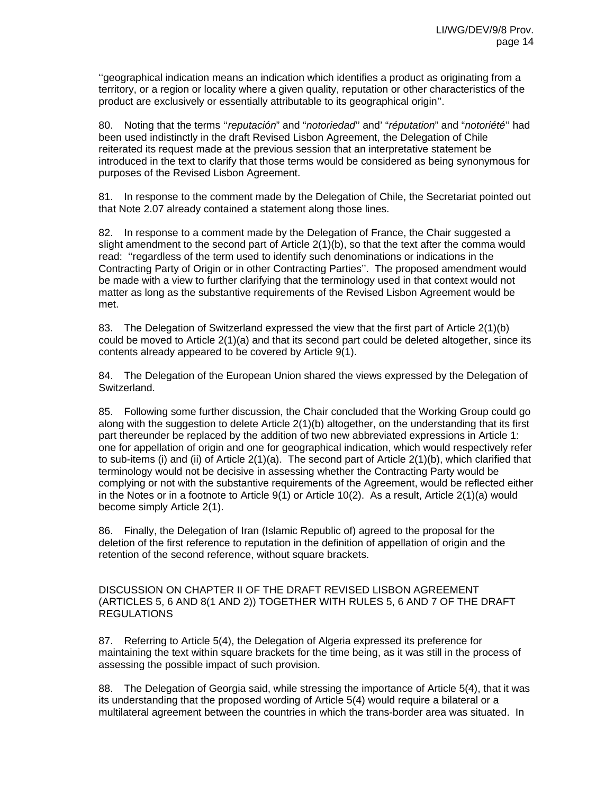''geographical indication means an indication which identifies a product as originating from a territory, or a region or locality where a given quality, reputation or other characteristics of the product are exclusively or essentially attributable to its geographical origin''.

80. Noting that the terms ''*reputación*" and "*notoriedad*'' and' "*réputation*" and "*notoriété*'' had been used indistinctly in the draft Revised Lisbon Agreement, the Delegation of Chile reiterated its request made at the previous session that an interpretative statement be introduced in the text to clarify that those terms would be considered as being synonymous for purposes of the Revised Lisbon Agreement.

81. In response to the comment made by the Delegation of Chile, the Secretariat pointed out that Note 2.07 already contained a statement along those lines.

82. In response to a comment made by the Delegation of France, the Chair suggested a slight amendment to the second part of Article 2(1)(b), so that the text after the comma would read: ''regardless of the term used to identify such denominations or indications in the Contracting Party of Origin or in other Contracting Parties''. The proposed amendment would be made with a view to further clarifying that the terminology used in that context would not matter as long as the substantive requirements of the Revised Lisbon Agreement would be met.

83. The Delegation of Switzerland expressed the view that the first part of Article 2(1)(b) could be moved to Article 2(1)(a) and that its second part could be deleted altogether, since its contents already appeared to be covered by Article 9(1).

84. The Delegation of the European Union shared the views expressed by the Delegation of Switzerland.

85. Following some further discussion, the Chair concluded that the Working Group could go along with the suggestion to delete Article 2(1)(b) altogether, on the understanding that its first part thereunder be replaced by the addition of two new abbreviated expressions in Article 1: one for appellation of origin and one for geographical indication, which would respectively refer to sub-items (i) and (ii) of Article 2(1)(a). The second part of Article 2(1)(b), which clarified that terminology would not be decisive in assessing whether the Contracting Party would be complying or not with the substantive requirements of the Agreement, would be reflected either in the Notes or in a footnote to Article  $9(1)$  or Article  $10(2)$ . As a result, Article  $2(1)(a)$  would become simply Article 2(1).

86. Finally, the Delegation of Iran (Islamic Republic of) agreed to the proposal for the deletion of the first reference to reputation in the definition of appellation of origin and the retention of the second reference, without square brackets.

DISCUSSION ON CHAPTER II OF THE DRAFT REVISED LISBON AGREEMENT (ARTICLES 5, 6 AND 8(1 AND 2)) TOGETHER WITH RULES 5, 6 AND 7 OF THE DRAFT REGULATIONS

87. Referring to Article 5(4), the Delegation of Algeria expressed its preference for maintaining the text within square brackets for the time being, as it was still in the process of assessing the possible impact of such provision.

88. The Delegation of Georgia said, while stressing the importance of Article 5(4), that it was its understanding that the proposed wording of Article 5(4) would require a bilateral or a multilateral agreement between the countries in which the trans-border area was situated. In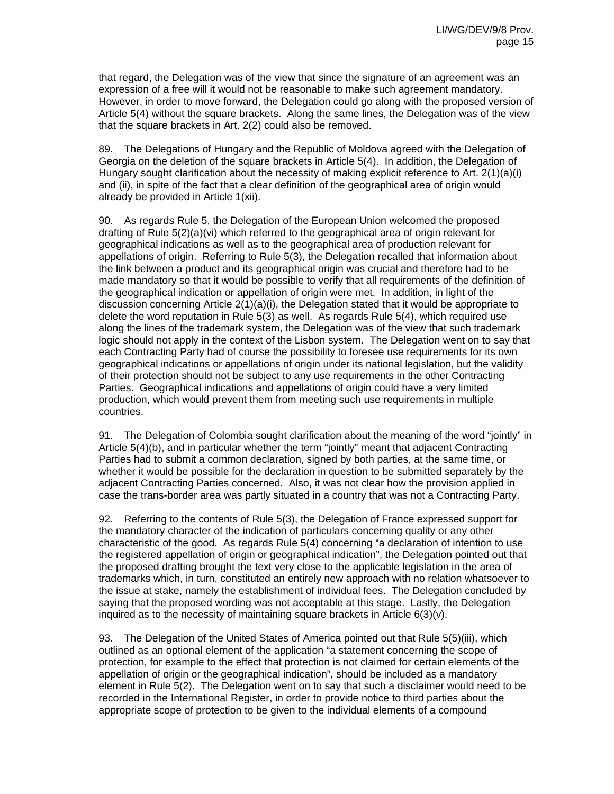that regard, the Delegation was of the view that since the signature of an agreement was an expression of a free will it would not be reasonable to make such agreement mandatory. However, in order to move forward, the Delegation could go along with the proposed version of Article 5(4) without the square brackets. Along the same lines, the Delegation was of the view that the square brackets in Art. 2(2) could also be removed.

89. The Delegations of Hungary and the Republic of Moldova agreed with the Delegation of Georgia on the deletion of the square brackets in Article 5(4). In addition, the Delegation of Hungary sought clarification about the necessity of making explicit reference to Art. 2(1)(a)(i) and (ii), in spite of the fact that a clear definition of the geographical area of origin would already be provided in Article 1(xii).

90. As regards Rule 5, the Delegation of the European Union welcomed the proposed drafting of Rule 5(2)(a)(vi) which referred to the geographical area of origin relevant for geographical indications as well as to the geographical area of production relevant for appellations of origin. Referring to Rule 5(3), the Delegation recalled that information about the link between a product and its geographical origin was crucial and therefore had to be made mandatory so that it would be possible to verify that all requirements of the definition of the geographical indication or appellation of origin were met. In addition, in light of the discussion concerning Article 2(1)(a)(i), the Delegation stated that it would be appropriate to delete the word reputation in Rule 5(3) as well. As regards Rule 5(4), which required use along the lines of the trademark system, the Delegation was of the view that such trademark logic should not apply in the context of the Lisbon system. The Delegation went on to say that each Contracting Party had of course the possibility to foresee use requirements for its own geographical indications or appellations of origin under its national legislation, but the validity of their protection should not be subject to any use requirements in the other Contracting Parties. Geographical indications and appellations of origin could have a very limited production, which would prevent them from meeting such use requirements in multiple countries.

91. The Delegation of Colombia sought clarification about the meaning of the word "jointly" in Article 5(4)(b), and in particular whether the term "jointly" meant that adjacent Contracting Parties had to submit a common declaration, signed by both parties, at the same time, or whether it would be possible for the declaration in question to be submitted separately by the adjacent Contracting Parties concerned. Also, it was not clear how the provision applied in case the trans-border area was partly situated in a country that was not a Contracting Party.

92. Referring to the contents of Rule 5(3), the Delegation of France expressed support for the mandatory character of the indication of particulars concerning quality or any other characteristic of the good. As regards Rule 5(4) concerning "a declaration of intention to use the registered appellation of origin or geographical indication", the Delegation pointed out that the proposed drafting brought the text very close to the applicable legislation in the area of trademarks which, in turn, constituted an entirely new approach with no relation whatsoever to the issue at stake, namely the establishment of individual fees. The Delegation concluded by saying that the proposed wording was not acceptable at this stage. Lastly, the Delegation inquired as to the necessity of maintaining square brackets in Article  $6(3)(v)$ .

93. The Delegation of the United States of America pointed out that Rule 5(5)(iii), which outlined as an optional element of the application "a statement concerning the scope of protection, for example to the effect that protection is not claimed for certain elements of the appellation of origin or the geographical indication", should be included as a mandatory element in Rule 5(2). The Delegation went on to say that such a disclaimer would need to be recorded in the International Register, in order to provide notice to third parties about the appropriate scope of protection to be given to the individual elements of a compound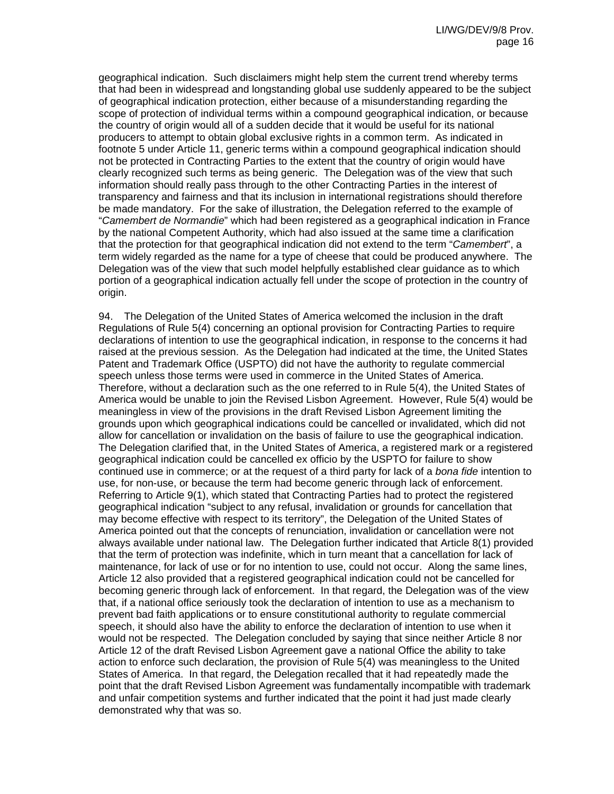geographical indication. Such disclaimers might help stem the current trend whereby terms that had been in widespread and longstanding global use suddenly appeared to be the subject of geographical indication protection, either because of a misunderstanding regarding the scope of protection of individual terms within a compound geographical indication, or because the country of origin would all of a sudden decide that it would be useful for its national producers to attempt to obtain global exclusive rights in a common term. As indicated in footnote 5 under Article 11, generic terms within a compound geographical indication should not be protected in Contracting Parties to the extent that the country of origin would have clearly recognized such terms as being generic. The Delegation was of the view that such information should really pass through to the other Contracting Parties in the interest of transparency and fairness and that its inclusion in international registrations should therefore be made mandatory. For the sake of illustration, the Delegation referred to the example of "*Camembert de Normandie*" which had been registered as a geographical indication in France by the national Competent Authority, which had also issued at the same time a clarification that the protection for that geographical indication did not extend to the term "*Camembert*", a term widely regarded as the name for a type of cheese that could be produced anywhere. The Delegation was of the view that such model helpfully established clear guidance as to which portion of a geographical indication actually fell under the scope of protection in the country of origin.

94. The Delegation of the United States of America welcomed the inclusion in the draft Regulations of Rule 5(4) concerning an optional provision for Contracting Parties to require declarations of intention to use the geographical indication, in response to the concerns it had raised at the previous session. As the Delegation had indicated at the time, the United States Patent and Trademark Office (USPTO) did not have the authority to regulate commercial speech unless those terms were used in commerce in the United States of America. Therefore, without a declaration such as the one referred to in Rule 5(4), the United States of America would be unable to join the Revised Lisbon Agreement. However, Rule 5(4) would be meaningless in view of the provisions in the draft Revised Lisbon Agreement limiting the grounds upon which geographical indications could be cancelled or invalidated, which did not allow for cancellation or invalidation on the basis of failure to use the geographical indication. The Delegation clarified that, in the United States of America, a registered mark or a registered geographical indication could be cancelled ex officio by the USPTO for failure to show continued use in commerce; or at the request of a third party for lack of a *bona fide* intention to use, for non-use, or because the term had become generic through lack of enforcement. Referring to Article 9(1), which stated that Contracting Parties had to protect the registered geographical indication "subject to any refusal, invalidation or grounds for cancellation that may become effective with respect to its territory", the Delegation of the United States of America pointed out that the concepts of renunciation, invalidation or cancellation were not always available under national law. The Delegation further indicated that Article 8(1) provided that the term of protection was indefinite, which in turn meant that a cancellation for lack of maintenance, for lack of use or for no intention to use, could not occur. Along the same lines, Article 12 also provided that a registered geographical indication could not be cancelled for becoming generic through lack of enforcement. In that regard, the Delegation was of the view that, if a national office seriously took the declaration of intention to use as a mechanism to prevent bad faith applications or to ensure constitutional authority to regulate commercial speech, it should also have the ability to enforce the declaration of intention to use when it would not be respected. The Delegation concluded by saying that since neither Article 8 nor Article 12 of the draft Revised Lisbon Agreement gave a national Office the ability to take action to enforce such declaration, the provision of Rule 5(4) was meaningless to the United States of America. In that regard, the Delegation recalled that it had repeatedly made the point that the draft Revised Lisbon Agreement was fundamentally incompatible with trademark and unfair competition systems and further indicated that the point it had just made clearly demonstrated why that was so.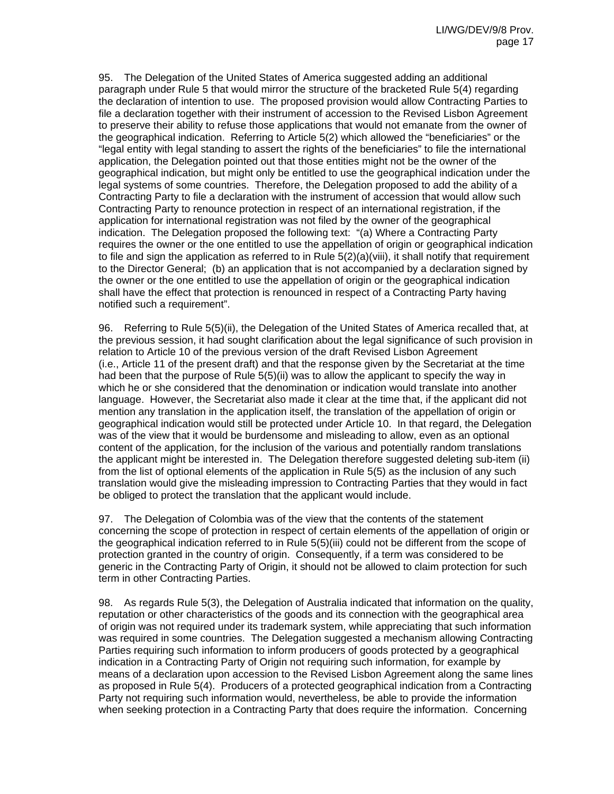95. The Delegation of the United States of America suggested adding an additional paragraph under Rule 5 that would mirror the structure of the bracketed Rule 5(4) regarding the declaration of intention to use. The proposed provision would allow Contracting Parties to file a declaration together with their instrument of accession to the Revised Lisbon Agreement to preserve their ability to refuse those applications that would not emanate from the owner of the geographical indication. Referring to Article 5(2) which allowed the "beneficiaries" or the "legal entity with legal standing to assert the rights of the beneficiaries" to file the international application, the Delegation pointed out that those entities might not be the owner of the geographical indication, but might only be entitled to use the geographical indication under the legal systems of some countries. Therefore, the Delegation proposed to add the ability of a Contracting Party to file a declaration with the instrument of accession that would allow such Contracting Party to renounce protection in respect of an international registration, if the application for international registration was not filed by the owner of the geographical indication. The Delegation proposed the following text: "(a) Where a Contracting Party requires the owner or the one entitled to use the appellation of origin or geographical indication to file and sign the application as referred to in Rule 5(2)(a)(viii), it shall notify that requirement to the Director General; (b) an application that is not accompanied by a declaration signed by the owner or the one entitled to use the appellation of origin or the geographical indication shall have the effect that protection is renounced in respect of a Contracting Party having notified such a requirement".

96. Referring to Rule 5(5)(ii), the Delegation of the United States of America recalled that, at the previous session, it had sought clarification about the legal significance of such provision in relation to Article 10 of the previous version of the draft Revised Lisbon Agreement (i.e., Article 11 of the present draft) and that the response given by the Secretariat at the time had been that the purpose of Rule 5(5)(ii) was to allow the applicant to specify the way in which he or she considered that the denomination or indication would translate into another language. However, the Secretariat also made it clear at the time that, if the applicant did not mention any translation in the application itself, the translation of the appellation of origin or geographical indication would still be protected under Article 10. In that regard, the Delegation was of the view that it would be burdensome and misleading to allow, even as an optional content of the application, for the inclusion of the various and potentially random translations the applicant might be interested in. The Delegation therefore suggested deleting sub-item (ii) from the list of optional elements of the application in Rule 5(5) as the inclusion of any such translation would give the misleading impression to Contracting Parties that they would in fact be obliged to protect the translation that the applicant would include.

97. The Delegation of Colombia was of the view that the contents of the statement concerning the scope of protection in respect of certain elements of the appellation of origin or the geographical indication referred to in Rule 5(5)(iii) could not be different from the scope of protection granted in the country of origin. Consequently, if a term was considered to be generic in the Contracting Party of Origin, it should not be allowed to claim protection for such term in other Contracting Parties.

98. As regards Rule 5(3), the Delegation of Australia indicated that information on the quality, reputation or other characteristics of the goods and its connection with the geographical area of origin was not required under its trademark system, while appreciating that such information was required in some countries. The Delegation suggested a mechanism allowing Contracting Parties requiring such information to inform producers of goods protected by a geographical indication in a Contracting Party of Origin not requiring such information, for example by means of a declaration upon accession to the Revised Lisbon Agreement along the same lines as proposed in Rule 5(4). Producers of a protected geographical indication from a Contracting Party not requiring such information would, nevertheless, be able to provide the information when seeking protection in a Contracting Party that does require the information. Concerning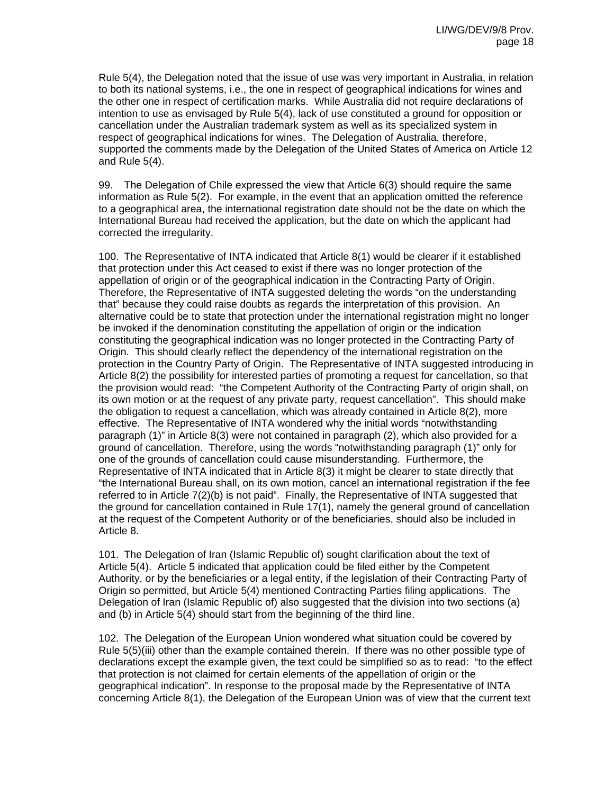Rule 5(4), the Delegation noted that the issue of use was very important in Australia, in relation to both its national systems, i.e., the one in respect of geographical indications for wines and the other one in respect of certification marks. While Australia did not require declarations of intention to use as envisaged by Rule 5(4), lack of use constituted a ground for opposition or cancellation under the Australian trademark system as well as its specialized system in respect of geographical indications for wines. The Delegation of Australia, therefore, supported the comments made by the Delegation of the United States of America on Article 12 and Rule 5(4).

99. The Delegation of Chile expressed the view that Article 6(3) should require the same information as Rule 5(2). For example, in the event that an application omitted the reference to a geographical area, the international registration date should not be the date on which the International Bureau had received the application, but the date on which the applicant had corrected the irregularity.

100. The Representative of INTA indicated that Article 8(1) would be clearer if it established that protection under this Act ceased to exist if there was no longer protection of the appellation of origin or of the geographical indication in the Contracting Party of Origin. Therefore, the Representative of INTA suggested deleting the words "on the understanding that" because they could raise doubts as regards the interpretation of this provision. An alternative could be to state that protection under the international registration might no longer be invoked if the denomination constituting the appellation of origin or the indication constituting the geographical indication was no longer protected in the Contracting Party of Origin. This should clearly reflect the dependency of the international registration on the protection in the Country Party of Origin. The Representative of INTA suggested introducing in Article 8(2) the possibility for interested parties of promoting a request for cancellation, so that the provision would read: "the Competent Authority of the Contracting Party of origin shall, on its own motion or at the request of any private party, request cancellation". This should make the obligation to request a cancellation, which was already contained in Article 8(2), more effective. The Representative of INTA wondered why the initial words "notwithstanding paragraph (1)" in Article 8(3) were not contained in paragraph (2), which also provided for a ground of cancellation. Therefore, using the words "notwithstanding paragraph (1)" only for one of the grounds of cancellation could cause misunderstanding. Furthermore, the Representative of INTA indicated that in Article 8(3) it might be clearer to state directly that "the International Bureau shall, on its own motion, cancel an international registration if the fee referred to in Article 7(2)(b) is not paid". Finally, the Representative of INTA suggested that the ground for cancellation contained in Rule 17(1), namely the general ground of cancellation at the request of the Competent Authority or of the beneficiaries, should also be included in Article 8.

101. The Delegation of Iran (Islamic Republic of) sought clarification about the text of Article 5(4). Article 5 indicated that application could be filed either by the Competent Authority, or by the beneficiaries or a legal entity, if the legislation of their Contracting Party of Origin so permitted, but Article 5(4) mentioned Contracting Parties filing applications. The Delegation of Iran (Islamic Republic of) also suggested that the division into two sections (a) and (b) in Article 5(4) should start from the beginning of the third line.

102. The Delegation of the European Union wondered what situation could be covered by Rule 5(5)(iii) other than the example contained therein. If there was no other possible type of declarations except the example given, the text could be simplified so as to read: "to the effect that protection is not claimed for certain elements of the appellation of origin or the geographical indication". In response to the proposal made by the Representative of INTA concerning Article 8(1), the Delegation of the European Union was of view that the current text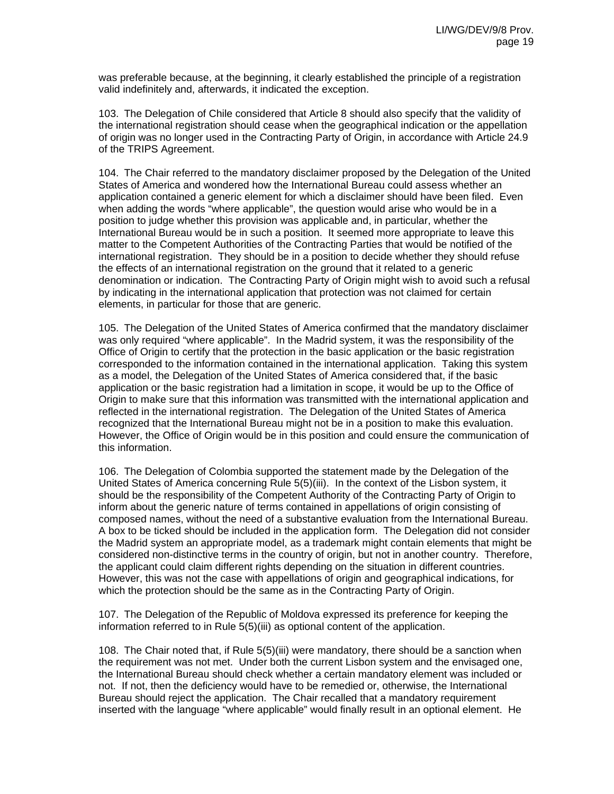was preferable because, at the beginning, it clearly established the principle of a registration valid indefinitely and, afterwards, it indicated the exception.

103. The Delegation of Chile considered that Article 8 should also specify that the validity of the international registration should cease when the geographical indication or the appellation of origin was no longer used in the Contracting Party of Origin, in accordance with Article 24.9 of the TRIPS Agreement.

104. The Chair referred to the mandatory disclaimer proposed by the Delegation of the United States of America and wondered how the International Bureau could assess whether an application contained a generic element for which a disclaimer should have been filed. Even when adding the words "where applicable", the question would arise who would be in a position to judge whether this provision was applicable and, in particular, whether the International Bureau would be in such a position. It seemed more appropriate to leave this matter to the Competent Authorities of the Contracting Parties that would be notified of the international registration. They should be in a position to decide whether they should refuse the effects of an international registration on the ground that it related to a generic denomination or indication. The Contracting Party of Origin might wish to avoid such a refusal by indicating in the international application that protection was not claimed for certain elements, in particular for those that are generic.

105. The Delegation of the United States of America confirmed that the mandatory disclaimer was only required "where applicable". In the Madrid system, it was the responsibility of the Office of Origin to certify that the protection in the basic application or the basic registration corresponded to the information contained in the international application. Taking this system as a model, the Delegation of the United States of America considered that, if the basic application or the basic registration had a limitation in scope, it would be up to the Office of Origin to make sure that this information was transmitted with the international application and reflected in the international registration. The Delegation of the United States of America recognized that the International Bureau might not be in a position to make this evaluation. However, the Office of Origin would be in this position and could ensure the communication of this information.

106. The Delegation of Colombia supported the statement made by the Delegation of the United States of America concerning Rule 5(5)(iii). In the context of the Lisbon system, it should be the responsibility of the Competent Authority of the Contracting Party of Origin to inform about the generic nature of terms contained in appellations of origin consisting of composed names, without the need of a substantive evaluation from the International Bureau. A box to be ticked should be included in the application form. The Delegation did not consider the Madrid system an appropriate model, as a trademark might contain elements that might be considered non-distinctive terms in the country of origin, but not in another country. Therefore, the applicant could claim different rights depending on the situation in different countries. However, this was not the case with appellations of origin and geographical indications, for which the protection should be the same as in the Contracting Party of Origin.

107. The Delegation of the Republic of Moldova expressed its preference for keeping the information referred to in Rule 5(5)(iii) as optional content of the application.

108. The Chair noted that, if Rule 5(5)(iii) were mandatory, there should be a sanction when the requirement was not met. Under both the current Lisbon system and the envisaged one, the International Bureau should check whether a certain mandatory element was included or not. If not, then the deficiency would have to be remedied or, otherwise, the International Bureau should reject the application. The Chair recalled that a mandatory requirement inserted with the language "where applicable" would finally result in an optional element. He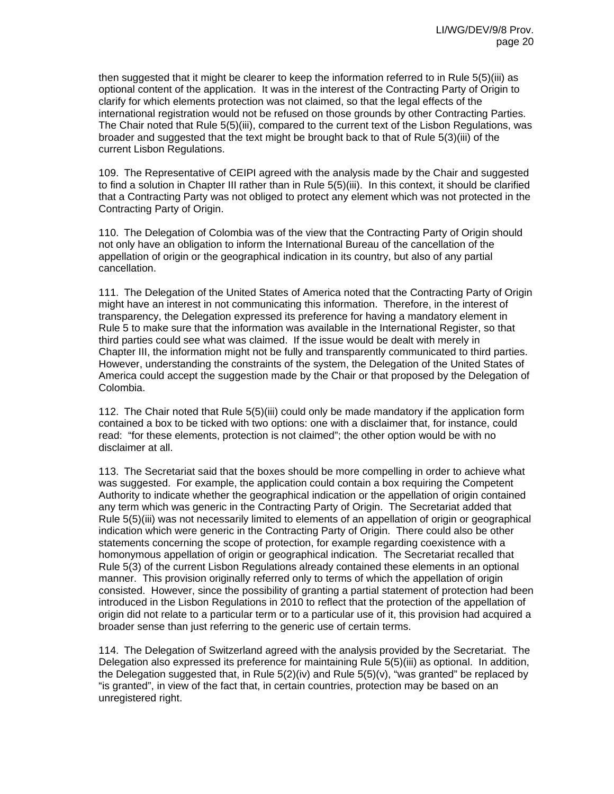then suggested that it might be clearer to keep the information referred to in Rule 5(5)(iii) as optional content of the application. It was in the interest of the Contracting Party of Origin to clarify for which elements protection was not claimed, so that the legal effects of the international registration would not be refused on those grounds by other Contracting Parties. The Chair noted that Rule 5(5)(iii), compared to the current text of the Lisbon Regulations, was broader and suggested that the text might be brought back to that of Rule 5(3)(iii) of the current Lisbon Regulations.

109. The Representative of CEIPI agreed with the analysis made by the Chair and suggested to find a solution in Chapter III rather than in Rule 5(5)(iii). In this context, it should be clarified that a Contracting Party was not obliged to protect any element which was not protected in the Contracting Party of Origin.

110. The Delegation of Colombia was of the view that the Contracting Party of Origin should not only have an obligation to inform the International Bureau of the cancellation of the appellation of origin or the geographical indication in its country, but also of any partial cancellation.

111. The Delegation of the United States of America noted that the Contracting Party of Origin might have an interest in not communicating this information. Therefore, in the interest of transparency, the Delegation expressed its preference for having a mandatory element in Rule 5 to make sure that the information was available in the International Register, so that third parties could see what was claimed. If the issue would be dealt with merely in Chapter III, the information might not be fully and transparently communicated to third parties. However, understanding the constraints of the system, the Delegation of the United States of America could accept the suggestion made by the Chair or that proposed by the Delegation of Colombia.

112. The Chair noted that Rule 5(5)(iii) could only be made mandatory if the application form contained a box to be ticked with two options: one with a disclaimer that, for instance, could read: "for these elements, protection is not claimed"; the other option would be with no disclaimer at all.

113. The Secretariat said that the boxes should be more compelling in order to achieve what was suggested. For example, the application could contain a box requiring the Competent Authority to indicate whether the geographical indication or the appellation of origin contained any term which was generic in the Contracting Party of Origin. The Secretariat added that Rule 5(5)(iii) was not necessarily limited to elements of an appellation of origin or geographical indication which were generic in the Contracting Party of Origin. There could also be other statements concerning the scope of protection, for example regarding coexistence with a homonymous appellation of origin or geographical indication. The Secretariat recalled that Rule 5(3) of the current Lisbon Regulations already contained these elements in an optional manner. This provision originally referred only to terms of which the appellation of origin consisted. However, since the possibility of granting a partial statement of protection had been introduced in the Lisbon Regulations in 2010 to reflect that the protection of the appellation of origin did not relate to a particular term or to a particular use of it, this provision had acquired a broader sense than just referring to the generic use of certain terms.

114. The Delegation of Switzerland agreed with the analysis provided by the Secretariat. The Delegation also expressed its preference for maintaining Rule 5(5)(iii) as optional. In addition, the Delegation suggested that, in Rule 5(2)(iv) and Rule 5(5)(v), "was granted" be replaced by "is granted", in view of the fact that, in certain countries, protection may be based on an unregistered right.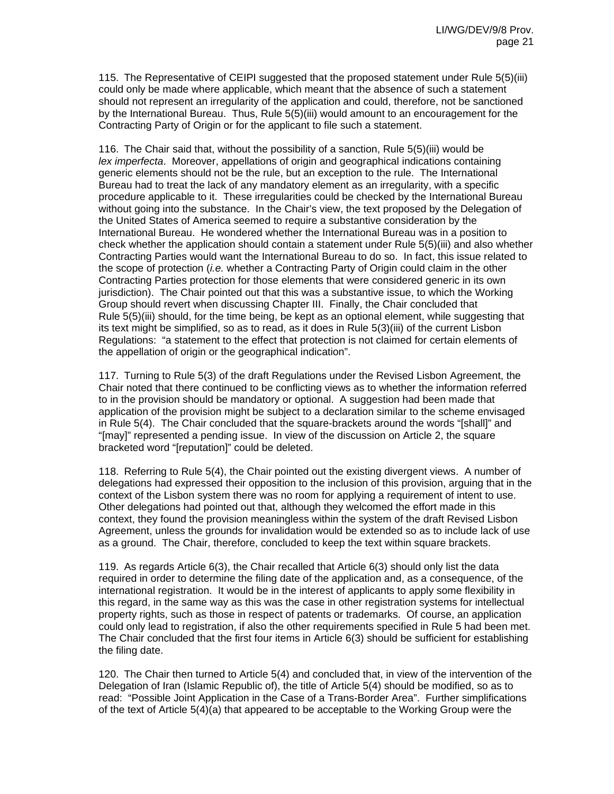115. The Representative of CEIPI suggested that the proposed statement under Rule 5(5)(iii) could only be made where applicable, which meant that the absence of such a statement should not represent an irregularity of the application and could, therefore, not be sanctioned by the International Bureau. Thus, Rule 5(5)(iii) would amount to an encouragement for the Contracting Party of Origin or for the applicant to file such a statement.

116. The Chair said that, without the possibility of a sanction, Rule 5(5)(iii) would be *lex imperfecta*. Moreover, appellations of origin and geographical indications containing generic elements should not be the rule, but an exception to the rule. The International Bureau had to treat the lack of any mandatory element as an irregularity, with a specific procedure applicable to it. These irregularities could be checked by the International Bureau without going into the substance. In the Chair's view, the text proposed by the Delegation of the United States of America seemed to require a substantive consideration by the International Bureau. He wondered whether the International Bureau was in a position to check whether the application should contain a statement under Rule 5(5)(iii) and also whether Contracting Parties would want the International Bureau to do so. In fact, this issue related to the scope of protection (*i.e.* whether a Contracting Party of Origin could claim in the other Contracting Parties protection for those elements that were considered generic in its own jurisdiction). The Chair pointed out that this was a substantive issue, to which the Working Group should revert when discussing Chapter III. Finally, the Chair concluded that Rule 5(5)(iii) should, for the time being, be kept as an optional element, while suggesting that its text might be simplified, so as to read, as it does in Rule 5(3)(iii) of the current Lisbon Regulations: "a statement to the effect that protection is not claimed for certain elements of the appellation of origin or the geographical indication".

117. Turning to Rule 5(3) of the draft Regulations under the Revised Lisbon Agreement, the Chair noted that there continued to be conflicting views as to whether the information referred to in the provision should be mandatory or optional. A suggestion had been made that application of the provision might be subject to a declaration similar to the scheme envisaged in Rule 5(4). The Chair concluded that the square-brackets around the words "[shall]" and "[may]" represented a pending issue. In view of the discussion on Article 2, the square bracketed word "[reputation]" could be deleted.

118. Referring to Rule 5(4), the Chair pointed out the existing divergent views. A number of delegations had expressed their opposition to the inclusion of this provision, arguing that in the context of the Lisbon system there was no room for applying a requirement of intent to use. Other delegations had pointed out that, although they welcomed the effort made in this context, they found the provision meaningless within the system of the draft Revised Lisbon Agreement, unless the grounds for invalidation would be extended so as to include lack of use as a ground. The Chair, therefore, concluded to keep the text within square brackets.

119. As regards Article 6(3), the Chair recalled that Article 6(3) should only list the data required in order to determine the filing date of the application and, as a consequence, of the international registration. It would be in the interest of applicants to apply some flexibility in this regard, in the same way as this was the case in other registration systems for intellectual property rights, such as those in respect of patents or trademarks. Of course, an application could only lead to registration, if also the other requirements specified in Rule 5 had been met. The Chair concluded that the first four items in Article 6(3) should be sufficient for establishing the filing date.

120. The Chair then turned to Article 5(4) and concluded that, in view of the intervention of the Delegation of Iran (Islamic Republic of), the title of Article 5(4) should be modified, so as to read: "Possible Joint Application in the Case of a Trans-Border Area". Further simplifications of the text of Article 5(4)(a) that appeared to be acceptable to the Working Group were the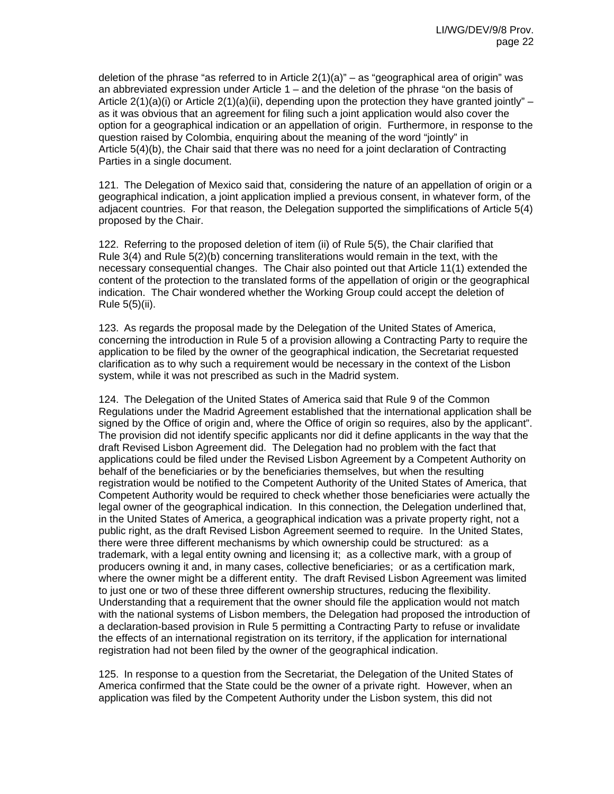deletion of the phrase "as referred to in Article  $2(1)(a)$ " – as "geographical area of origin" was an abbreviated expression under Article  $1 -$  and the deletion of the phrase "on the basis of Article  $2(1)(a)(i)$  or Article  $2(1)(a)(ii)$ , depending upon the protection they have granted jointly" – as it was obvious that an agreement for filing such a joint application would also cover the option for a geographical indication or an appellation of origin. Furthermore, in response to the question raised by Colombia, enquiring about the meaning of the word "jointly" in Article 5(4)(b), the Chair said that there was no need for a joint declaration of Contracting Parties in a single document.

121. The Delegation of Mexico said that, considering the nature of an appellation of origin or a geographical indication, a joint application implied a previous consent, in whatever form, of the adjacent countries. For that reason, the Delegation supported the simplifications of Article 5(4) proposed by the Chair.

122. Referring to the proposed deletion of item (ii) of Rule 5(5), the Chair clarified that Rule 3(4) and Rule 5(2)(b) concerning transliterations would remain in the text, with the necessary consequential changes. The Chair also pointed out that Article 11(1) extended the content of the protection to the translated forms of the appellation of origin or the geographical indication. The Chair wondered whether the Working Group could accept the deletion of Rule 5(5)(ii).

123. As regards the proposal made by the Delegation of the United States of America, concerning the introduction in Rule 5 of a provision allowing a Contracting Party to require the application to be filed by the owner of the geographical indication, the Secretariat requested clarification as to why such a requirement would be necessary in the context of the Lisbon system, while it was not prescribed as such in the Madrid system.

124. The Delegation of the United States of America said that Rule 9 of the Common Regulations under the Madrid Agreement established that the international application shall be signed by the Office of origin and, where the Office of origin so requires, also by the applicant". The provision did not identify specific applicants nor did it define applicants in the way that the draft Revised Lisbon Agreement did. The Delegation had no problem with the fact that applications could be filed under the Revised Lisbon Agreement by a Competent Authority on behalf of the beneficiaries or by the beneficiaries themselves, but when the resulting registration would be notified to the Competent Authority of the United States of America, that Competent Authority would be required to check whether those beneficiaries were actually the legal owner of the geographical indication. In this connection, the Delegation underlined that, in the United States of America, a geographical indication was a private property right, not a public right, as the draft Revised Lisbon Agreement seemed to require. In the United States, there were three different mechanisms by which ownership could be structured: as a trademark, with a legal entity owning and licensing it; as a collective mark, with a group of producers owning it and, in many cases, collective beneficiaries; or as a certification mark, where the owner might be a different entity. The draft Revised Lisbon Agreement was limited to just one or two of these three different ownership structures, reducing the flexibility. Understanding that a requirement that the owner should file the application would not match with the national systems of Lisbon members, the Delegation had proposed the introduction of a declaration-based provision in Rule 5 permitting a Contracting Party to refuse or invalidate the effects of an international registration on its territory, if the application for international registration had not been filed by the owner of the geographical indication.

125. In response to a question from the Secretariat, the Delegation of the United States of America confirmed that the State could be the owner of a private right. However, when an application was filed by the Competent Authority under the Lisbon system, this did not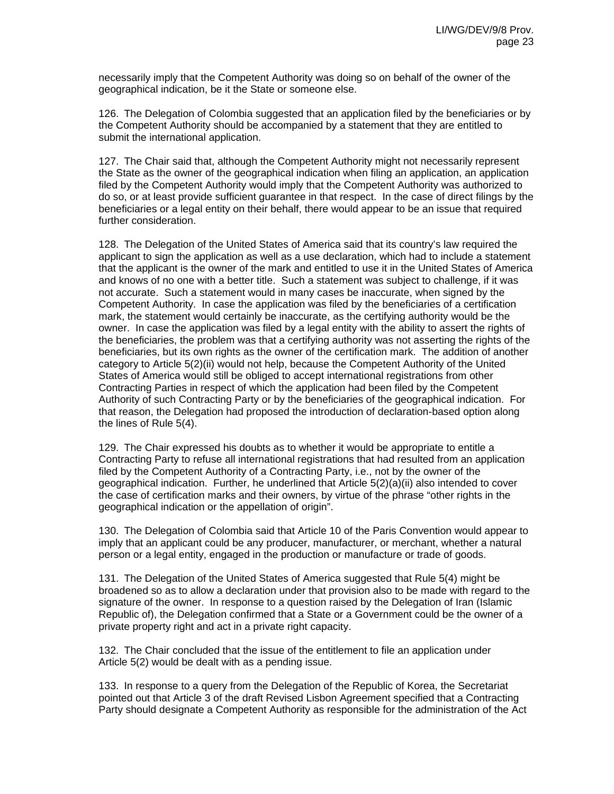necessarily imply that the Competent Authority was doing so on behalf of the owner of the geographical indication, be it the State or someone else.

126. The Delegation of Colombia suggested that an application filed by the beneficiaries or by the Competent Authority should be accompanied by a statement that they are entitled to submit the international application.

127. The Chair said that, although the Competent Authority might not necessarily represent the State as the owner of the geographical indication when filing an application, an application filed by the Competent Authority would imply that the Competent Authority was authorized to do so, or at least provide sufficient guarantee in that respect. In the case of direct filings by the beneficiaries or a legal entity on their behalf, there would appear to be an issue that required further consideration.

128. The Delegation of the United States of America said that its country's law required the applicant to sign the application as well as a use declaration, which had to include a statement that the applicant is the owner of the mark and entitled to use it in the United States of America and knows of no one with a better title. Such a statement was subject to challenge, if it was not accurate. Such a statement would in many cases be inaccurate, when signed by the Competent Authority. In case the application was filed by the beneficiaries of a certification mark, the statement would certainly be inaccurate, as the certifying authority would be the owner. In case the application was filed by a legal entity with the ability to assert the rights of the beneficiaries, the problem was that a certifying authority was not asserting the rights of the beneficiaries, but its own rights as the owner of the certification mark. The addition of another category to Article 5(2)(ii) would not help, because the Competent Authority of the United States of America would still be obliged to accept international registrations from other Contracting Parties in respect of which the application had been filed by the Competent Authority of such Contracting Party or by the beneficiaries of the geographical indication. For that reason, the Delegation had proposed the introduction of declaration-based option along the lines of Rule 5(4).

129. The Chair expressed his doubts as to whether it would be appropriate to entitle a Contracting Party to refuse all international registrations that had resulted from an application filed by the Competent Authority of a Contracting Party, i.e., not by the owner of the geographical indication. Further, he underlined that Article 5(2)(a)(ii) also intended to cover the case of certification marks and their owners, by virtue of the phrase "other rights in the geographical indication or the appellation of origin".

130. The Delegation of Colombia said that Article 10 of the Paris Convention would appear to imply that an applicant could be any producer, manufacturer, or merchant, whether a natural person or a legal entity, engaged in the production or manufacture or trade of goods.

131. The Delegation of the United States of America suggested that Rule 5(4) might be broadened so as to allow a declaration under that provision also to be made with regard to the signature of the owner. In response to a question raised by the Delegation of Iran (Islamic Republic of), the Delegation confirmed that a State or a Government could be the owner of a private property right and act in a private right capacity.

132. The Chair concluded that the issue of the entitlement to file an application under Article 5(2) would be dealt with as a pending issue.

133. In response to a query from the Delegation of the Republic of Korea, the Secretariat pointed out that Article 3 of the draft Revised Lisbon Agreement specified that a Contracting Party should designate a Competent Authority as responsible for the administration of the Act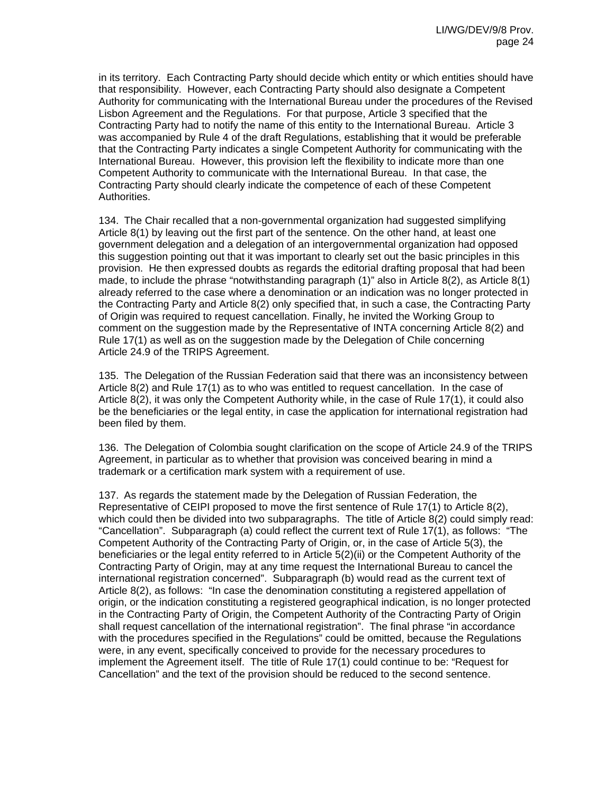in its territory. Each Contracting Party should decide which entity or which entities should have that responsibility. However, each Contracting Party should also designate a Competent Authority for communicating with the International Bureau under the procedures of the Revised Lisbon Agreement and the Regulations. For that purpose, Article 3 specified that the Contracting Party had to notify the name of this entity to the International Bureau. Article 3 was accompanied by Rule 4 of the draft Regulations, establishing that it would be preferable that the Contracting Party indicates a single Competent Authority for communicating with the International Bureau. However, this provision left the flexibility to indicate more than one Competent Authority to communicate with the International Bureau. In that case, the Contracting Party should clearly indicate the competence of each of these Competent Authorities.

134. The Chair recalled that a non-governmental organization had suggested simplifying Article 8(1) by leaving out the first part of the sentence. On the other hand, at least one government delegation and a delegation of an intergovernmental organization had opposed this suggestion pointing out that it was important to clearly set out the basic principles in this provision. He then expressed doubts as regards the editorial drafting proposal that had been made, to include the phrase "notwithstanding paragraph (1)" also in Article 8(2), as Article 8(1) already referred to the case where a denomination or an indication was no longer protected in the Contracting Party and Article 8(2) only specified that, in such a case, the Contracting Party of Origin was required to request cancellation. Finally, he invited the Working Group to comment on the suggestion made by the Representative of INTA concerning Article 8(2) and Rule 17(1) as well as on the suggestion made by the Delegation of Chile concerning Article 24.9 of the TRIPS Agreement.

135. The Delegation of the Russian Federation said that there was an inconsistency between Article 8(2) and Rule 17(1) as to who was entitled to request cancellation. In the case of Article 8(2), it was only the Competent Authority while, in the case of Rule 17(1), it could also be the beneficiaries or the legal entity, in case the application for international registration had been filed by them.

136. The Delegation of Colombia sought clarification on the scope of Article 24.9 of the TRIPS Agreement, in particular as to whether that provision was conceived bearing in mind a trademark or a certification mark system with a requirement of use.

137. As regards the statement made by the Delegation of Russian Federation, the Representative of CEIPI proposed to move the first sentence of Rule 17(1) to Article 8(2), which could then be divided into two subparagraphs. The title of Article 8(2) could simply read: "Cancellation". Subparagraph (a) could reflect the current text of Rule 17(1), as follows: "The Competent Authority of the Contracting Party of Origin, or, in the case of Article 5(3), the beneficiaries or the legal entity referred to in Article 5(2)(ii) or the Competent Authority of the Contracting Party of Origin, may at any time request the International Bureau to cancel the international registration concerned". Subparagraph (b) would read as the current text of Article 8(2), as follows: "In case the denomination constituting a registered appellation of origin, or the indication constituting a registered geographical indication, is no longer protected in the Contracting Party of Origin, the Competent Authority of the Contracting Party of Origin shall request cancellation of the international registration". The final phrase "in accordance with the procedures specified in the Regulations" could be omitted, because the Regulations were, in any event, specifically conceived to provide for the necessary procedures to implement the Agreement itself. The title of Rule 17(1) could continue to be: "Request for Cancellation" and the text of the provision should be reduced to the second sentence.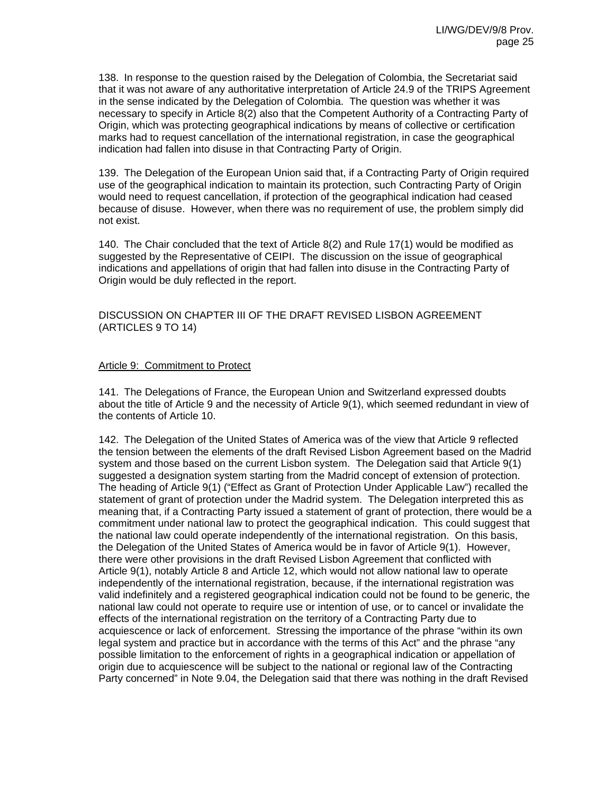138. In response to the question raised by the Delegation of Colombia, the Secretariat said that it was not aware of any authoritative interpretation of Article 24.9 of the TRIPS Agreement in the sense indicated by the Delegation of Colombia. The question was whether it was necessary to specify in Article 8(2) also that the Competent Authority of a Contracting Party of Origin, which was protecting geographical indications by means of collective or certification marks had to request cancellation of the international registration, in case the geographical indication had fallen into disuse in that Contracting Party of Origin.

139. The Delegation of the European Union said that, if a Contracting Party of Origin required use of the geographical indication to maintain its protection, such Contracting Party of Origin would need to request cancellation, if protection of the geographical indication had ceased because of disuse. However, when there was no requirement of use, the problem simply did not exist.

140. The Chair concluded that the text of Article 8(2) and Rule 17(1) would be modified as suggested by the Representative of CEIPI. The discussion on the issue of geographical indications and appellations of origin that had fallen into disuse in the Contracting Party of Origin would be duly reflected in the report.

## DISCUSSION ON CHAPTER III OF THE DRAFT REVISED LISBON AGREEMENT (ARTICLES 9 TO 14)

#### Article 9: Commitment to Protect

141. The Delegations of France, the European Union and Switzerland expressed doubts about the title of Article 9 and the necessity of Article 9(1), which seemed redundant in view of the contents of Article 10.

142. The Delegation of the United States of America was of the view that Article 9 reflected the tension between the elements of the draft Revised Lisbon Agreement based on the Madrid system and those based on the current Lisbon system. The Delegation said that Article 9(1) suggested a designation system starting from the Madrid concept of extension of protection. The heading of Article 9(1) ("Effect as Grant of Protection Under Applicable Law") recalled the statement of grant of protection under the Madrid system. The Delegation interpreted this as meaning that, if a Contracting Party issued a statement of grant of protection, there would be a commitment under national law to protect the geographical indication. This could suggest that the national law could operate independently of the international registration. On this basis, the Delegation of the United States of America would be in favor of Article 9(1). However, there were other provisions in the draft Revised Lisbon Agreement that conflicted with Article 9(1), notably Article 8 and Article 12, which would not allow national law to operate independently of the international registration, because, if the international registration was valid indefinitely and a registered geographical indication could not be found to be generic, the national law could not operate to require use or intention of use, or to cancel or invalidate the effects of the international registration on the territory of a Contracting Party due to acquiescence or lack of enforcement. Stressing the importance of the phrase "within its own legal system and practice but in accordance with the terms of this Act" and the phrase "any possible limitation to the enforcement of rights in a geographical indication or appellation of origin due to acquiescence will be subject to the national or regional law of the Contracting Party concerned" in Note 9.04, the Delegation said that there was nothing in the draft Revised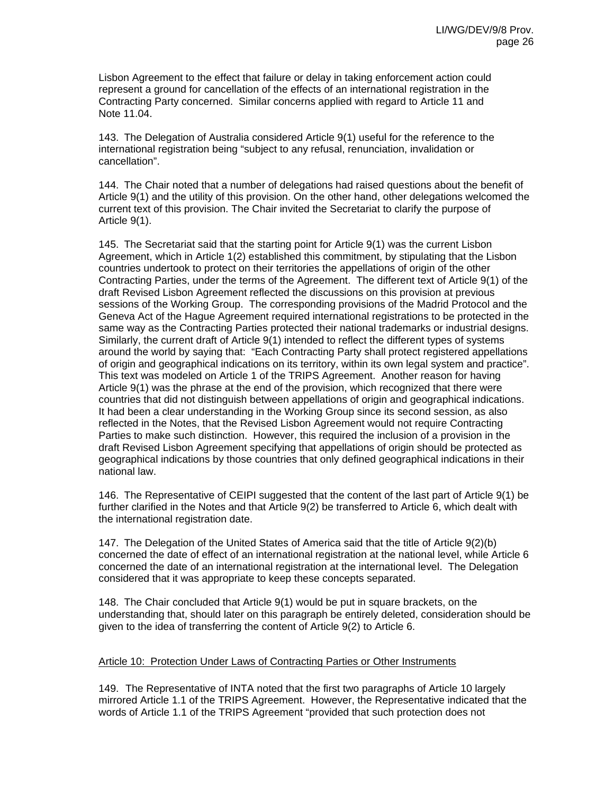Lisbon Agreement to the effect that failure or delay in taking enforcement action could represent a ground for cancellation of the effects of an international registration in the Contracting Party concerned. Similar concerns applied with regard to Article 11 and Note 11.04.

143. The Delegation of Australia considered Article 9(1) useful for the reference to the international registration being "subject to any refusal, renunciation, invalidation or cancellation".

144. The Chair noted that a number of delegations had raised questions about the benefit of Article 9(1) and the utility of this provision. On the other hand, other delegations welcomed the current text of this provision. The Chair invited the Secretariat to clarify the purpose of Article 9(1).

145. The Secretariat said that the starting point for Article 9(1) was the current Lisbon Agreement, which in Article 1(2) established this commitment, by stipulating that the Lisbon countries undertook to protect on their territories the appellations of origin of the other Contracting Parties, under the terms of the Agreement. The different text of Article 9(1) of the draft Revised Lisbon Agreement reflected the discussions on this provision at previous sessions of the Working Group. The corresponding provisions of the Madrid Protocol and the Geneva Act of the Hague Agreement required international registrations to be protected in the same way as the Contracting Parties protected their national trademarks or industrial designs. Similarly, the current draft of Article 9(1) intended to reflect the different types of systems around the world by saying that: "Each Contracting Party shall protect registered appellations of origin and geographical indications on its territory, within its own legal system and practice". This text was modeled on Article 1 of the TRIPS Agreement. Another reason for having Article 9(1) was the phrase at the end of the provision, which recognized that there were countries that did not distinguish between appellations of origin and geographical indications. It had been a clear understanding in the Working Group since its second session, as also reflected in the Notes, that the Revised Lisbon Agreement would not require Contracting Parties to make such distinction. However, this required the inclusion of a provision in the draft Revised Lisbon Agreement specifying that appellations of origin should be protected as geographical indications by those countries that only defined geographical indications in their national law.

146. The Representative of CEIPI suggested that the content of the last part of Article 9(1) be further clarified in the Notes and that Article 9(2) be transferred to Article 6, which dealt with the international registration date.

147. The Delegation of the United States of America said that the title of Article 9(2)(b) concerned the date of effect of an international registration at the national level, while Article 6 concerned the date of an international registration at the international level. The Delegation considered that it was appropriate to keep these concepts separated.

148. The Chair concluded that Article 9(1) would be put in square brackets, on the understanding that, should later on this paragraph be entirely deleted, consideration should be given to the idea of transferring the content of Article 9(2) to Article 6.

## Article 10: Protection Under Laws of Contracting Parties or Other Instruments

149. The Representative of INTA noted that the first two paragraphs of Article 10 largely mirrored Article 1.1 of the TRIPS Agreement. However, the Representative indicated that the words of Article 1.1 of the TRIPS Agreement "provided that such protection does not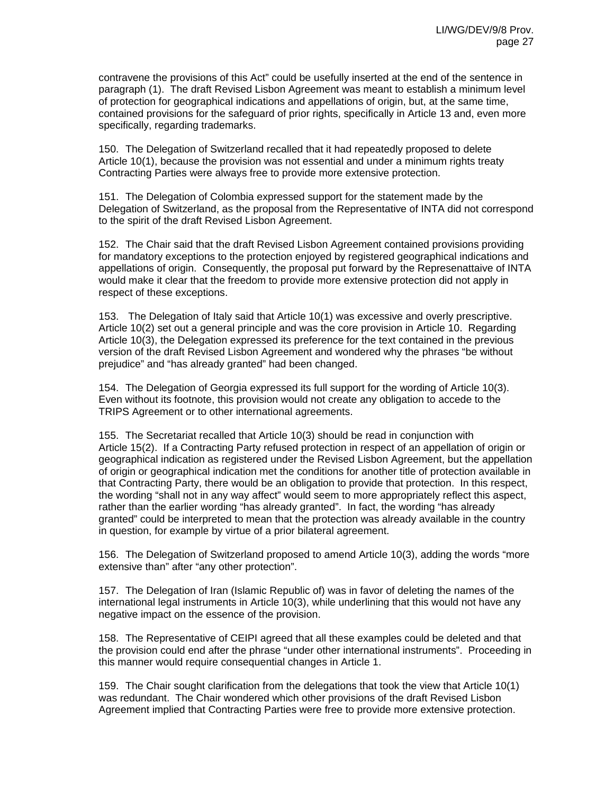contravene the provisions of this Act" could be usefully inserted at the end of the sentence in paragraph (1). The draft Revised Lisbon Agreement was meant to establish a minimum level of protection for geographical indications and appellations of origin, but, at the same time, contained provisions for the safeguard of prior rights, specifically in Article 13 and, even more specifically, regarding trademarks.

150. The Delegation of Switzerland recalled that it had repeatedly proposed to delete Article 10(1), because the provision was not essential and under a minimum rights treaty Contracting Parties were always free to provide more extensive protection.

151. The Delegation of Colombia expressed support for the statement made by the Delegation of Switzerland, as the proposal from the Representative of INTA did not correspond to the spirit of the draft Revised Lisbon Agreement.

152. The Chair said that the draft Revised Lisbon Agreement contained provisions providing for mandatory exceptions to the protection enjoyed by registered geographical indications and appellations of origin. Consequently, the proposal put forward by the Represenattaive of INTA would make it clear that the freedom to provide more extensive protection did not apply in respect of these exceptions.

153. The Delegation of Italy said that Article 10(1) was excessive and overly prescriptive. Article 10(2) set out a general principle and was the core provision in Article 10. Regarding Article 10(3), the Delegation expressed its preference for the text contained in the previous version of the draft Revised Lisbon Agreement and wondered why the phrases "be without prejudice" and "has already granted" had been changed.

154. The Delegation of Georgia expressed its full support for the wording of Article 10(3). Even without its footnote, this provision would not create any obligation to accede to the TRIPS Agreement or to other international agreements.

155. The Secretariat recalled that Article 10(3) should be read in conjunction with Article 15(2). If a Contracting Party refused protection in respect of an appellation of origin or geographical indication as registered under the Revised Lisbon Agreement, but the appellation of origin or geographical indication met the conditions for another title of protection available in that Contracting Party, there would be an obligation to provide that protection. In this respect, the wording "shall not in any way affect" would seem to more appropriately reflect this aspect, rather than the earlier wording "has already granted". In fact, the wording "has already granted" could be interpreted to mean that the protection was already available in the country in question, for example by virtue of a prior bilateral agreement.

156. The Delegation of Switzerland proposed to amend Article 10(3), adding the words "more extensive than" after "any other protection".

157. The Delegation of Iran (Islamic Republic of) was in favor of deleting the names of the international legal instruments in Article 10(3), while underlining that this would not have any negative impact on the essence of the provision.

158. The Representative of CEIPI agreed that all these examples could be deleted and that the provision could end after the phrase "under other international instruments". Proceeding in this manner would require consequential changes in Article 1.

159. The Chair sought clarification from the delegations that took the view that Article 10(1) was redundant. The Chair wondered which other provisions of the draft Revised Lisbon Agreement implied that Contracting Parties were free to provide more extensive protection.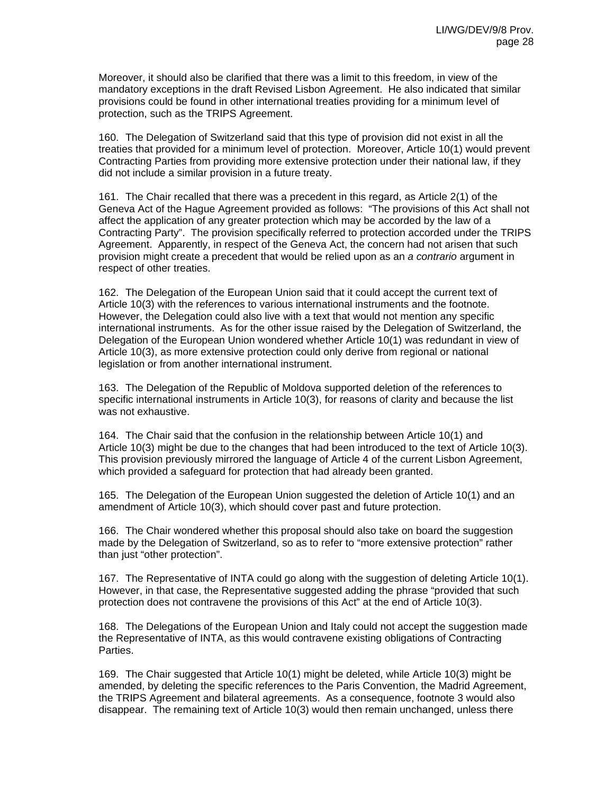Moreover, it should also be clarified that there was a limit to this freedom, in view of the mandatory exceptions in the draft Revised Lisbon Agreement. He also indicated that similar provisions could be found in other international treaties providing for a minimum level of protection, such as the TRIPS Agreement.

160. The Delegation of Switzerland said that this type of provision did not exist in all the treaties that provided for a minimum level of protection. Moreover, Article 10(1) would prevent Contracting Parties from providing more extensive protection under their national law, if they did not include a similar provision in a future treaty.

161. The Chair recalled that there was a precedent in this regard, as Article 2(1) of the Geneva Act of the Hague Agreement provided as follows: "The provisions of this Act shall not affect the application of any greater protection which may be accorded by the law of a Contracting Party". The provision specifically referred to protection accorded under the TRIPS Agreement. Apparently, in respect of the Geneva Act, the concern had not arisen that such provision might create a precedent that would be relied upon as an *a contrario* argument in respect of other treaties.

162. The Delegation of the European Union said that it could accept the current text of Article 10(3) with the references to various international instruments and the footnote. However, the Delegation could also live with a text that would not mention any specific international instruments. As for the other issue raised by the Delegation of Switzerland, the Delegation of the European Union wondered whether Article 10(1) was redundant in view of Article 10(3), as more extensive protection could only derive from regional or national legislation or from another international instrument.

163. The Delegation of the Republic of Moldova supported deletion of the references to specific international instruments in Article 10(3), for reasons of clarity and because the list was not exhaustive.

164. The Chair said that the confusion in the relationship between Article 10(1) and Article 10(3) might be due to the changes that had been introduced to the text of Article 10(3). This provision previously mirrored the language of Article 4 of the current Lisbon Agreement, which provided a safeguard for protection that had already been granted.

165. The Delegation of the European Union suggested the deletion of Article 10(1) and an amendment of Article 10(3), which should cover past and future protection.

166. The Chair wondered whether this proposal should also take on board the suggestion made by the Delegation of Switzerland, so as to refer to "more extensive protection" rather than just "other protection".

167. The Representative of INTA could go along with the suggestion of deleting Article 10(1). However, in that case, the Representative suggested adding the phrase "provided that such protection does not contravene the provisions of this Act" at the end of Article 10(3).

168. The Delegations of the European Union and Italy could not accept the suggestion made the Representative of INTA, as this would contravene existing obligations of Contracting Parties.

169. The Chair suggested that Article 10(1) might be deleted, while Article 10(3) might be amended, by deleting the specific references to the Paris Convention, the Madrid Agreement, the TRIPS Agreement and bilateral agreements. As a consequence, footnote 3 would also disappear. The remaining text of Article 10(3) would then remain unchanged, unless there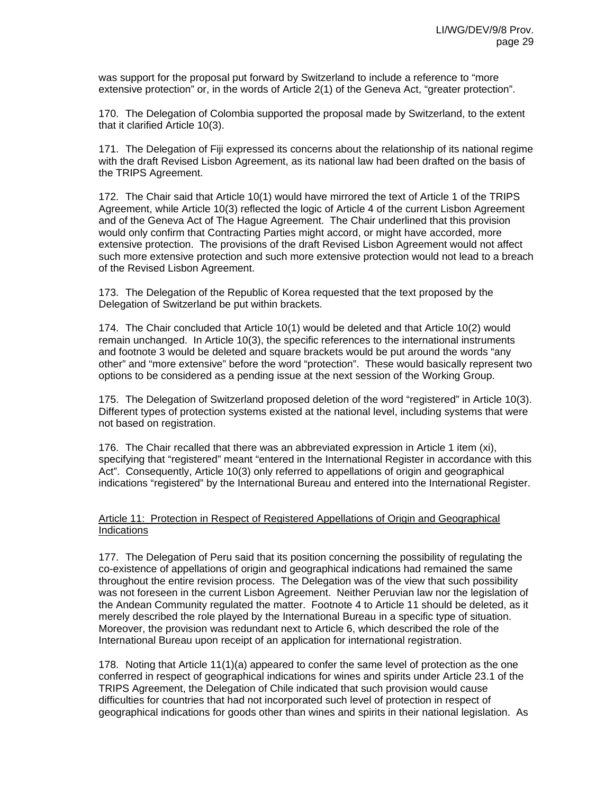was support for the proposal put forward by Switzerland to include a reference to "more extensive protection" or, in the words of Article 2(1) of the Geneva Act, "greater protection".

170. The Delegation of Colombia supported the proposal made by Switzerland, to the extent that it clarified Article 10(3).

171. The Delegation of Fiji expressed its concerns about the relationship of its national regime with the draft Revised Lisbon Agreement, as its national law had been drafted on the basis of the TRIPS Agreement.

172. The Chair said that Article 10(1) would have mirrored the text of Article 1 of the TRIPS Agreement, while Article 10(3) reflected the logic of Article 4 of the current Lisbon Agreement and of the Geneva Act of The Hague Agreement. The Chair underlined that this provision would only confirm that Contracting Parties might accord, or might have accorded, more extensive protection. The provisions of the draft Revised Lisbon Agreement would not affect such more extensive protection and such more extensive protection would not lead to a breach of the Revised Lisbon Agreement.

173. The Delegation of the Republic of Korea requested that the text proposed by the Delegation of Switzerland be put within brackets.

174. The Chair concluded that Article 10(1) would be deleted and that Article 10(2) would remain unchanged. In Article 10(3), the specific references to the international instruments and footnote 3 would be deleted and square brackets would be put around the words "any other" and "more extensive" before the word "protection". These would basically represent two options to be considered as a pending issue at the next session of the Working Group.

175. The Delegation of Switzerland proposed deletion of the word "registered" in Article 10(3). Different types of protection systems existed at the national level, including systems that were not based on registration.

176. The Chair recalled that there was an abbreviated expression in Article 1 item (xi), specifying that "registered" meant "entered in the International Register in accordance with this Act". Consequently, Article 10(3) only referred to appellations of origin and geographical indications "registered" by the International Bureau and entered into the International Register.

## Article 11: Protection in Respect of Registered Appellations of Origin and Geographical Indications

177. The Delegation of Peru said that its position concerning the possibility of regulating the co-existence of appellations of origin and geographical indications had remained the same throughout the entire revision process. The Delegation was of the view that such possibility was not foreseen in the current Lisbon Agreement. Neither Peruvian law nor the legislation of the Andean Community regulated the matter. Footnote 4 to Article 11 should be deleted, as it merely described the role played by the International Bureau in a specific type of situation. Moreover, the provision was redundant next to Article 6, which described the role of the International Bureau upon receipt of an application for international registration.

178. Noting that Article 11(1)(a) appeared to confer the same level of protection as the one conferred in respect of geographical indications for wines and spirits under Article 23.1 of the TRIPS Agreement, the Delegation of Chile indicated that such provision would cause difficulties for countries that had not incorporated such level of protection in respect of geographical indications for goods other than wines and spirits in their national legislation. As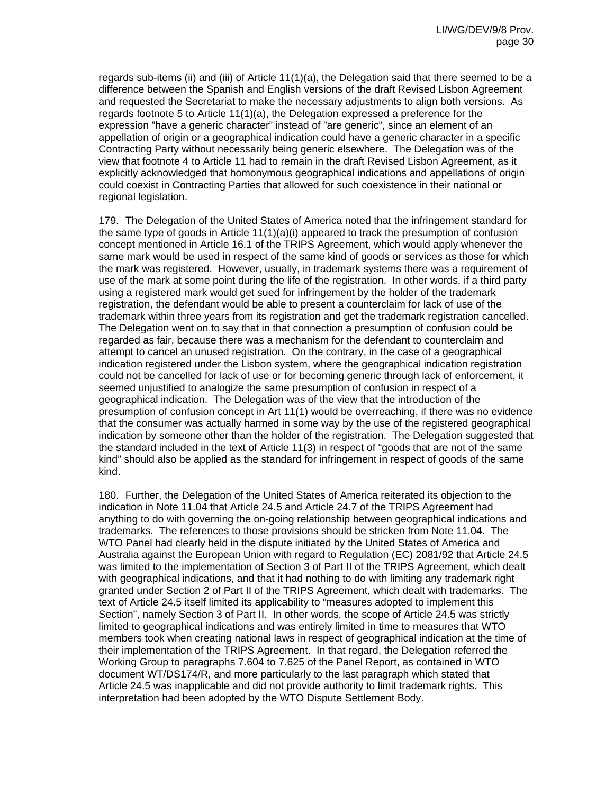regards sub-items (ii) and (iii) of Article 11(1)(a), the Delegation said that there seemed to be a difference between the Spanish and English versions of the draft Revised Lisbon Agreement and requested the Secretariat to make the necessary adjustments to align both versions. As regards footnote 5 to Article 11(1)(a), the Delegation expressed a preference for the expression "have a generic character" instead of "are generic", since an element of an appellation of origin or a geographical indication could have a generic character in a specific Contracting Party without necessarily being generic elsewhere. The Delegation was of the view that footnote 4 to Article 11 had to remain in the draft Revised Lisbon Agreement, as it explicitly acknowledged that homonymous geographical indications and appellations of origin could coexist in Contracting Parties that allowed for such coexistence in their national or regional legislation.

179. The Delegation of the United States of America noted that the infringement standard for the same type of goods in Article  $11(1)(a)(i)$  appeared to track the presumption of confusion concept mentioned in Article 16.1 of the TRIPS Agreement, which would apply whenever the same mark would be used in respect of the same kind of goods or services as those for which the mark was registered. However, usually, in trademark systems there was a requirement of use of the mark at some point during the life of the registration. In other words, if a third party using a registered mark would get sued for infringement by the holder of the trademark registration, the defendant would be able to present a counterclaim for lack of use of the trademark within three years from its registration and get the trademark registration cancelled. The Delegation went on to say that in that connection a presumption of confusion could be regarded as fair, because there was a mechanism for the defendant to counterclaim and attempt to cancel an unused registration. On the contrary, in the case of a geographical indication registered under the Lisbon system, where the geographical indication registration could not be cancelled for lack of use or for becoming generic through lack of enforcement, it seemed unjustified to analogize the same presumption of confusion in respect of a geographical indication. The Delegation was of the view that the introduction of the presumption of confusion concept in Art 11(1) would be overreaching, if there was no evidence that the consumer was actually harmed in some way by the use of the registered geographical indication by someone other than the holder of the registration. The Delegation suggested that the standard included in the text of Article 11(3) in respect of "goods that are not of the same kind" should also be applied as the standard for infringement in respect of goods of the same kind.

180. Further, the Delegation of the United States of America reiterated its objection to the indication in Note 11.04 that Article 24.5 and Article 24.7 of the TRIPS Agreement had anything to do with governing the on-going relationship between geographical indications and trademarks. The references to those provisions should be stricken from Note 11.04. The WTO Panel had clearly held in the dispute initiated by the United States of America and Australia against the European Union with regard to Regulation (EC) 2081/92 that Article 24.5 was limited to the implementation of Section 3 of Part II of the TRIPS Agreement, which dealt with geographical indications, and that it had nothing to do with limiting any trademark right granted under Section 2 of Part II of the TRIPS Agreement, which dealt with trademarks. The text of Article 24.5 itself limited its applicability to "measures adopted to implement this Section", namely Section 3 of Part II. In other words, the scope of Article 24.5 was strictly limited to geographical indications and was entirely limited in time to measures that WTO members took when creating national laws in respect of geographical indication at the time of their implementation of the TRIPS Agreement. In that regard, the Delegation referred the Working Group to paragraphs 7.604 to 7.625 of the Panel Report, as contained in WTO document WT/DS174/R, and more particularly to the last paragraph which stated that Article 24.5 was inapplicable and did not provide authority to limit trademark rights. This interpretation had been adopted by the WTO Dispute Settlement Body.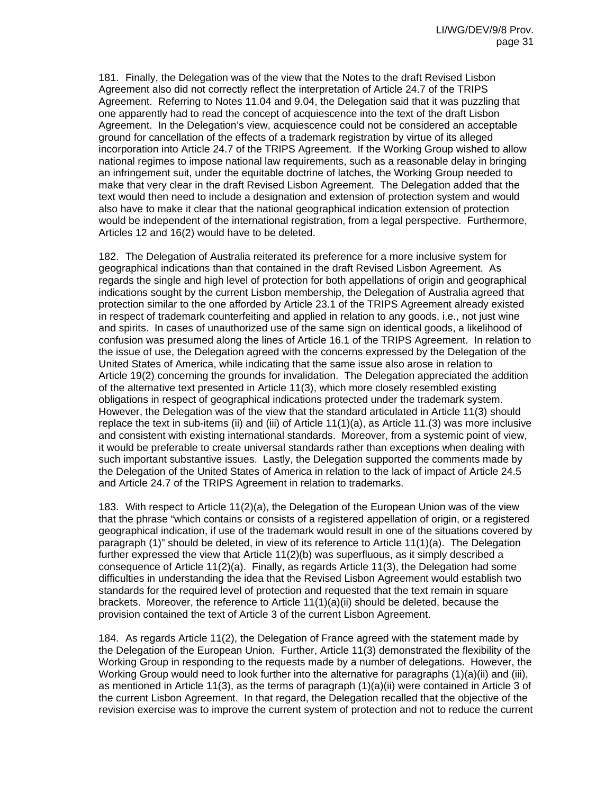181. Finally, the Delegation was of the view that the Notes to the draft Revised Lisbon Agreement also did not correctly reflect the interpretation of Article 24.7 of the TRIPS Agreement. Referring to Notes 11.04 and 9.04, the Delegation said that it was puzzling that one apparently had to read the concept of acquiescence into the text of the draft Lisbon Agreement. In the Delegation's view, acquiescence could not be considered an acceptable ground for cancellation of the effects of a trademark registration by virtue of its alleged incorporation into Article 24.7 of the TRIPS Agreement. If the Working Group wished to allow national regimes to impose national law requirements, such as a reasonable delay in bringing an infringement suit, under the equitable doctrine of latches, the Working Group needed to make that very clear in the draft Revised Lisbon Agreement. The Delegation added that the text would then need to include a designation and extension of protection system and would also have to make it clear that the national geographical indication extension of protection would be independent of the international registration, from a legal perspective. Furthermore, Articles 12 and 16(2) would have to be deleted.

182. The Delegation of Australia reiterated its preference for a more inclusive system for geographical indications than that contained in the draft Revised Lisbon Agreement. As regards the single and high level of protection for both appellations of origin and geographical indications sought by the current Lisbon membership, the Delegation of Australia agreed that protection similar to the one afforded by Article 23.1 of the TRIPS Agreement already existed in respect of trademark counterfeiting and applied in relation to any goods, i.e., not just wine and spirits. In cases of unauthorized use of the same sign on identical goods, a likelihood of confusion was presumed along the lines of Article 16.1 of the TRIPS Agreement. In relation to the issue of use, the Delegation agreed with the concerns expressed by the Delegation of the United States of America, while indicating that the same issue also arose in relation to Article 19(2) concerning the grounds for invalidation. The Delegation appreciated the addition of the alternative text presented in Article 11(3), which more closely resembled existing obligations in respect of geographical indications protected under the trademark system. However, the Delegation was of the view that the standard articulated in Article 11(3) should replace the text in sub-items (ii) and (iii) of Article 11(1)(a), as Article 11.(3) was more inclusive and consistent with existing international standards. Moreover, from a systemic point of view, it would be preferable to create universal standards rather than exceptions when dealing with such important substantive issues. Lastly, the Delegation supported the comments made by the Delegation of the United States of America in relation to the lack of impact of Article 24.5 and Article 24.7 of the TRIPS Agreement in relation to trademarks.

183. With respect to Article 11(2)(a), the Delegation of the European Union was of the view that the phrase "which contains or consists of a registered appellation of origin, or a registered geographical indication, if use of the trademark would result in one of the situations covered by paragraph (1)" should be deleted, in view of its reference to Article 11(1)(a). The Delegation further expressed the view that Article 11(2)(b) was superfluous, as it simply described a consequence of Article 11(2)(a). Finally, as regards Article 11(3), the Delegation had some difficulties in understanding the idea that the Revised Lisbon Agreement would establish two standards for the required level of protection and requested that the text remain in square brackets. Moreover, the reference to Article  $11(1)(a)(ii)$  should be deleted, because the provision contained the text of Article 3 of the current Lisbon Agreement.

184. As regards Article 11(2), the Delegation of France agreed with the statement made by the Delegation of the European Union. Further, Article 11(3) demonstrated the flexibility of the Working Group in responding to the requests made by a number of delegations. However, the Working Group would need to look further into the alternative for paragraphs (1)(a)(ii) and (iii), as mentioned in Article 11(3), as the terms of paragraph (1)(a)(ii) were contained in Article 3 of the current Lisbon Agreement. In that regard, the Delegation recalled that the objective of the revision exercise was to improve the current system of protection and not to reduce the current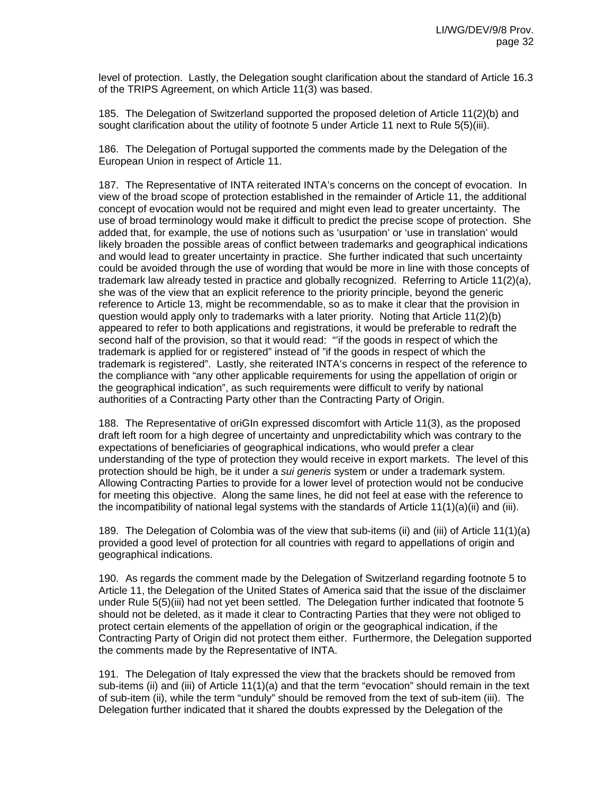level of protection. Lastly, the Delegation sought clarification about the standard of Article 16.3 of the TRIPS Agreement, on which Article 11(3) was based.

185. The Delegation of Switzerland supported the proposed deletion of Article 11(2)(b) and sought clarification about the utility of footnote 5 under Article 11 next to Rule 5(5)(iii).

186. The Delegation of Portugal supported the comments made by the Delegation of the European Union in respect of Article 11.

187. The Representative of INTA reiterated INTA's concerns on the concept of evocation. In view of the broad scope of protection established in the remainder of Article 11, the additional concept of evocation would not be required and might even lead to greater uncertainty. The use of broad terminology would make it difficult to predict the precise scope of protection. She added that, for example, the use of notions such as 'usurpation' or 'use in translation' would likely broaden the possible areas of conflict between trademarks and geographical indications and would lead to greater uncertainty in practice. She further indicated that such uncertainty could be avoided through the use of wording that would be more in line with those concepts of trademark law already tested in practice and globally recognized. Referring to Article 11(2)(a), she was of the view that an explicit reference to the priority principle, beyond the generic reference to Article 13, might be recommendable, so as to make it clear that the provision in question would apply only to trademarks with a later priority. Noting that Article 11(2)(b) appeared to refer to both applications and registrations, it would be preferable to redraft the second half of the provision, so that it would read: "'if the goods in respect of which the trademark is applied for or registered" instead of "if the goods in respect of which the trademark is registered". Lastly, she reiterated INTA's concerns in respect of the reference to the compliance with "any other applicable requirements for using the appellation of origin or the geographical indication", as such requirements were difficult to verify by national authorities of a Contracting Party other than the Contracting Party of Origin.

188. The Representative of oriGIn expressed discomfort with Article 11(3), as the proposed draft left room for a high degree of uncertainty and unpredictability which was contrary to the expectations of beneficiaries of geographical indications, who would prefer a clear understanding of the type of protection they would receive in export markets. The level of this protection should be high, be it under a *sui generis* system or under a trademark system. Allowing Contracting Parties to provide for a lower level of protection would not be conducive for meeting this objective. Along the same lines, he did not feel at ease with the reference to the incompatibility of national legal systems with the standards of Article 11(1)(a)(ii) and (iii).

189. The Delegation of Colombia was of the view that sub-items (ii) and (iii) of Article 11(1)(a) provided a good level of protection for all countries with regard to appellations of origin and geographical indications.

190. As regards the comment made by the Delegation of Switzerland regarding footnote 5 to Article 11, the Delegation of the United States of America said that the issue of the disclaimer under Rule 5(5)(iii) had not yet been settled. The Delegation further indicated that footnote 5 should not be deleted, as it made it clear to Contracting Parties that they were not obliged to protect certain elements of the appellation of origin or the geographical indication, if the Contracting Party of Origin did not protect them either. Furthermore, the Delegation supported the comments made by the Representative of INTA.

191. The Delegation of Italy expressed the view that the brackets should be removed from sub-items (ii) and (iii) of Article 11(1)(a) and that the term "evocation" should remain in the text of sub-item (ii), while the term "unduly" should be removed from the text of sub-item (iii). The Delegation further indicated that it shared the doubts expressed by the Delegation of the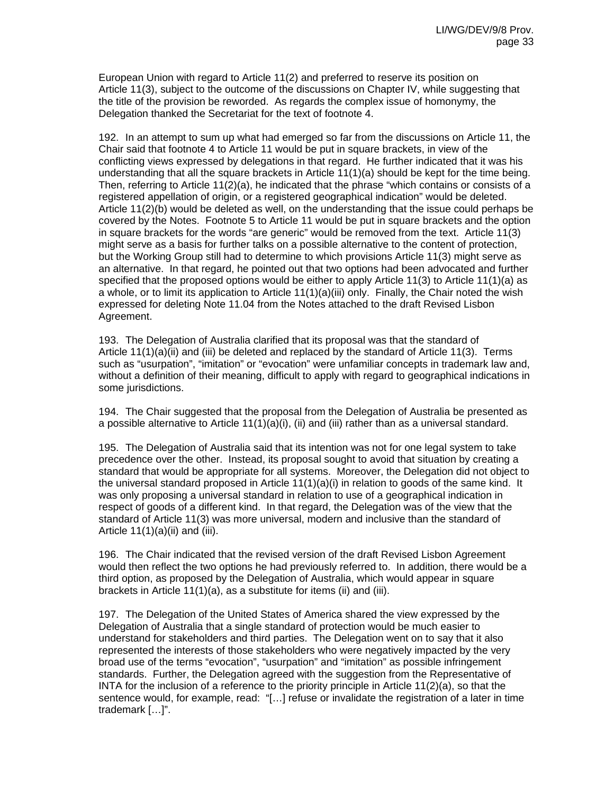European Union with regard to Article 11(2) and preferred to reserve its position on Article 11(3), subject to the outcome of the discussions on Chapter IV, while suggesting that the title of the provision be reworded. As regards the complex issue of homonymy, the Delegation thanked the Secretariat for the text of footnote 4.

192. In an attempt to sum up what had emerged so far from the discussions on Article 11, the Chair said that footnote 4 to Article 11 would be put in square brackets, in view of the conflicting views expressed by delegations in that regard. He further indicated that it was his understanding that all the square brackets in Article 11(1)(a) should be kept for the time being. Then, referring to Article 11(2)(a), he indicated that the phrase "which contains or consists of a registered appellation of origin, or a registered geographical indication" would be deleted. Article 11(2)(b) would be deleted as well, on the understanding that the issue could perhaps be covered by the Notes. Footnote 5 to Article 11 would be put in square brackets and the option in square brackets for the words "are generic" would be removed from the text. Article 11(3) might serve as a basis for further talks on a possible alternative to the content of protection, but the Working Group still had to determine to which provisions Article 11(3) might serve as an alternative. In that regard, he pointed out that two options had been advocated and further specified that the proposed options would be either to apply Article 11(3) to Article 11(1)(a) as a whole, or to limit its application to Article 11(1)(a)(iii) only. Finally, the Chair noted the wish expressed for deleting Note 11.04 from the Notes attached to the draft Revised Lisbon Agreement.

193. The Delegation of Australia clarified that its proposal was that the standard of Article 11(1)(a)(ii) and (iii) be deleted and replaced by the standard of Article 11(3). Terms such as "usurpation", "imitation" or "evocation" were unfamiliar concepts in trademark law and, without a definition of their meaning, difficult to apply with regard to geographical indications in some jurisdictions.

194. The Chair suggested that the proposal from the Delegation of Australia be presented as a possible alternative to Article  $11(1)(a)(i)$ , (ii) and (iii) rather than as a universal standard.

195. The Delegation of Australia said that its intention was not for one legal system to take precedence over the other. Instead, its proposal sought to avoid that situation by creating a standard that would be appropriate for all systems. Moreover, the Delegation did not object to the universal standard proposed in Article  $11(1)(a)(i)$  in relation to goods of the same kind. It was only proposing a universal standard in relation to use of a geographical indication in respect of goods of a different kind. In that regard, the Delegation was of the view that the standard of Article 11(3) was more universal, modern and inclusive than the standard of Article  $11(1)(a)(ii)$  and (iii).

196. The Chair indicated that the revised version of the draft Revised Lisbon Agreement would then reflect the two options he had previously referred to. In addition, there would be a third option, as proposed by the Delegation of Australia, which would appear in square brackets in Article 11(1)(a), as a substitute for items (ii) and (iii).

197. The Delegation of the United States of America shared the view expressed by the Delegation of Australia that a single standard of protection would be much easier to understand for stakeholders and third parties. The Delegation went on to say that it also represented the interests of those stakeholders who were negatively impacted by the very broad use of the terms "evocation", "usurpation" and "imitation" as possible infringement standards. Further, the Delegation agreed with the suggestion from the Representative of INTA for the inclusion of a reference to the priority principle in Article 11(2)(a), so that the sentence would, for example, read: "[…] refuse or invalidate the registration of a later in time trademark […]".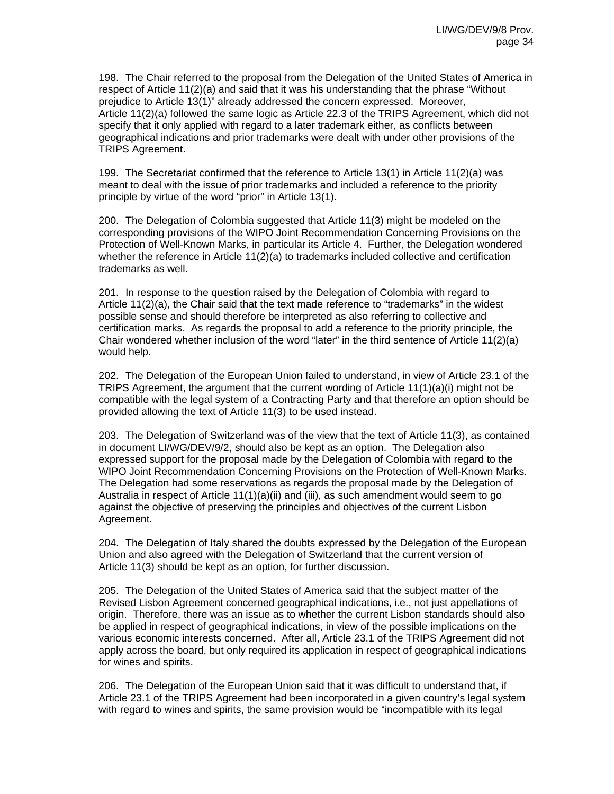198. The Chair referred to the proposal from the Delegation of the United States of America in respect of Article 11(2)(a) and said that it was his understanding that the phrase "Without prejudice to Article 13(1)" already addressed the concern expressed. Moreover, Article 11(2)(a) followed the same logic as Article 22.3 of the TRIPS Agreement, which did not specify that it only applied with regard to a later trademark either, as conflicts between geographical indications and prior trademarks were dealt with under other provisions of the TRIPS Agreement.

199. The Secretariat confirmed that the reference to Article 13(1) in Article 11(2)(a) was meant to deal with the issue of prior trademarks and included a reference to the priority principle by virtue of the word "prior" in Article 13(1).

200. The Delegation of Colombia suggested that Article 11(3) might be modeled on the corresponding provisions of the WIPO Joint Recommendation Concerning Provisions on the Protection of Well-Known Marks, in particular its Article 4. Further, the Delegation wondered whether the reference in Article 11(2)(a) to trademarks included collective and certification trademarks as well.

201. In response to the question raised by the Delegation of Colombia with regard to Article 11(2)(a), the Chair said that the text made reference to "trademarks" in the widest possible sense and should therefore be interpreted as also referring to collective and certification marks. As regards the proposal to add a reference to the priority principle, the Chair wondered whether inclusion of the word "later" in the third sentence of Article 11(2)(a) would help.

202. The Delegation of the European Union failed to understand, in view of Article 23.1 of the TRIPS Agreement, the argument that the current wording of Article 11(1)(a)(i) might not be compatible with the legal system of a Contracting Party and that therefore an option should be provided allowing the text of Article 11(3) to be used instead.

203. The Delegation of Switzerland was of the view that the text of Article 11(3), as contained in document LI/WG/DEV/9/2, should also be kept as an option. The Delegation also expressed support for the proposal made by the Delegation of Colombia with regard to the WIPO Joint Recommendation Concerning Provisions on the Protection of Well-Known Marks. The Delegation had some reservations as regards the proposal made by the Delegation of Australia in respect of Article 11(1)(a)(ii) and (iii), as such amendment would seem to go against the objective of preserving the principles and objectives of the current Lisbon Agreement.

204. The Delegation of Italy shared the doubts expressed by the Delegation of the European Union and also agreed with the Delegation of Switzerland that the current version of Article 11(3) should be kept as an option, for further discussion.

205. The Delegation of the United States of America said that the subject matter of the Revised Lisbon Agreement concerned geographical indications, i.e., not just appellations of origin. Therefore, there was an issue as to whether the current Lisbon standards should also be applied in respect of geographical indications, in view of the possible implications on the various economic interests concerned. After all, Article 23.1 of the TRIPS Agreement did not apply across the board, but only required its application in respect of geographical indications for wines and spirits.

206. The Delegation of the European Union said that it was difficult to understand that, if Article 23.1 of the TRIPS Agreement had been incorporated in a given country's legal system with regard to wines and spirits, the same provision would be "incompatible with its legal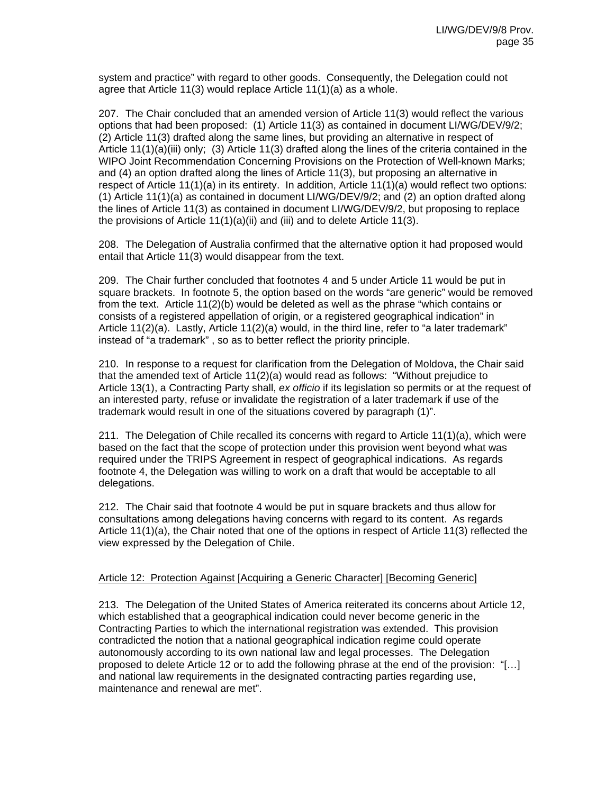system and practice" with regard to other goods. Consequently, the Delegation could not agree that Article 11(3) would replace Article 11(1)(a) as a whole.

207. The Chair concluded that an amended version of Article 11(3) would reflect the various options that had been proposed: (1) Article 11(3) as contained in document LI/WG/DEV/9/2; (2) Article 11(3) drafted along the same lines, but providing an alternative in respect of Article 11(1)(a)(iii) only; (3) Article 11(3) drafted along the lines of the criteria contained in the WIPO Joint Recommendation Concerning Provisions on the Protection of Well-known Marks; and (4) an option drafted along the lines of Article 11(3), but proposing an alternative in respect of Article 11(1)(a) in its entirety. In addition, Article 11(1)(a) would reflect two options: (1) Article 11(1)(a) as contained in document LI/WG/DEV/9/2; and (2) an option drafted along the lines of Article 11(3) as contained in document LI/WG/DEV/9/2, but proposing to replace the provisions of Article 11(1)(a)(ii) and (iii) and to delete Article 11(3).

208. The Delegation of Australia confirmed that the alternative option it had proposed would entail that Article 11(3) would disappear from the text.

209. The Chair further concluded that footnotes 4 and 5 under Article 11 would be put in square brackets. In footnote 5, the option based on the words "are generic" would be removed from the text. Article 11(2)(b) would be deleted as well as the phrase "which contains or consists of a registered appellation of origin, or a registered geographical indication" in Article 11(2)(a). Lastly, Article 11(2)(a) would, in the third line, refer to "a later trademark" instead of "a trademark" , so as to better reflect the priority principle.

210. In response to a request for clarification from the Delegation of Moldova, the Chair said that the amended text of Article 11(2)(a) would read as follows: "Without prejudice to Article 13(1), a Contracting Party shall, *ex officio* if its legislation so permits or at the request of an interested party, refuse or invalidate the registration of a later trademark if use of the trademark would result in one of the situations covered by paragraph (1)".

211. The Delegation of Chile recalled its concerns with regard to Article 11(1)(a), which were based on the fact that the scope of protection under this provision went beyond what was required under the TRIPS Agreement in respect of geographical indications. As regards footnote 4, the Delegation was willing to work on a draft that would be acceptable to all delegations.

212. The Chair said that footnote 4 would be put in square brackets and thus allow for consultations among delegations having concerns with regard to its content. As regards Article 11(1)(a), the Chair noted that one of the options in respect of Article 11(3) reflected the view expressed by the Delegation of Chile.

## Article 12: Protection Against [Acquiring a Generic Character] [Becoming Generic]

213. The Delegation of the United States of America reiterated its concerns about Article 12, which established that a geographical indication could never become generic in the Contracting Parties to which the international registration was extended. This provision contradicted the notion that a national geographical indication regime could operate autonomously according to its own national law and legal processes. The Delegation proposed to delete Article 12 or to add the following phrase at the end of the provision: "[…] and national law requirements in the designated contracting parties regarding use, maintenance and renewal are met".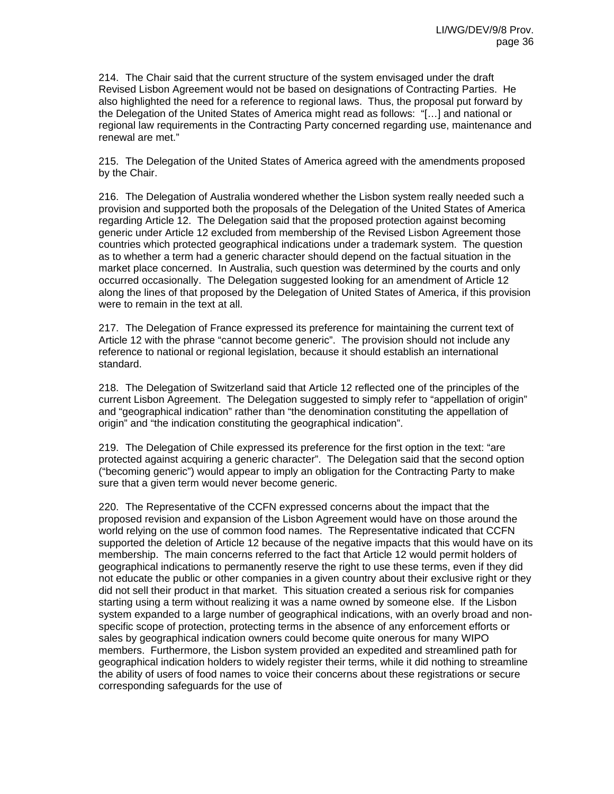214. The Chair said that the current structure of the system envisaged under the draft Revised Lisbon Agreement would not be based on designations of Contracting Parties. He also highlighted the need for a reference to regional laws. Thus, the proposal put forward by the Delegation of the United States of America might read as follows: "[…] and national or regional law requirements in the Contracting Party concerned regarding use, maintenance and renewal are met."

215. The Delegation of the United States of America agreed with the amendments proposed by the Chair.

216. The Delegation of Australia wondered whether the Lisbon system really needed such a provision and supported both the proposals of the Delegation of the United States of America regarding Article 12. The Delegation said that the proposed protection against becoming generic under Article 12 excluded from membership of the Revised Lisbon Agreement those countries which protected geographical indications under a trademark system. The question as to whether a term had a generic character should depend on the factual situation in the market place concerned. In Australia, such question was determined by the courts and only occurred occasionally. The Delegation suggested looking for an amendment of Article 12 along the lines of that proposed by the Delegation of United States of America, if this provision were to remain in the text at all.

217. The Delegation of France expressed its preference for maintaining the current text of Article 12 with the phrase "cannot become generic". The provision should not include any reference to national or regional legislation, because it should establish an international standard.

218. The Delegation of Switzerland said that Article 12 reflected one of the principles of the current Lisbon Agreement. The Delegation suggested to simply refer to "appellation of origin" and "geographical indication" rather than "the denomination constituting the appellation of origin" and "the indication constituting the geographical indication".

219. The Delegation of Chile expressed its preference for the first option in the text: "are protected against acquiring a generic character". The Delegation said that the second option ("becoming generic") would appear to imply an obligation for the Contracting Party to make sure that a given term would never become generic.

220. The Representative of the CCFN expressed concerns about the impact that the proposed revision and expansion of the Lisbon Agreement would have on those around the world relying on the use of common food names. The Representative indicated that CCFN supported the deletion of Article 12 because of the negative impacts that this would have on its membership. The main concerns referred to the fact that Article 12 would permit holders of geographical indications to permanently reserve the right to use these terms, even if they did not educate the public or other companies in a given country about their exclusive right or they did not sell their product in that market. This situation created a serious risk for companies starting using a term without realizing it was a name owned by someone else. If the Lisbon system expanded to a large number of geographical indications, with an overly broad and nonspecific scope of protection, protecting terms in the absence of any enforcement efforts or sales by geographical indication owners could become quite onerous for many WIPO members. Furthermore, the Lisbon system provided an expedited and streamlined path for geographical indication holders to widely register their terms, while it did nothing to streamline the ability of users of food names to voice their concerns about these registrations or secure corresponding safeguards for the use of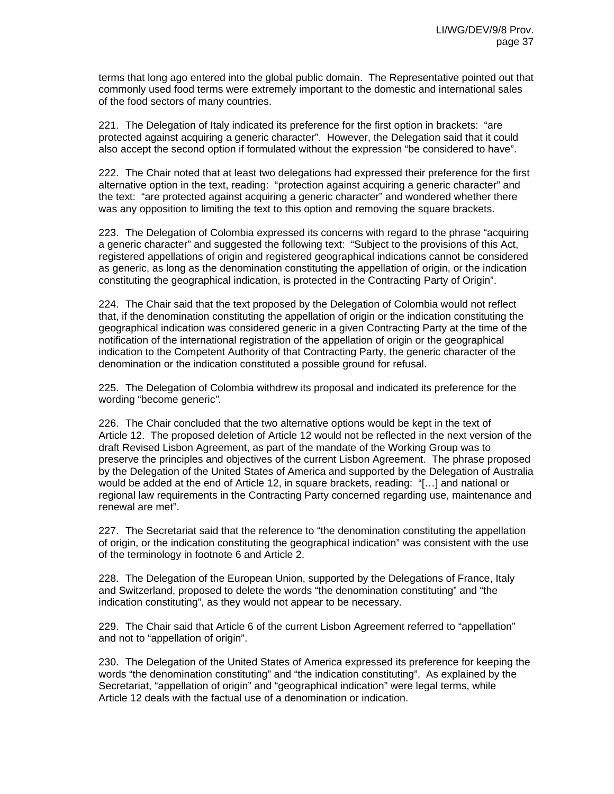terms that long ago entered into the global public domain. The Representative pointed out that commonly used food terms were extremely important to the domestic and international sales of the food sectors of many countries.

221. The Delegation of Italy indicated its preference for the first option in brackets: "are protected against acquiring a generic character". However, the Delegation said that it could also accept the second option if formulated without the expression "be considered to have".

222. The Chair noted that at least two delegations had expressed their preference for the first alternative option in the text, reading: "protection against acquiring a generic character" and the text: "are protected against acquiring a generic character" and wondered whether there was any opposition to limiting the text to this option and removing the square brackets.

223. The Delegation of Colombia expressed its concerns with regard to the phrase "acquiring a generic character" and suggested the following text: "Subject to the provisions of this Act, registered appellations of origin and registered geographical indications cannot be considered as generic, as long as the denomination constituting the appellation of origin, or the indication constituting the geographical indication, is protected in the Contracting Party of Origin".

224. The Chair said that the text proposed by the Delegation of Colombia would not reflect that, if the denomination constituting the appellation of origin or the indication constituting the geographical indication was considered generic in a given Contracting Party at the time of the notification of the international registration of the appellation of origin or the geographical indication to the Competent Authority of that Contracting Party, the generic character of the denomination or the indication constituted a possible ground for refusal.

225. The Delegation of Colombia withdrew its proposal and indicated its preference for the wording "become generic*".* 

226. The Chair concluded that the two alternative options would be kept in the text of Article 12. The proposed deletion of Article 12 would not be reflected in the next version of the draft Revised Lisbon Agreement, as part of the mandate of the Working Group was to preserve the principles and objectives of the current Lisbon Agreement. The phrase proposed by the Delegation of the United States of America and supported by the Delegation of Australia would be added at the end of Article 12, in square brackets, reading: "[…] and national or regional law requirements in the Contracting Party concerned regarding use, maintenance and renewal are met".

227. The Secretariat said that the reference to "the denomination constituting the appellation of origin, or the indication constituting the geographical indication" was consistent with the use of the terminology in footnote 6 and Article 2.

228. The Delegation of the European Union, supported by the Delegations of France, Italy and Switzerland, proposed to delete the words "the denomination constituting" and "the indication constituting", as they would not appear to be necessary.

229. The Chair said that Article 6 of the current Lisbon Agreement referred to "appellation" and not to "appellation of origin".

230. The Delegation of the United States of America expressed its preference for keeping the words "the denomination constituting" and "the indication constituting". As explained by the Secretariat, "appellation of origin" and "geographical indication" were legal terms, while Article 12 deals with the factual use of a denomination or indication.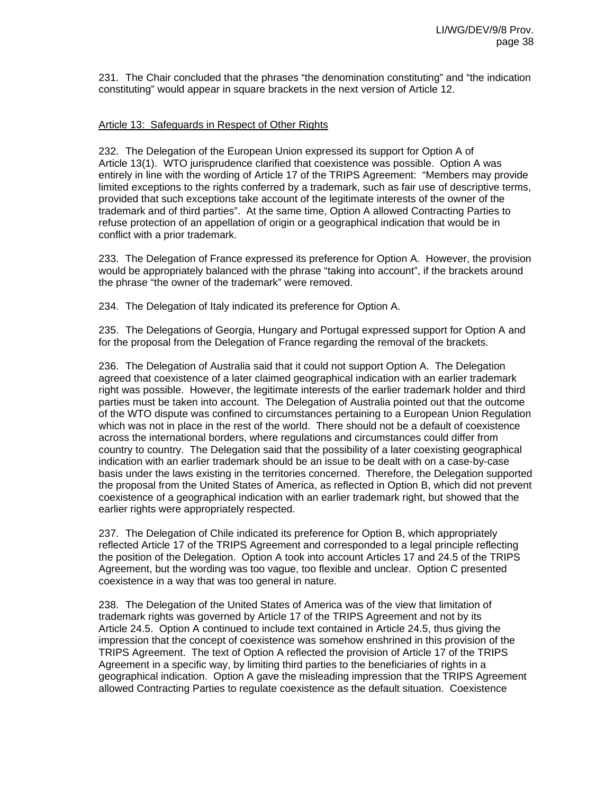231. The Chair concluded that the phrases "the denomination constituting" and "the indication constituting" would appear in square brackets in the next version of Article 12.

## Article 13: Safeguards in Respect of Other Rights

232. The Delegation of the European Union expressed its support for Option A of Article 13(1). WTO jurisprudence clarified that coexistence was possible. Option A was entirely in line with the wording of Article 17 of the TRIPS Agreement: "Members may provide limited exceptions to the rights conferred by a trademark, such as fair use of descriptive terms, provided that such exceptions take account of the legitimate interests of the owner of the trademark and of third parties". At the same time, Option A allowed Contracting Parties to refuse protection of an appellation of origin or a geographical indication that would be in conflict with a prior trademark.

233. The Delegation of France expressed its preference for Option A. However, the provision would be appropriately balanced with the phrase "taking into account", if the brackets around the phrase "the owner of the trademark" were removed.

234. The Delegation of Italy indicated its preference for Option A.

235. The Delegations of Georgia, Hungary and Portugal expressed support for Option A and for the proposal from the Delegation of France regarding the removal of the brackets.

236. The Delegation of Australia said that it could not support Option A. The Delegation agreed that coexistence of a later claimed geographical indication with an earlier trademark right was possible. However, the legitimate interests of the earlier trademark holder and third parties must be taken into account. The Delegation of Australia pointed out that the outcome of the WTO dispute was confined to circumstances pertaining to a European Union Regulation which was not in place in the rest of the world. There should not be a default of coexistence across the international borders, where regulations and circumstances could differ from country to country. The Delegation said that the possibility of a later coexisting geographical indication with an earlier trademark should be an issue to be dealt with on a case-by-case basis under the laws existing in the territories concerned. Therefore, the Delegation supported the proposal from the United States of America, as reflected in Option B, which did not prevent coexistence of a geographical indication with an earlier trademark right, but showed that the earlier rights were appropriately respected.

237. The Delegation of Chile indicated its preference for Option B, which appropriately reflected Article 17 of the TRIPS Agreement and corresponded to a legal principle reflecting the position of the Delegation. Option A took into account Articles 17 and 24.5 of the TRIPS Agreement, but the wording was too vague, too flexible and unclear. Option C presented coexistence in a way that was too general in nature.

238. The Delegation of the United States of America was of the view that limitation of trademark rights was governed by Article 17 of the TRIPS Agreement and not by its Article 24.5. Option A continued to include text contained in Article 24.5, thus giving the impression that the concept of coexistence was somehow enshrined in this provision of the TRIPS Agreement. The text of Option A reflected the provision of Article 17 of the TRIPS Agreement in a specific way, by limiting third parties to the beneficiaries of rights in a geographical indication. Option A gave the misleading impression that the TRIPS Agreement allowed Contracting Parties to regulate coexistence as the default situation. Coexistence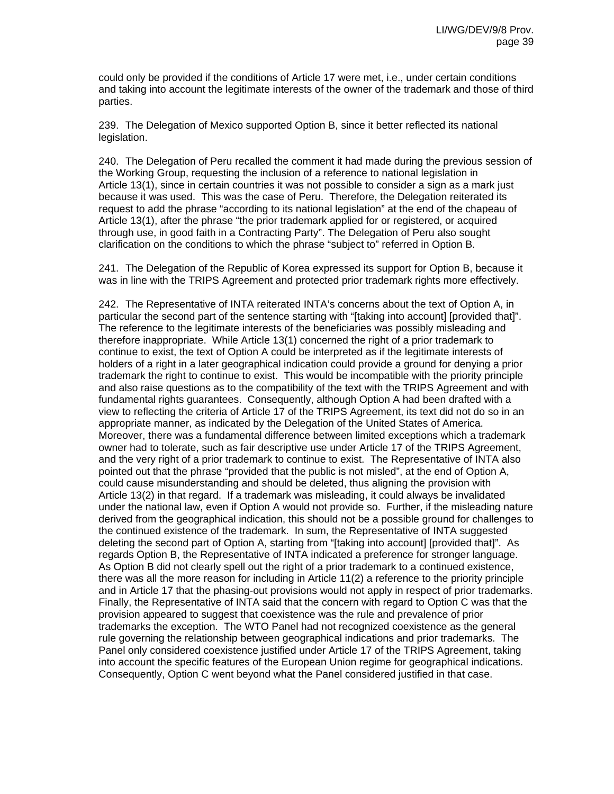could only be provided if the conditions of Article 17 were met, i.e., under certain conditions and taking into account the legitimate interests of the owner of the trademark and those of third parties.

239. The Delegation of Mexico supported Option B, since it better reflected its national legislation.

240. The Delegation of Peru recalled the comment it had made during the previous session of the Working Group, requesting the inclusion of a reference to national legislation in Article 13(1), since in certain countries it was not possible to consider a sign as a mark just because it was used. This was the case of Peru. Therefore, the Delegation reiterated its request to add the phrase "according to its national legislation" at the end of the chapeau of Article 13(1), after the phrase "the prior trademark applied for or registered, or acquired through use, in good faith in a Contracting Party". The Delegation of Peru also sought clarification on the conditions to which the phrase "subject to" referred in Option B.

241. The Delegation of the Republic of Korea expressed its support for Option B, because it was in line with the TRIPS Agreement and protected prior trademark rights more effectively.

242. The Representative of INTA reiterated INTA's concerns about the text of Option A, in particular the second part of the sentence starting with "[taking into account] [provided that]". The reference to the legitimate interests of the beneficiaries was possibly misleading and therefore inappropriate. While Article 13(1) concerned the right of a prior trademark to continue to exist, the text of Option A could be interpreted as if the legitimate interests of holders of a right in a later geographical indication could provide a ground for denying a prior trademark the right to continue to exist. This would be incompatible with the priority principle and also raise questions as to the compatibility of the text with the TRIPS Agreement and with fundamental rights guarantees. Consequently, although Option A had been drafted with a view to reflecting the criteria of Article 17 of the TRIPS Agreement, its text did not do so in an appropriate manner, as indicated by the Delegation of the United States of America. Moreover, there was a fundamental difference between limited exceptions which a trademark owner had to tolerate, such as fair descriptive use under Article 17 of the TRIPS Agreement, and the very right of a prior trademark to continue to exist. The Representative of INTA also pointed out that the phrase "provided that the public is not misled", at the end of Option A, could cause misunderstanding and should be deleted, thus aligning the provision with Article 13(2) in that regard. If a trademark was misleading, it could always be invalidated under the national law, even if Option A would not provide so. Further, if the misleading nature derived from the geographical indication, this should not be a possible ground for challenges to the continued existence of the trademark. In sum, the Representative of INTA suggested deleting the second part of Option A, starting from "[taking into account] [provided that]". As regards Option B, the Representative of INTA indicated a preference for stronger language. As Option B did not clearly spell out the right of a prior trademark to a continued existence, there was all the more reason for including in Article 11(2) a reference to the priority principle and in Article 17 that the phasing-out provisions would not apply in respect of prior trademarks. Finally, the Representative of INTA said that the concern with regard to Option C was that the provision appeared to suggest that coexistence was the rule and prevalence of prior trademarks the exception. The WTO Panel had not recognized coexistence as the general rule governing the relationship between geographical indications and prior trademarks. The Panel only considered coexistence justified under Article 17 of the TRIPS Agreement, taking into account the specific features of the European Union regime for geographical indications. Consequently, Option C went beyond what the Panel considered justified in that case.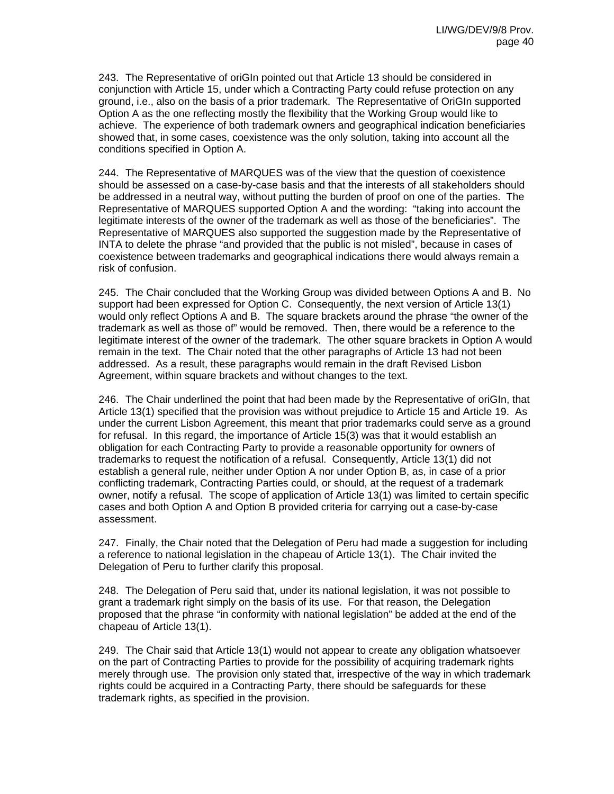243. The Representative of oriGIn pointed out that Article 13 should be considered in conjunction with Article 15, under which a Contracting Party could refuse protection on any ground, i.e., also on the basis of a prior trademark. The Representative of OriGIn supported Option A as the one reflecting mostly the flexibility that the Working Group would like to achieve. The experience of both trademark owners and geographical indication beneficiaries showed that, in some cases, coexistence was the only solution, taking into account all the conditions specified in Option A.

244. The Representative of MARQUES was of the view that the question of coexistence should be assessed on a case-by-case basis and that the interests of all stakeholders should be addressed in a neutral way, without putting the burden of proof on one of the parties. The Representative of MARQUES supported Option A and the wording: "taking into account the legitimate interests of the owner of the trademark as well as those of the beneficiaries". The Representative of MARQUES also supported the suggestion made by the Representative of INTA to delete the phrase "and provided that the public is not misled", because in cases of coexistence between trademarks and geographical indications there would always remain a risk of confusion.

245. The Chair concluded that the Working Group was divided between Options A and B. No support had been expressed for Option C. Consequently, the next version of Article 13(1) would only reflect Options A and B. The square brackets around the phrase "the owner of the trademark as well as those of" would be removed. Then, there would be a reference to the legitimate interest of the owner of the trademark. The other square brackets in Option A would remain in the text. The Chair noted that the other paragraphs of Article 13 had not been addressed. As a result, these paragraphs would remain in the draft Revised Lisbon Agreement, within square brackets and without changes to the text.

246. The Chair underlined the point that had been made by the Representative of oriGIn, that Article 13(1) specified that the provision was without prejudice to Article 15 and Article 19. As under the current Lisbon Agreement, this meant that prior trademarks could serve as a ground for refusal. In this regard, the importance of Article 15(3) was that it would establish an obligation for each Contracting Party to provide a reasonable opportunity for owners of trademarks to request the notification of a refusal. Consequently, Article 13(1) did not establish a general rule, neither under Option A nor under Option B, as, in case of a prior conflicting trademark, Contracting Parties could, or should, at the request of a trademark owner, notify a refusal. The scope of application of Article 13(1) was limited to certain specific cases and both Option A and Option B provided criteria for carrying out a case-by-case assessment.

247. Finally, the Chair noted that the Delegation of Peru had made a suggestion for including a reference to national legislation in the chapeau of Article 13(1). The Chair invited the Delegation of Peru to further clarify this proposal.

248. The Delegation of Peru said that, under its national legislation, it was not possible to grant a trademark right simply on the basis of its use. For that reason, the Delegation proposed that the phrase "in conformity with national legislation" be added at the end of the chapeau of Article 13(1).

249. The Chair said that Article 13(1) would not appear to create any obligation whatsoever on the part of Contracting Parties to provide for the possibility of acquiring trademark rights merely through use. The provision only stated that, irrespective of the way in which trademark rights could be acquired in a Contracting Party, there should be safeguards for these trademark rights, as specified in the provision.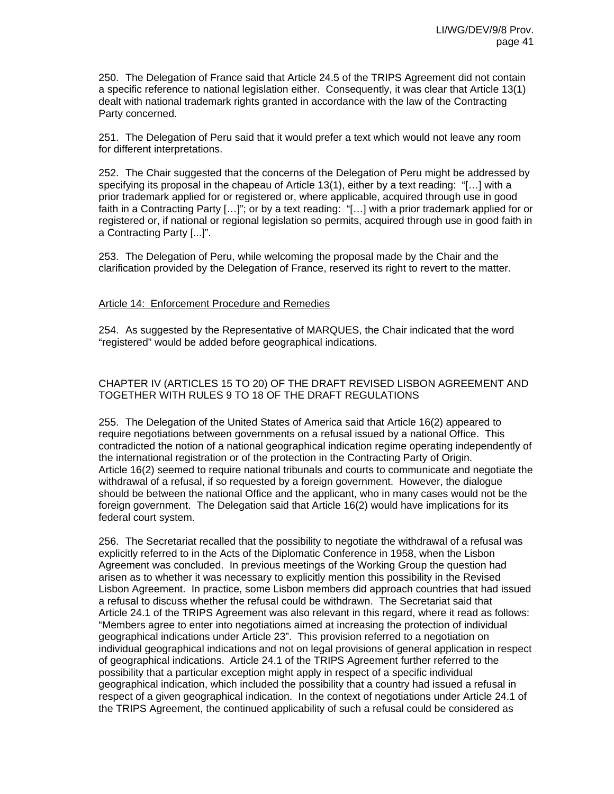250. The Delegation of France said that Article 24.5 of the TRIPS Agreement did not contain a specific reference to national legislation either. Consequently, it was clear that Article 13(1) dealt with national trademark rights granted in accordance with the law of the Contracting Party concerned.

251. The Delegation of Peru said that it would prefer a text which would not leave any room for different interpretations.

252. The Chair suggested that the concerns of the Delegation of Peru might be addressed by specifying its proposal in the chapeau of Article 13(1), either by a text reading: "[...] with a prior trademark applied for or registered or, where applicable, acquired through use in good faith in a Contracting Party […]"; or by a text reading: "[…] with a prior trademark applied for or registered or, if national or regional legislation so permits, acquired through use in good faith in a Contracting Party [...]".

253. The Delegation of Peru, while welcoming the proposal made by the Chair and the clarification provided by the Delegation of France, reserved its right to revert to the matter.

#### Article 14: Enforcement Procedure and Remedies

254. As suggested by the Representative of MARQUES, the Chair indicated that the word "registered" would be added before geographical indications.

## CHAPTER IV (ARTICLES 15 TO 20) OF THE DRAFT REVISED LISBON AGREEMENT AND TOGETHER WITH RULES 9 TO 18 OF THE DRAFT REGULATIONS

255. The Delegation of the United States of America said that Article 16(2) appeared to require negotiations between governments on a refusal issued by a national Office. This contradicted the notion of a national geographical indication regime operating independently of the international registration or of the protection in the Contracting Party of Origin. Article 16(2) seemed to require national tribunals and courts to communicate and negotiate the withdrawal of a refusal, if so requested by a foreign government. However, the dialogue should be between the national Office and the applicant, who in many cases would not be the foreign government. The Delegation said that Article 16(2) would have implications for its federal court system.

256. The Secretariat recalled that the possibility to negotiate the withdrawal of a refusal was explicitly referred to in the Acts of the Diplomatic Conference in 1958, when the Lisbon Agreement was concluded. In previous meetings of the Working Group the question had arisen as to whether it was necessary to explicitly mention this possibility in the Revised Lisbon Agreement. In practice, some Lisbon members did approach countries that had issued a refusal to discuss whether the refusal could be withdrawn. The Secretariat said that Article 24.1 of the TRIPS Agreement was also relevant in this regard, where it read as follows: "Members agree to enter into negotiations aimed at increasing the protection of individual geographical indications under Article 23". This provision referred to a negotiation on individual geographical indications and not on legal provisions of general application in respect of geographical indications. Article 24.1 of the TRIPS Agreement further referred to the possibility that a particular exception might apply in respect of a specific individual geographical indication, which included the possibility that a country had issued a refusal in respect of a given geographical indication. In the context of negotiations under Article 24.1 of the TRIPS Agreement, the continued applicability of such a refusal could be considered as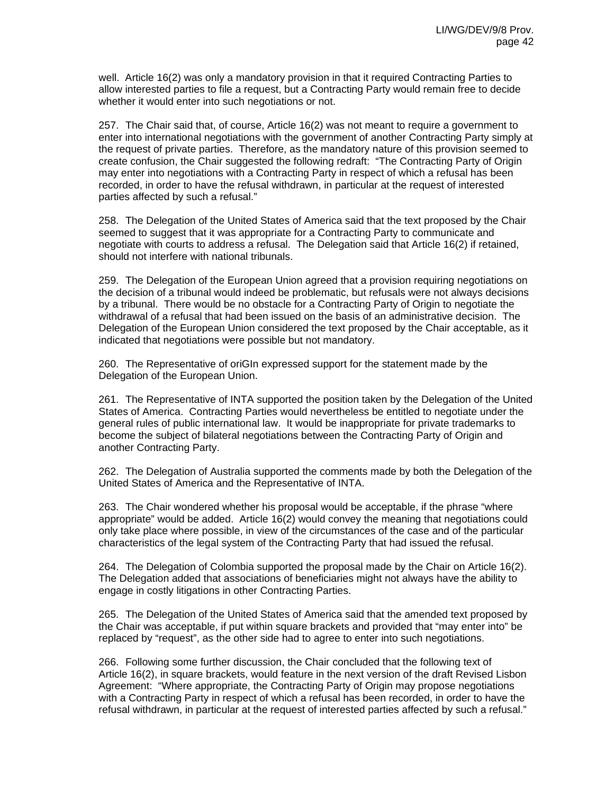well. Article 16(2) was only a mandatory provision in that it required Contracting Parties to allow interested parties to file a request, but a Contracting Party would remain free to decide whether it would enter into such negotiations or not.

257. The Chair said that, of course, Article 16(2) was not meant to require a government to enter into international negotiations with the government of another Contracting Party simply at the request of private parties. Therefore, as the mandatory nature of this provision seemed to create confusion, the Chair suggested the following redraft: "The Contracting Party of Origin may enter into negotiations with a Contracting Party in respect of which a refusal has been recorded, in order to have the refusal withdrawn, in particular at the request of interested parties affected by such a refusal."

258. The Delegation of the United States of America said that the text proposed by the Chair seemed to suggest that it was appropriate for a Contracting Party to communicate and negotiate with courts to address a refusal. The Delegation said that Article 16(2) if retained, should not interfere with national tribunals.

259. The Delegation of the European Union agreed that a provision requiring negotiations on the decision of a tribunal would indeed be problematic, but refusals were not always decisions by a tribunal. There would be no obstacle for a Contracting Party of Origin to negotiate the withdrawal of a refusal that had been issued on the basis of an administrative decision. The Delegation of the European Union considered the text proposed by the Chair acceptable, as it indicated that negotiations were possible but not mandatory.

260. The Representative of oriGIn expressed support for the statement made by the Delegation of the European Union.

261. The Representative of INTA supported the position taken by the Delegation of the United States of America. Contracting Parties would nevertheless be entitled to negotiate under the general rules of public international law. It would be inappropriate for private trademarks to become the subject of bilateral negotiations between the Contracting Party of Origin and another Contracting Party.

262. The Delegation of Australia supported the comments made by both the Delegation of the United States of America and the Representative of INTA.

263. The Chair wondered whether his proposal would be acceptable, if the phrase "where appropriate" would be added. Article 16(2) would convey the meaning that negotiations could only take place where possible, in view of the circumstances of the case and of the particular characteristics of the legal system of the Contracting Party that had issued the refusal.

264. The Delegation of Colombia supported the proposal made by the Chair on Article 16(2). The Delegation added that associations of beneficiaries might not always have the ability to engage in costly litigations in other Contracting Parties.

265. The Delegation of the United States of America said that the amended text proposed by the Chair was acceptable, if put within square brackets and provided that "may enter into" be replaced by "request", as the other side had to agree to enter into such negotiations.

266. Following some further discussion, the Chair concluded that the following text of Article 16(2), in square brackets, would feature in the next version of the draft Revised Lisbon Agreement: "Where appropriate, the Contracting Party of Origin may propose negotiations with a Contracting Party in respect of which a refusal has been recorded, in order to have the refusal withdrawn, in particular at the request of interested parties affected by such a refusal."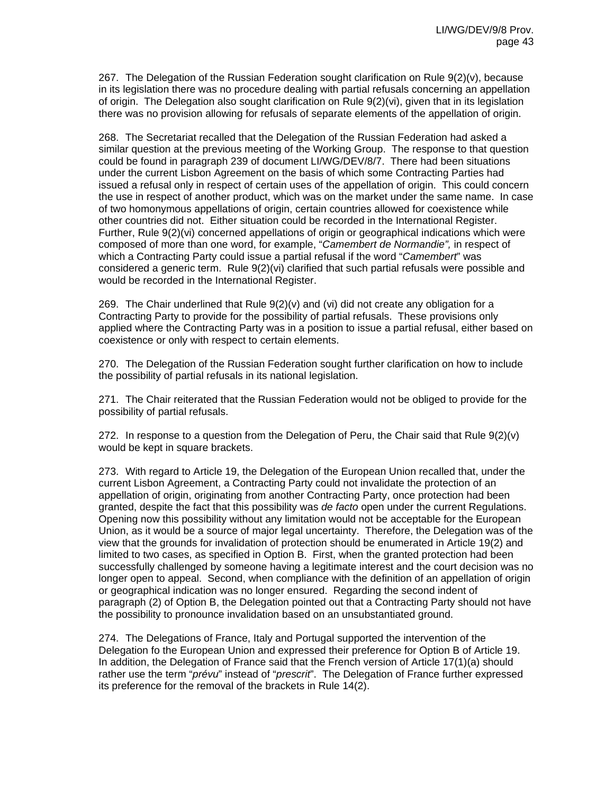267. The Delegation of the Russian Federation sought clarification on Rule 9(2)(v), because in its legislation there was no procedure dealing with partial refusals concerning an appellation of origin. The Delegation also sought clarification on Rule 9(2)(vi), given that in its legislation there was no provision allowing for refusals of separate elements of the appellation of origin.

268. The Secretariat recalled that the Delegation of the Russian Federation had asked a similar question at the previous meeting of the Working Group. The response to that question could be found in paragraph 239 of document LI/WG/DEV/8/7. There had been situations under the current Lisbon Agreement on the basis of which some Contracting Parties had issued a refusal only in respect of certain uses of the appellation of origin. This could concern the use in respect of another product, which was on the market under the same name. In case of two homonymous appellations of origin, certain countries allowed for coexistence while other countries did not. Either situation could be recorded in the International Register. Further, Rule 9(2)(vi) concerned appellations of origin or geographical indications which were composed of more than one word, for example, "*Camembert de Normandie",* in respect of which a Contracting Party could issue a partial refusal if the word "*Camembert*" was considered a generic term. Rule 9(2)(vi) clarified that such partial refusals were possible and would be recorded in the International Register.

269. The Chair underlined that Rule  $9(2)(v)$  and (vi) did not create any obligation for a Contracting Party to provide for the possibility of partial refusals. These provisions only applied where the Contracting Party was in a position to issue a partial refusal, either based on coexistence or only with respect to certain elements.

270. The Delegation of the Russian Federation sought further clarification on how to include the possibility of partial refusals in its national legislation.

271. The Chair reiterated that the Russian Federation would not be obliged to provide for the possibility of partial refusals.

272. In response to a question from the Delegation of Peru, the Chair said that Rule  $9(2)(v)$ would be kept in square brackets.

273. With regard to Article 19, the Delegation of the European Union recalled that, under the current Lisbon Agreement, a Contracting Party could not invalidate the protection of an appellation of origin, originating from another Contracting Party, once protection had been granted, despite the fact that this possibility was *de facto* open under the current Regulations. Opening now this possibility without any limitation would not be acceptable for the European Union, as it would be a source of major legal uncertainty. Therefore, the Delegation was of the view that the grounds for invalidation of protection should be enumerated in Article 19(2) and limited to two cases, as specified in Option B. First, when the granted protection had been successfully challenged by someone having a legitimate interest and the court decision was no longer open to appeal. Second, when compliance with the definition of an appellation of origin or geographical indication was no longer ensured. Regarding the second indent of paragraph (2) of Option B, the Delegation pointed out that a Contracting Party should not have the possibility to pronounce invalidation based on an unsubstantiated ground.

274. The Delegations of France, Italy and Portugal supported the intervention of the Delegation fo the European Union and expressed their preference for Option B of Article 19. In addition, the Delegation of France said that the French version of Article 17(1)(a) should rather use the term "*prévu*" instead of "*prescrit*". The Delegation of France further expressed its preference for the removal of the brackets in Rule 14(2).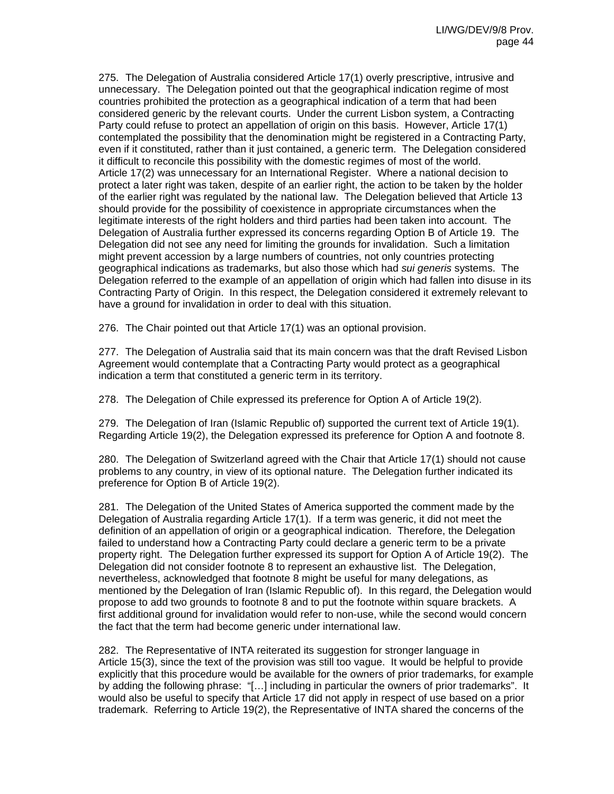275. The Delegation of Australia considered Article 17(1) overly prescriptive, intrusive and unnecessary. The Delegation pointed out that the geographical indication regime of most countries prohibited the protection as a geographical indication of a term that had been considered generic by the relevant courts. Under the current Lisbon system, a Contracting Party could refuse to protect an appellation of origin on this basis. However, Article 17(1) contemplated the possibility that the denomination might be registered in a Contracting Party, even if it constituted, rather than it just contained, a generic term. The Delegation considered it difficult to reconcile this possibility with the domestic regimes of most of the world. Article 17(2) was unnecessary for an International Register. Where a national decision to protect a later right was taken, despite of an earlier right, the action to be taken by the holder of the earlier right was regulated by the national law. The Delegation believed that Article 13 should provide for the possibility of coexistence in appropriate circumstances when the legitimate interests of the right holders and third parties had been taken into account. The Delegation of Australia further expressed its concerns regarding Option B of Article 19. The Delegation did not see any need for limiting the grounds for invalidation. Such a limitation might prevent accession by a large numbers of countries, not only countries protecting geographical indications as trademarks, but also those which had *sui generis* systems. The Delegation referred to the example of an appellation of origin which had fallen into disuse in its Contracting Party of Origin. In this respect, the Delegation considered it extremely relevant to have a ground for invalidation in order to deal with this situation.

276. The Chair pointed out that Article 17(1) was an optional provision.

277. The Delegation of Australia said that its main concern was that the draft Revised Lisbon Agreement would contemplate that a Contracting Party would protect as a geographical indication a term that constituted a generic term in its territory.

278. The Delegation of Chile expressed its preference for Option A of Article 19(2).

279. The Delegation of Iran (Islamic Republic of) supported the current text of Article 19(1). Regarding Article 19(2), the Delegation expressed its preference for Option A and footnote 8.

280. The Delegation of Switzerland agreed with the Chair that Article 17(1) should not cause problems to any country, in view of its optional nature. The Delegation further indicated its preference for Option B of Article 19(2).

281. The Delegation of the United States of America supported the comment made by the Delegation of Australia regarding Article 17(1). If a term was generic, it did not meet the definition of an appellation of origin or a geographical indication. Therefore, the Delegation failed to understand how a Contracting Party could declare a generic term to be a private property right. The Delegation further expressed its support for Option A of Article 19(2). The Delegation did not consider footnote 8 to represent an exhaustive list. The Delegation, nevertheless, acknowledged that footnote 8 might be useful for many delegations, as mentioned by the Delegation of Iran (Islamic Republic of). In this regard, the Delegation would propose to add two grounds to footnote 8 and to put the footnote within square brackets. A first additional ground for invalidation would refer to non-use, while the second would concern the fact that the term had become generic under international law.

282. The Representative of INTA reiterated its suggestion for stronger language in Article 15(3), since the text of the provision was still too vague. It would be helpful to provide explicitly that this procedure would be available for the owners of prior trademarks, for example by adding the following phrase: "[…] including in particular the owners of prior trademarks". It would also be useful to specify that Article 17 did not apply in respect of use based on a prior trademark. Referring to Article 19(2), the Representative of INTA shared the concerns of the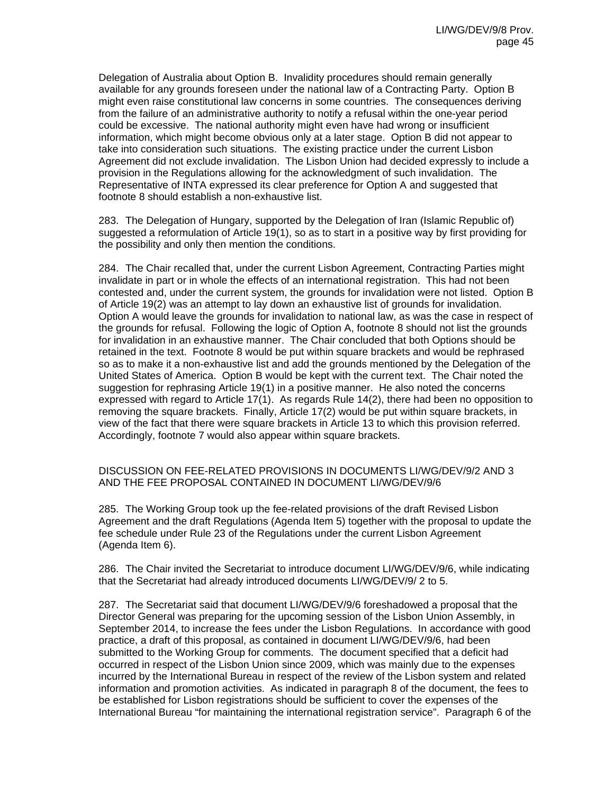Delegation of Australia about Option B. Invalidity procedures should remain generally available for any grounds foreseen under the national law of a Contracting Party. Option B might even raise constitutional law concerns in some countries. The consequences deriving from the failure of an administrative authority to notify a refusal within the one-year period could be excessive. The national authority might even have had wrong or insufficient information, which might become obvious only at a later stage. Option B did not appear to take into consideration such situations. The existing practice under the current Lisbon Agreement did not exclude invalidation. The Lisbon Union had decided expressly to include a provision in the Regulations allowing for the acknowledgment of such invalidation. The Representative of INTA expressed its clear preference for Option A and suggested that footnote 8 should establish a non-exhaustive list.

283. The Delegation of Hungary, supported by the Delegation of Iran (Islamic Republic of) suggested a reformulation of Article 19(1), so as to start in a positive way by first providing for the possibility and only then mention the conditions.

284. The Chair recalled that, under the current Lisbon Agreement, Contracting Parties might invalidate in part or in whole the effects of an international registration. This had not been contested and, under the current system, the grounds for invalidation were not listed. Option B of Article 19(2) was an attempt to lay down an exhaustive list of grounds for invalidation. Option A would leave the grounds for invalidation to national law, as was the case in respect of the grounds for refusal. Following the logic of Option A, footnote 8 should not list the grounds for invalidation in an exhaustive manner. The Chair concluded that both Options should be retained in the text. Footnote 8 would be put within square brackets and would be rephrased so as to make it a non-exhaustive list and add the grounds mentioned by the Delegation of the United States of America. Option B would be kept with the current text. The Chair noted the suggestion for rephrasing Article 19(1) in a positive manner. He also noted the concerns expressed with regard to Article 17(1). As regards Rule 14(2), there had been no opposition to removing the square brackets. Finally, Article 17(2) would be put within square brackets, in view of the fact that there were square brackets in Article 13 to which this provision referred. Accordingly, footnote 7 would also appear within square brackets.

## DISCUSSION ON FEE-RELATED PROVISIONS IN DOCUMENTS LI/WG/DEV/9/2 AND 3 AND THE FEE PROPOSAL CONTAINED IN DOCUMENT LI/WG/DEV/9/6

285. The Working Group took up the fee-related provisions of the draft Revised Lisbon Agreement and the draft Regulations (Agenda Item 5) together with the proposal to update the fee schedule under Rule 23 of the Regulations under the current Lisbon Agreement (Agenda Item 6).

286. The Chair invited the Secretariat to introduce document LI/WG/DEV/9/6, while indicating that the Secretariat had already introduced documents LI/WG/DEV/9/ 2 to 5.

287. The Secretariat said that document LI/WG/DEV/9/6 foreshadowed a proposal that the Director General was preparing for the upcoming session of the Lisbon Union Assembly, in September 2014, to increase the fees under the Lisbon Regulations. In accordance with good practice, a draft of this proposal, as contained in document LI/WG/DEV/9/6, had been submitted to the Working Group for comments. The document specified that a deficit had occurred in respect of the Lisbon Union since 2009, which was mainly due to the expenses incurred by the International Bureau in respect of the review of the Lisbon system and related information and promotion activities. As indicated in paragraph 8 of the document, the fees to be established for Lisbon registrations should be sufficient to cover the expenses of the International Bureau "for maintaining the international registration service". Paragraph 6 of the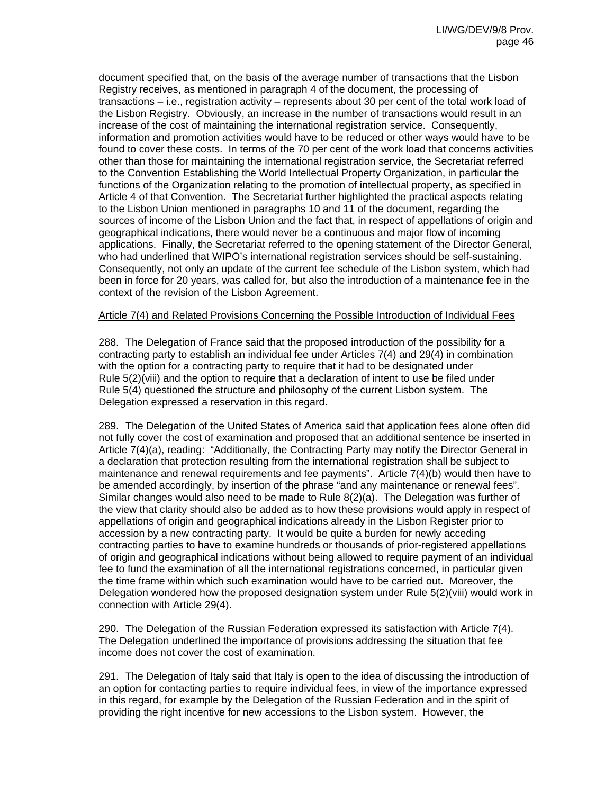document specified that, on the basis of the average number of transactions that the Lisbon Registry receives, as mentioned in paragraph 4 of the document, the processing of transactions – i.e., registration activity – represents about 30 per cent of the total work load of the Lisbon Registry. Obviously, an increase in the number of transactions would result in an increase of the cost of maintaining the international registration service. Consequently, information and promotion activities would have to be reduced or other ways would have to be found to cover these costs. In terms of the 70 per cent of the work load that concerns activities other than those for maintaining the international registration service, the Secretariat referred to the Convention Establishing the World Intellectual Property Organization, in particular the functions of the Organization relating to the promotion of intellectual property, as specified in Article 4 of that Convention. The Secretariat further highlighted the practical aspects relating to the Lisbon Union mentioned in paragraphs 10 and 11 of the document, regarding the sources of income of the Lisbon Union and the fact that, in respect of appellations of origin and geographical indications, there would never be a continuous and major flow of incoming applications. Finally, the Secretariat referred to the opening statement of the Director General, who had underlined that WIPO's international registration services should be self-sustaining. Consequently, not only an update of the current fee schedule of the Lisbon system, which had been in force for 20 years, was called for, but also the introduction of a maintenance fee in the context of the revision of the Lisbon Agreement.

#### Article 7(4) and Related Provisions Concerning the Possible Introduction of Individual Fees

288. The Delegation of France said that the proposed introduction of the possibility for a contracting party to establish an individual fee under Articles 7(4) and 29(4) in combination with the option for a contracting party to require that it had to be designated under Rule 5(2)(viii) and the option to require that a declaration of intent to use be filed under Rule 5(4) questioned the structure and philosophy of the current Lisbon system. The Delegation expressed a reservation in this regard.

289. The Delegation of the United States of America said that application fees alone often did not fully cover the cost of examination and proposed that an additional sentence be inserted in Article 7(4)(a), reading: "Additionally, the Contracting Party may notify the Director General in a declaration that protection resulting from the international registration shall be subject to maintenance and renewal requirements and fee payments". Article 7(4)(b) would then have to be amended accordingly, by insertion of the phrase "and any maintenance or renewal fees". Similar changes would also need to be made to Rule 8(2)(a). The Delegation was further of the view that clarity should also be added as to how these provisions would apply in respect of appellations of origin and geographical indications already in the Lisbon Register prior to accession by a new contracting party. It would be quite a burden for newly acceding contracting parties to have to examine hundreds or thousands of prior-registered appellations of origin and geographical indications without being allowed to require payment of an individual fee to fund the examination of all the international registrations concerned, in particular given the time frame within which such examination would have to be carried out. Moreover, the Delegation wondered how the proposed designation system under Rule 5(2)(viii) would work in connection with Article 29(4).

290. The Delegation of the Russian Federation expressed its satisfaction with Article 7(4). The Delegation underlined the importance of provisions addressing the situation that fee income does not cover the cost of examination.

291. The Delegation of Italy said that Italy is open to the idea of discussing the introduction of an option for contacting parties to require individual fees, in view of the importance expressed in this regard, for example by the Delegation of the Russian Federation and in the spirit of providing the right incentive for new accessions to the Lisbon system. However, the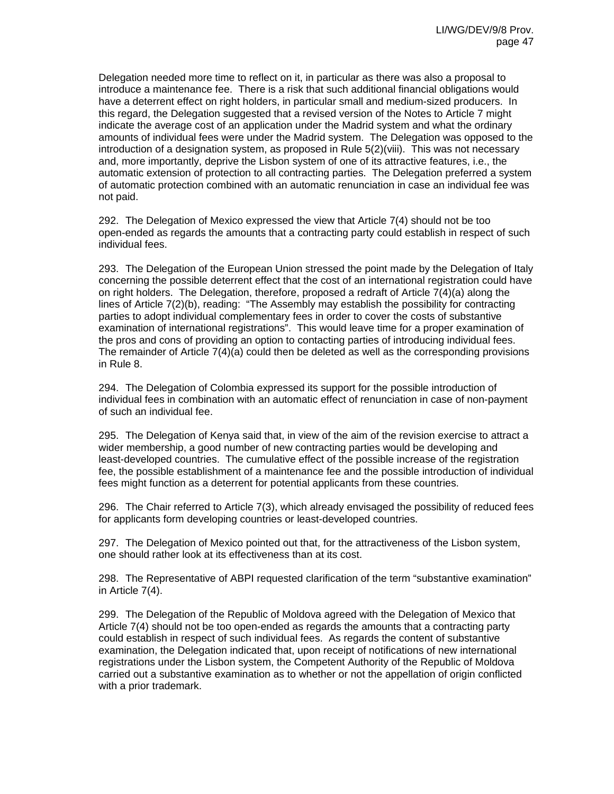Delegation needed more time to reflect on it, in particular as there was also a proposal to introduce a maintenance fee. There is a risk that such additional financial obligations would have a deterrent effect on right holders, in particular small and medium-sized producers. In this regard, the Delegation suggested that a revised version of the Notes to Article 7 might indicate the average cost of an application under the Madrid system and what the ordinary amounts of individual fees were under the Madrid system. The Delegation was opposed to the introduction of a designation system, as proposed in Rule 5(2)(viii). This was not necessary and, more importantly, deprive the Lisbon system of one of its attractive features, i.e., the automatic extension of protection to all contracting parties. The Delegation preferred a system of automatic protection combined with an automatic renunciation in case an individual fee was not paid.

292. The Delegation of Mexico expressed the view that Article 7(4) should not be too open-ended as regards the amounts that a contracting party could establish in respect of such individual fees.

293. The Delegation of the European Union stressed the point made by the Delegation of Italy concerning the possible deterrent effect that the cost of an international registration could have on right holders. The Delegation, therefore, proposed a redraft of Article 7(4)(a) along the lines of Article 7(2)(b), reading: "The Assembly may establish the possibility for contracting parties to adopt individual complementary fees in order to cover the costs of substantive examination of international registrations". This would leave time for a proper examination of the pros and cons of providing an option to contacting parties of introducing individual fees. The remainder of Article 7(4)(a) could then be deleted as well as the corresponding provisions in Rule 8.

294. The Delegation of Colombia expressed its support for the possible introduction of individual fees in combination with an automatic effect of renunciation in case of non-payment of such an individual fee.

295. The Delegation of Kenya said that, in view of the aim of the revision exercise to attract a wider membership, a good number of new contracting parties would be developing and least-developed countries. The cumulative effect of the possible increase of the registration fee, the possible establishment of a maintenance fee and the possible introduction of individual fees might function as a deterrent for potential applicants from these countries.

296. The Chair referred to Article 7(3), which already envisaged the possibility of reduced fees for applicants form developing countries or least-developed countries.

297. The Delegation of Mexico pointed out that, for the attractiveness of the Lisbon system, one should rather look at its effectiveness than at its cost.

298. The Representative of ABPI requested clarification of the term "substantive examination" in Article 7(4).

299. The Delegation of the Republic of Moldova agreed with the Delegation of Mexico that Article 7(4) should not be too open-ended as regards the amounts that a contracting party could establish in respect of such individual fees. As regards the content of substantive examination, the Delegation indicated that, upon receipt of notifications of new international registrations under the Lisbon system, the Competent Authority of the Republic of Moldova carried out a substantive examination as to whether or not the appellation of origin conflicted with a prior trademark.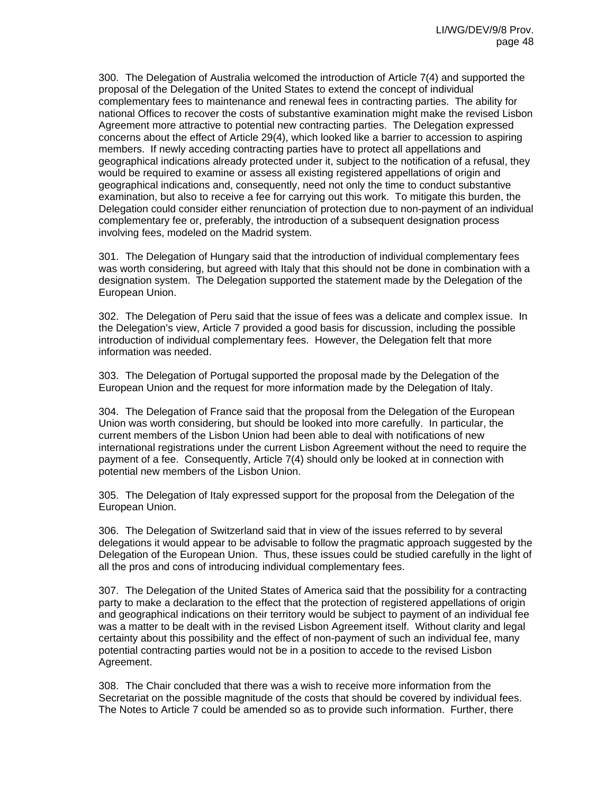300. The Delegation of Australia welcomed the introduction of Article 7(4) and supported the proposal of the Delegation of the United States to extend the concept of individual complementary fees to maintenance and renewal fees in contracting parties. The ability for national Offices to recover the costs of substantive examination might make the revised Lisbon Agreement more attractive to potential new contracting parties. The Delegation expressed concerns about the effect of Article 29(4), which looked like a barrier to accession to aspiring members. If newly acceding contracting parties have to protect all appellations and geographical indications already protected under it, subject to the notification of a refusal, they would be required to examine or assess all existing registered appellations of origin and geographical indications and, consequently, need not only the time to conduct substantive examination, but also to receive a fee for carrying out this work. To mitigate this burden, the Delegation could consider either renunciation of protection due to non-payment of an individual complementary fee or, preferably, the introduction of a subsequent designation process involving fees, modeled on the Madrid system.

301. The Delegation of Hungary said that the introduction of individual complementary fees was worth considering, but agreed with Italy that this should not be done in combination with a designation system. The Delegation supported the statement made by the Delegation of the European Union.

302. The Delegation of Peru said that the issue of fees was a delicate and complex issue. In the Delegation's view, Article 7 provided a good basis for discussion, including the possible introduction of individual complementary fees. However, the Delegation felt that more information was needed.

303. The Delegation of Portugal supported the proposal made by the Delegation of the European Union and the request for more information made by the Delegation of Italy.

304. The Delegation of France said that the proposal from the Delegation of the European Union was worth considering, but should be looked into more carefully. In particular, the current members of the Lisbon Union had been able to deal with notifications of new international registrations under the current Lisbon Agreement without the need to require the payment of a fee. Consequently, Article 7(4) should only be looked at in connection with potential new members of the Lisbon Union.

305. The Delegation of Italy expressed support for the proposal from the Delegation of the European Union.

306. The Delegation of Switzerland said that in view of the issues referred to by several delegations it would appear to be advisable to follow the pragmatic approach suggested by the Delegation of the European Union. Thus, these issues could be studied carefully in the light of all the pros and cons of introducing individual complementary fees.

307. The Delegation of the United States of America said that the possibility for a contracting party to make a declaration to the effect that the protection of registered appellations of origin and geographical indications on their territory would be subject to payment of an individual fee was a matter to be dealt with in the revised Lisbon Agreement itself. Without clarity and legal certainty about this possibility and the effect of non-payment of such an individual fee, many potential contracting parties would not be in a position to accede to the revised Lisbon Agreement.

308. The Chair concluded that there was a wish to receive more information from the Secretariat on the possible magnitude of the costs that should be covered by individual fees. The Notes to Article 7 could be amended so as to provide such information. Further, there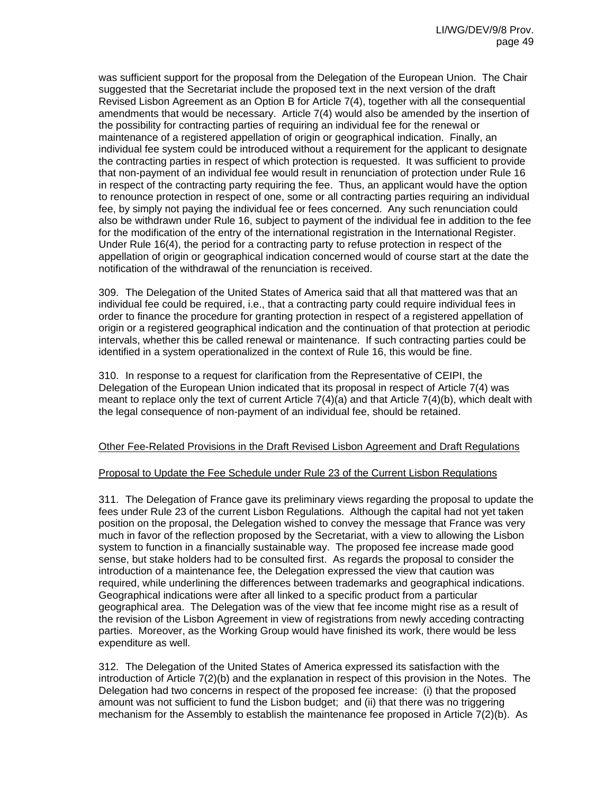was sufficient support for the proposal from the Delegation of the European Union. The Chair suggested that the Secretariat include the proposed text in the next version of the draft Revised Lisbon Agreement as an Option B for Article 7(4), together with all the consequential amendments that would be necessary. Article 7(4) would also be amended by the insertion of the possibility for contracting parties of requiring an individual fee for the renewal or maintenance of a registered appellation of origin or geographical indication. Finally, an individual fee system could be introduced without a requirement for the applicant to designate the contracting parties in respect of which protection is requested. It was sufficient to provide that non-payment of an individual fee would result in renunciation of protection under Rule 16 in respect of the contracting party requiring the fee. Thus, an applicant would have the option to renounce protection in respect of one, some or all contracting parties requiring an individual fee, by simply not paying the individual fee or fees concerned. Any such renunciation could also be withdrawn under Rule 16, subject to payment of the individual fee in addition to the fee for the modification of the entry of the international registration in the International Register. Under Rule 16(4), the period for a contracting party to refuse protection in respect of the appellation of origin or geographical indication concerned would of course start at the date the notification of the withdrawal of the renunciation is received.

309. The Delegation of the United States of America said that all that mattered was that an individual fee could be required, i.e., that a contracting party could require individual fees in order to finance the procedure for granting protection in respect of a registered appellation of origin or a registered geographical indication and the continuation of that protection at periodic intervals, whether this be called renewal or maintenance. If such contracting parties could be identified in a system operationalized in the context of Rule 16, this would be fine.

310. In response to a request for clarification from the Representative of CEIPI, the Delegation of the European Union indicated that its proposal in respect of Article 7(4) was meant to replace only the text of current Article  $7(4)(a)$  and that Article  $7(4)(b)$ , which dealt with the legal consequence of non-payment of an individual fee, should be retained.

## Other Fee-Related Provisions in the Draft Revised Lisbon Agreement and Draft Regulations

#### Proposal to Update the Fee Schedule under Rule 23 of the Current Lisbon Regulations

311. The Delegation of France gave its preliminary views regarding the proposal to update the fees under Rule 23 of the current Lisbon Regulations. Although the capital had not yet taken position on the proposal, the Delegation wished to convey the message that France was very much in favor of the reflection proposed by the Secretariat, with a view to allowing the Lisbon system to function in a financially sustainable way. The proposed fee increase made good sense, but stake holders had to be consulted first. As regards the proposal to consider the introduction of a maintenance fee, the Delegation expressed the view that caution was required, while underlining the differences between trademarks and geographical indications. Geographical indications were after all linked to a specific product from a particular geographical area. The Delegation was of the view that fee income might rise as a result of the revision of the Lisbon Agreement in view of registrations from newly acceding contracting parties. Moreover, as the Working Group would have finished its work, there would be less expenditure as well.

312. The Delegation of the United States of America expressed its satisfaction with the introduction of Article 7(2)(b) and the explanation in respect of this provision in the Notes. The Delegation had two concerns in respect of the proposed fee increase: (i) that the proposed amount was not sufficient to fund the Lisbon budget; and (ii) that there was no triggering mechanism for the Assembly to establish the maintenance fee proposed in Article 7(2)(b). As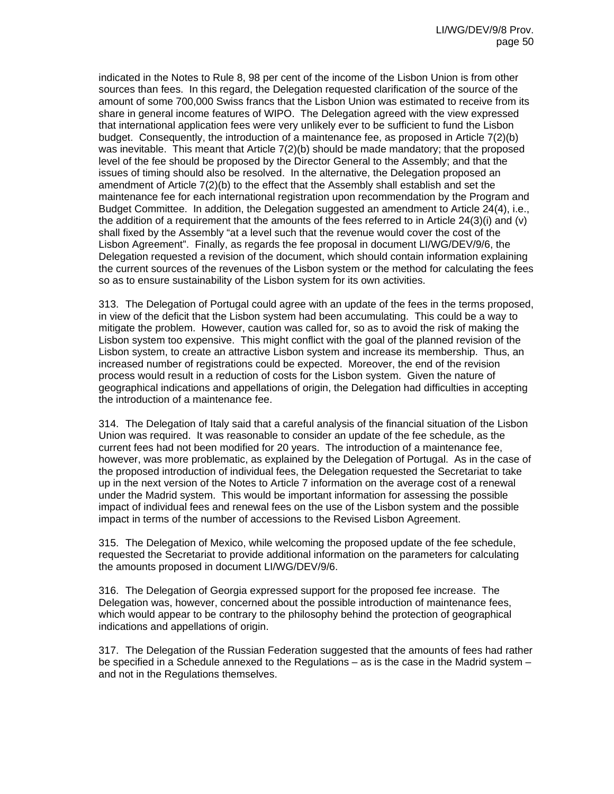indicated in the Notes to Rule 8, 98 per cent of the income of the Lisbon Union is from other sources than fees. In this regard, the Delegation requested clarification of the source of the amount of some 700,000 Swiss francs that the Lisbon Union was estimated to receive from its share in general income features of WIPO. The Delegation agreed with the view expressed that international application fees were very unlikely ever to be sufficient to fund the Lisbon budget. Consequently, the introduction of a maintenance fee, as proposed in Article 7(2)(b) was inevitable. This meant that Article 7(2)(b) should be made mandatory; that the proposed level of the fee should be proposed by the Director General to the Assembly; and that the issues of timing should also be resolved. In the alternative, the Delegation proposed an amendment of Article 7(2)(b) to the effect that the Assembly shall establish and set the maintenance fee for each international registration upon recommendation by the Program and Budget Committee. In addition, the Delegation suggested an amendment to Article 24(4), i.e., the addition of a requirement that the amounts of the fees referred to in Article 24(3)(i) and (v) shall fixed by the Assembly "at a level such that the revenue would cover the cost of the Lisbon Agreement". Finally, as regards the fee proposal in document LI/WG/DEV/9/6, the Delegation requested a revision of the document, which should contain information explaining the current sources of the revenues of the Lisbon system or the method for calculating the fees so as to ensure sustainability of the Lisbon system for its own activities.

313. The Delegation of Portugal could agree with an update of the fees in the terms proposed, in view of the deficit that the Lisbon system had been accumulating. This could be a way to mitigate the problem. However, caution was called for, so as to avoid the risk of making the Lisbon system too expensive. This might conflict with the goal of the planned revision of the Lisbon system, to create an attractive Lisbon system and increase its membership. Thus, an increased number of registrations could be expected. Moreover, the end of the revision process would result in a reduction of costs for the Lisbon system. Given the nature of geographical indications and appellations of origin, the Delegation had difficulties in accepting the introduction of a maintenance fee.

314. The Delegation of Italy said that a careful analysis of the financial situation of the Lisbon Union was required. It was reasonable to consider an update of the fee schedule, as the current fees had not been modified for 20 years. The introduction of a maintenance fee, however, was more problematic, as explained by the Delegation of Portugal. As in the case of the proposed introduction of individual fees, the Delegation requested the Secretariat to take up in the next version of the Notes to Article 7 information on the average cost of a renewal under the Madrid system. This would be important information for assessing the possible impact of individual fees and renewal fees on the use of the Lisbon system and the possible impact in terms of the number of accessions to the Revised Lisbon Agreement.

315. The Delegation of Mexico, while welcoming the proposed update of the fee schedule, requested the Secretariat to provide additional information on the parameters for calculating the amounts proposed in document LI/WG/DEV/9/6.

316. The Delegation of Georgia expressed support for the proposed fee increase. The Delegation was, however, concerned about the possible introduction of maintenance fees, which would appear to be contrary to the philosophy behind the protection of geographical indications and appellations of origin.

317. The Delegation of the Russian Federation suggested that the amounts of fees had rather be specified in a Schedule annexed to the Regulations – as is the case in the Madrid system – and not in the Regulations themselves.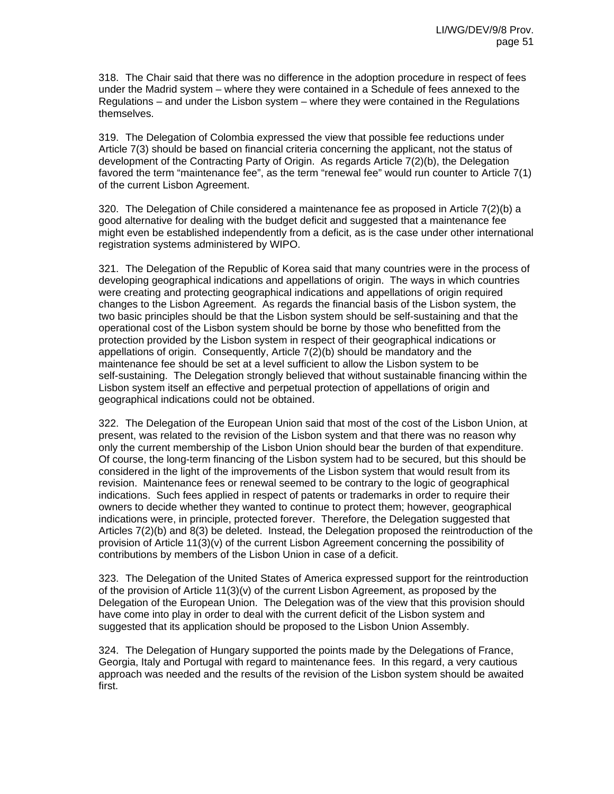318. The Chair said that there was no difference in the adoption procedure in respect of fees under the Madrid system – where they were contained in a Schedule of fees annexed to the Regulations – and under the Lisbon system – where they were contained in the Regulations themselves.

319. The Delegation of Colombia expressed the view that possible fee reductions under Article 7(3) should be based on financial criteria concerning the applicant, not the status of development of the Contracting Party of Origin. As regards Article 7(2)(b), the Delegation favored the term "maintenance fee", as the term "renewal fee" would run counter to Article 7(1) of the current Lisbon Agreement.

320. The Delegation of Chile considered a maintenance fee as proposed in Article 7(2)(b) a good alternative for dealing with the budget deficit and suggested that a maintenance fee might even be established independently from a deficit, as is the case under other international registration systems administered by WIPO.

321. The Delegation of the Republic of Korea said that many countries were in the process of developing geographical indications and appellations of origin. The ways in which countries were creating and protecting geographical indications and appellations of origin required changes to the Lisbon Agreement. As regards the financial basis of the Lisbon system, the two basic principles should be that the Lisbon system should be self-sustaining and that the operational cost of the Lisbon system should be borne by those who benefitted from the protection provided by the Lisbon system in respect of their geographical indications or appellations of origin. Consequently, Article  $7(2)(b)$  should be mandatory and the maintenance fee should be set at a level sufficient to allow the Lisbon system to be self-sustaining. The Delegation strongly believed that without sustainable financing within the Lisbon system itself an effective and perpetual protection of appellations of origin and geographical indications could not be obtained.

322. The Delegation of the European Union said that most of the cost of the Lisbon Union, at present, was related to the revision of the Lisbon system and that there was no reason why only the current membership of the Lisbon Union should bear the burden of that expenditure. Of course, the long-term financing of the Lisbon system had to be secured, but this should be considered in the light of the improvements of the Lisbon system that would result from its revision. Maintenance fees or renewal seemed to be contrary to the logic of geographical indications. Such fees applied in respect of patents or trademarks in order to require their owners to decide whether they wanted to continue to protect them; however, geographical indications were, in principle, protected forever. Therefore, the Delegation suggested that Articles 7(2)(b) and 8(3) be deleted. Instead, the Delegation proposed the reintroduction of the provision of Article 11(3)(v) of the current Lisbon Agreement concerning the possibility of contributions by members of the Lisbon Union in case of a deficit.

323. The Delegation of the United States of America expressed support for the reintroduction of the provision of Article  $11(3)(v)$  of the current Lisbon Agreement, as proposed by the Delegation of the European Union. The Delegation was of the view that this provision should have come into play in order to deal with the current deficit of the Lisbon system and suggested that its application should be proposed to the Lisbon Union Assembly.

324. The Delegation of Hungary supported the points made by the Delegations of France, Georgia, Italy and Portugal with regard to maintenance fees. In this regard, a very cautious approach was needed and the results of the revision of the Lisbon system should be awaited first.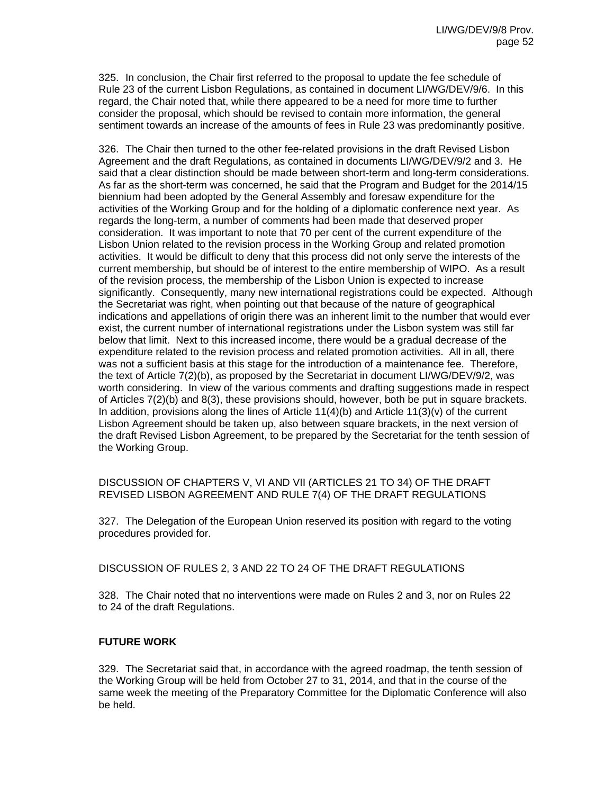325. In conclusion, the Chair first referred to the proposal to update the fee schedule of Rule 23 of the current Lisbon Regulations, as contained in document LI/WG/DEV/9/6. In this regard, the Chair noted that, while there appeared to be a need for more time to further consider the proposal, which should be revised to contain more information, the general sentiment towards an increase of the amounts of fees in Rule 23 was predominantly positive.

326. The Chair then turned to the other fee-related provisions in the draft Revised Lisbon Agreement and the draft Regulations, as contained in documents LI/WG/DEV/9/2 and 3. He said that a clear distinction should be made between short-term and long-term considerations. As far as the short-term was concerned, he said that the Program and Budget for the 2014/15 biennium had been adopted by the General Assembly and foresaw expenditure for the activities of the Working Group and for the holding of a diplomatic conference next year. As regards the long-term, a number of comments had been made that deserved proper consideration. It was important to note that 70 per cent of the current expenditure of the Lisbon Union related to the revision process in the Working Group and related promotion activities. It would be difficult to deny that this process did not only serve the interests of the current membership, but should be of interest to the entire membership of WIPO. As a result of the revision process, the membership of the Lisbon Union is expected to increase significantly. Consequently, many new international registrations could be expected. Although the Secretariat was right, when pointing out that because of the nature of geographical indications and appellations of origin there was an inherent limit to the number that would ever exist, the current number of international registrations under the Lisbon system was still far below that limit. Next to this increased income, there would be a gradual decrease of the expenditure related to the revision process and related promotion activities. All in all, there was not a sufficient basis at this stage for the introduction of a maintenance fee. Therefore, the text of Article 7(2)(b), as proposed by the Secretariat in document LI/WG/DEV/9/2, was worth considering. In view of the various comments and drafting suggestions made in respect of Articles 7(2)(b) and 8(3), these provisions should, however, both be put in square brackets. In addition, provisions along the lines of Article  $11(4)(b)$  and Article  $11(3)(v)$  of the current Lisbon Agreement should be taken up, also between square brackets, in the next version of the draft Revised Lisbon Agreement, to be prepared by the Secretariat for the tenth session of the Working Group.

DISCUSSION OF CHAPTERS V, VI AND VII (ARTICLES 21 TO 34) OF THE DRAFT REVISED LISBON AGREEMENT AND RULE 7(4) OF THE DRAFT REGULATIONS

327. The Delegation of the European Union reserved its position with regard to the voting procedures provided for.

DISCUSSION OF RULES 2, 3 AND 22 TO 24 OF THE DRAFT REGULATIONS

328. The Chair noted that no interventions were made on Rules 2 and 3, nor on Rules 22 to 24 of the draft Regulations.

## **FUTURE WORK**

329. The Secretariat said that, in accordance with the agreed roadmap, the tenth session of the Working Group will be held from October 27 to 31, 2014, and that in the course of the same week the meeting of the Preparatory Committee for the Diplomatic Conference will also be held.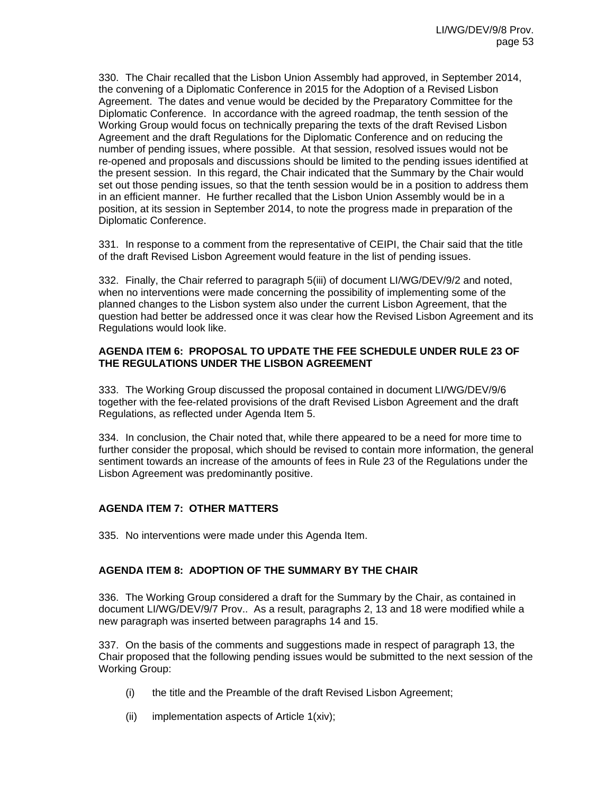330. The Chair recalled that the Lisbon Union Assembly had approved, in September 2014, the convening of a Diplomatic Conference in 2015 for the Adoption of a Revised Lisbon Agreement. The dates and venue would be decided by the Preparatory Committee for the Diplomatic Conference. In accordance with the agreed roadmap, the tenth session of the Working Group would focus on technically preparing the texts of the draft Revised Lisbon Agreement and the draft Regulations for the Diplomatic Conference and on reducing the number of pending issues, where possible. At that session, resolved issues would not be re-opened and proposals and discussions should be limited to the pending issues identified at the present session. In this regard, the Chair indicated that the Summary by the Chair would set out those pending issues, so that the tenth session would be in a position to address them in an efficient manner. He further recalled that the Lisbon Union Assembly would be in a position, at its session in September 2014, to note the progress made in preparation of the Diplomatic Conference.

331. In response to a comment from the representative of CEIPI, the Chair said that the title of the draft Revised Lisbon Agreement would feature in the list of pending issues.

332. Finally, the Chair referred to paragraph 5(iii) of document LI/WG/DEV/9/2 and noted, when no interventions were made concerning the possibility of implementing some of the planned changes to the Lisbon system also under the current Lisbon Agreement, that the question had better be addressed once it was clear how the Revised Lisbon Agreement and its Regulations would look like.

#### **AGENDA ITEM 6: PROPOSAL TO UPDATE THE FEE SCHEDULE UNDER RULE 23 OF THE REGULATIONS UNDER THE LISBON AGREEMENT**

333. The Working Group discussed the proposal contained in document LI/WG/DEV/9/6 together with the fee-related provisions of the draft Revised Lisbon Agreement and the draft Regulations, as reflected under Agenda Item 5.

334. In conclusion, the Chair noted that, while there appeared to be a need for more time to further consider the proposal, which should be revised to contain more information, the general sentiment towards an increase of the amounts of fees in Rule 23 of the Regulations under the Lisbon Agreement was predominantly positive.

## **AGENDA ITEM 7: OTHER MATTERS**

335. No interventions were made under this Agenda Item.

## **AGENDA ITEM 8: ADOPTION OF THE SUMMARY BY THE CHAIR**

336. The Working Group considered a draft for the Summary by the Chair, as contained in document LI/WG/DEV/9/7 Prov.. As a result, paragraphs 2, 13 and 18 were modified while a new paragraph was inserted between paragraphs 14 and 15.

337. On the basis of the comments and suggestions made in respect of paragraph 13, the Chair proposed that the following pending issues would be submitted to the next session of the Working Group:

- (i) the title and the Preamble of the draft Revised Lisbon Agreement;
- (ii) implementation aspects of Article 1(xiv);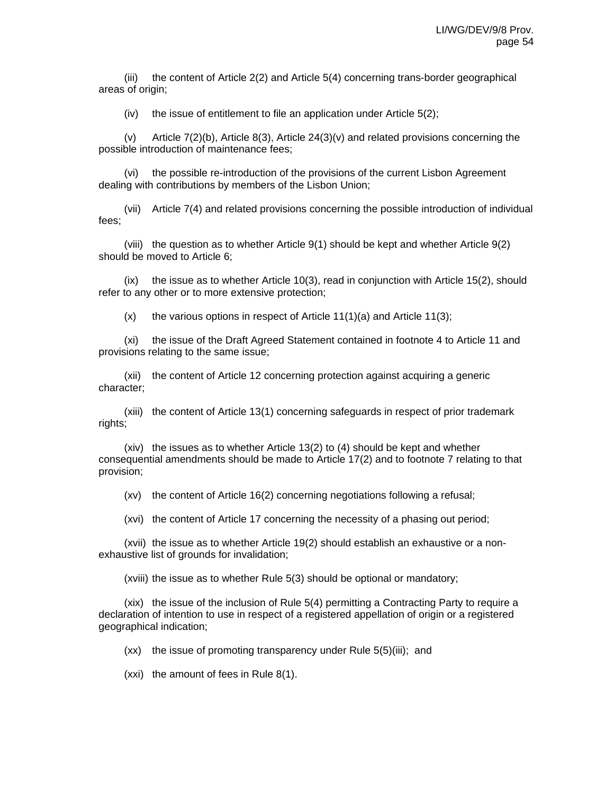(iii) the content of Article 2(2) and Article 5(4) concerning trans-border geographical areas of origin;

(iv) the issue of entitlement to file an application under Article 5(2);

(v) Article 7(2)(b), Article 8(3), Article 24(3)(v) and related provisions concerning the possible introduction of maintenance fees;

(vi) the possible re-introduction of the provisions of the current Lisbon Agreement dealing with contributions by members of the Lisbon Union;

(vii) Article 7(4) and related provisions concerning the possible introduction of individual fees;

(viii) the question as to whether Article 9(1) should be kept and whether Article 9(2) should be moved to Article 6;

(ix) the issue as to whether Article 10(3), read in conjunction with Article 15(2), should refer to any other or to more extensive protection;

 $(x)$  the various options in respect of Article 11(1)(a) and Article 11(3);

(xi) the issue of the Draft Agreed Statement contained in footnote 4 to Article 11 and provisions relating to the same issue;

(xii) the content of Article 12 concerning protection against acquiring a generic character;

(xiii) the content of Article 13(1) concerning safeguards in respect of prior trademark rights;

(xiv) the issues as to whether Article 13(2) to (4) should be kept and whether consequential amendments should be made to Article 17(2) and to footnote 7 relating to that provision;

(xv) the content of Article 16(2) concerning negotiations following a refusal;

(xvi) the content of Article 17 concerning the necessity of a phasing out period;

(xvii) the issue as to whether Article 19(2) should establish an exhaustive or a nonexhaustive list of grounds for invalidation;

(xviii) the issue as to whether Rule 5(3) should be optional or mandatory;

(xix) the issue of the inclusion of Rule 5(4) permitting a Contracting Party to require a declaration of intention to use in respect of a registered appellation of origin or a registered geographical indication;

(xx) the issue of promoting transparency under Rule 5(5)(iii); and

(xxi) the amount of fees in Rule 8(1).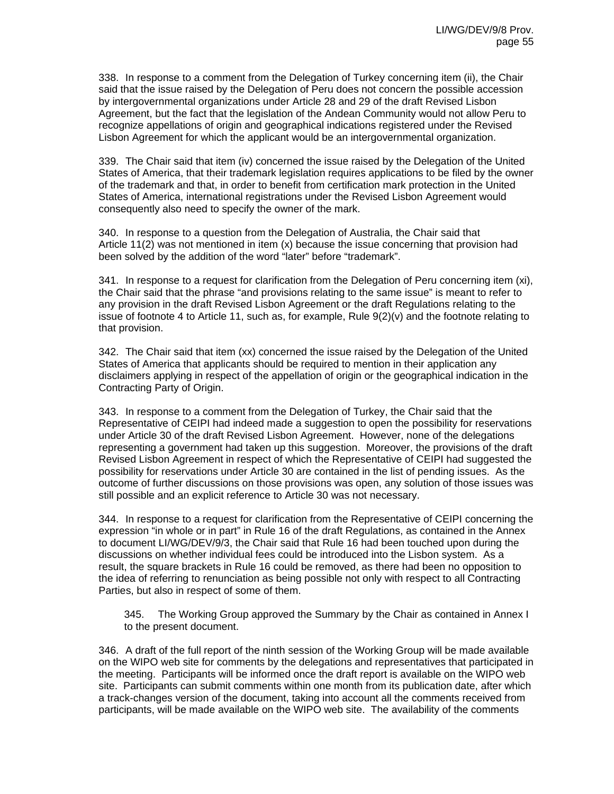338. In response to a comment from the Delegation of Turkey concerning item (ii), the Chair said that the issue raised by the Delegation of Peru does not concern the possible accession by intergovernmental organizations under Article 28 and 29 of the draft Revised Lisbon Agreement, but the fact that the legislation of the Andean Community would not allow Peru to recognize appellations of origin and geographical indications registered under the Revised Lisbon Agreement for which the applicant would be an intergovernmental organization.

339. The Chair said that item (iv) concerned the issue raised by the Delegation of the United States of America, that their trademark legislation requires applications to be filed by the owner of the trademark and that, in order to benefit from certification mark protection in the United States of America, international registrations under the Revised Lisbon Agreement would consequently also need to specify the owner of the mark.

340. In response to a question from the Delegation of Australia, the Chair said that Article 11(2) was not mentioned in item (x) because the issue concerning that provision had been solved by the addition of the word "later" before "trademark".

341. In response to a request for clarification from the Delegation of Peru concerning item (xi), the Chair said that the phrase "and provisions relating to the same issue" is meant to refer to any provision in the draft Revised Lisbon Agreement or the draft Regulations relating to the issue of footnote 4 to Article 11, such as, for example, Rule 9(2)(v) and the footnote relating to that provision.

342. The Chair said that item (xx) concerned the issue raised by the Delegation of the United States of America that applicants should be required to mention in their application any disclaimers applying in respect of the appellation of origin or the geographical indication in the Contracting Party of Origin.

343. In response to a comment from the Delegation of Turkey, the Chair said that the Representative of CEIPI had indeed made a suggestion to open the possibility for reservations under Article 30 of the draft Revised Lisbon Agreement. However, none of the delegations representing a government had taken up this suggestion. Moreover, the provisions of the draft Revised Lisbon Agreement in respect of which the Representative of CEIPI had suggested the possibility for reservations under Article 30 are contained in the list of pending issues. As the outcome of further discussions on those provisions was open, any solution of those issues was still possible and an explicit reference to Article 30 was not necessary.

344. In response to a request for clarification from the Representative of CEIPI concerning the expression "in whole or in part" in Rule 16 of the draft Regulations, as contained in the Annex to document LI/WG/DEV/9/3, the Chair said that Rule 16 had been touched upon during the discussions on whether individual fees could be introduced into the Lisbon system. As a result, the square brackets in Rule 16 could be removed, as there had been no opposition to the idea of referring to renunciation as being possible not only with respect to all Contracting Parties, but also in respect of some of them.

345. The Working Group approved the Summary by the Chair as contained in Annex I to the present document.

346. A draft of the full report of the ninth session of the Working Group will be made available on the WIPO web site for comments by the delegations and representatives that participated in the meeting. Participants will be informed once the draft report is available on the WIPO web site. Participants can submit comments within one month from its publication date, after which a track-changes version of the document, taking into account all the comments received from participants, will be made available on the WIPO web site. The availability of the comments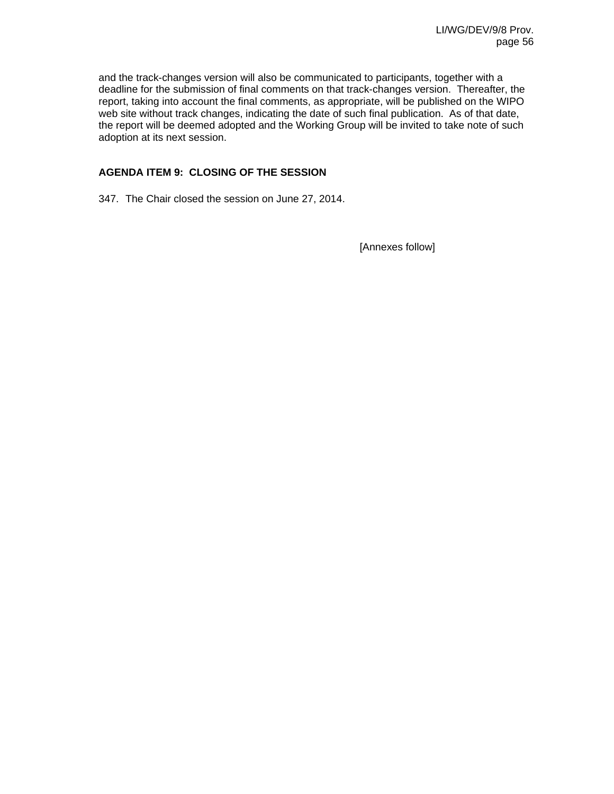and the track-changes version will also be communicated to participants, together with a deadline for the submission of final comments on that track-changes version. Thereafter, the report, taking into account the final comments, as appropriate, will be published on the WIPO web site without track changes, indicating the date of such final publication. As of that date, the report will be deemed adopted and the Working Group will be invited to take note of such adoption at its next session.

## **AGENDA ITEM 9: CLOSING OF THE SESSION**

347. The Chair closed the session on June 27, 2014.

[Annexes follow]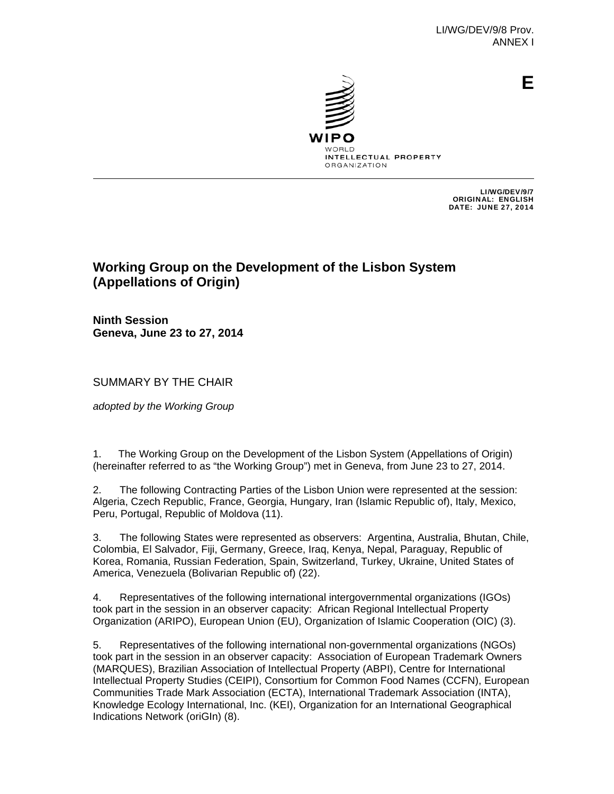

**E**

INTELLECTUAL PROPERTY **ORGANIZATION** 

> LI/WG/DEV/9/7 ORIGINAL: ENGLISH DATE: JUNE 27, 2014

# **Working Group on the Development of the Lisbon System (Appellations of Origin)**

**Ninth Session Geneva, June 23 to 27, 2014** 

SUMMARY BY THE CHAIR

*adopted by the Working Group*

1. The Working Group on the Development of the Lisbon System (Appellations of Origin) (hereinafter referred to as "the Working Group") met in Geneva, from June 23 to 27, 2014.

2. The following Contracting Parties of the Lisbon Union were represented at the session: Algeria, Czech Republic, France, Georgia, Hungary, Iran (Islamic Republic of), Italy, Mexico, Peru, Portugal, Republic of Moldova (11).

3. The following States were represented as observers: Argentina, Australia, Bhutan, Chile, Colombia, El Salvador, Fiji, Germany, Greece, Iraq, Kenya, Nepal, Paraguay, Republic of Korea, Romania, Russian Federation, Spain, Switzerland, Turkey, Ukraine, United States of America, Venezuela (Bolivarian Republic of) (22).

4. Representatives of the following international intergovernmental organizations (IGOs) took part in the session in an observer capacity: African Regional Intellectual Property Organization (ARIPO), European Union (EU), Organization of Islamic Cooperation (OIC) (3).

5. Representatives of the following international non-governmental organizations (NGOs) took part in the session in an observer capacity: Association of European Trademark Owners (MARQUES), Brazilian Association of Intellectual Property (ABPI), Centre for International Intellectual Property Studies (CEIPI), Consortium for Common Food Names (CCFN), European Communities Trade Mark Association (ECTA), International Trademark Association (INTA), Knowledge Ecology International, Inc. (KEI), Organization for an International Geographical Indications Network (oriGIn) (8).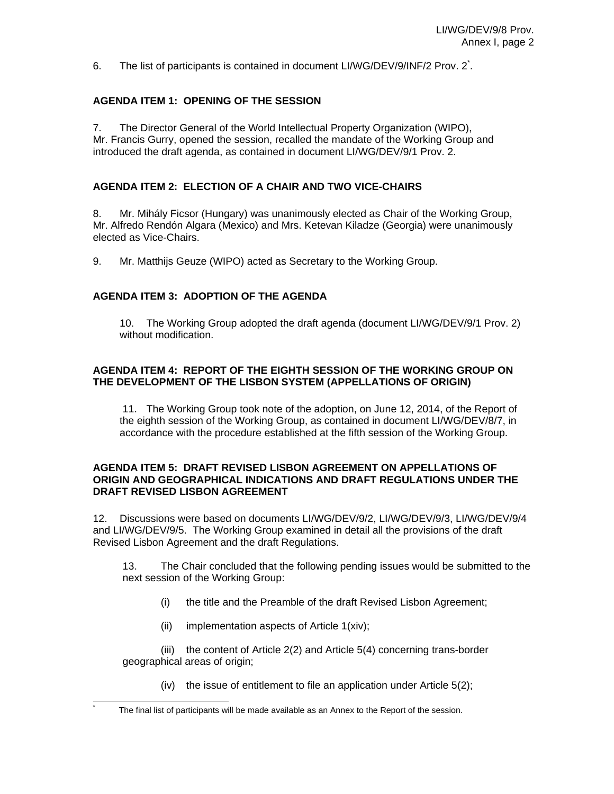6. The list of participants is contained in document LI/WG/DEV/9/INF/2 Prov. 2<sup>\*</sup>.

## **AGENDA ITEM 1: OPENING OF THE SESSION**

7. The Director General of the World Intellectual Property Organization (WIPO), Mr. Francis Gurry, opened the session, recalled the mandate of the Working Group and introduced the draft agenda, as contained in document LI/WG/DEV/9/1 Prov. 2.

## **AGENDA ITEM 2: ELECTION OF A CHAIR AND TWO VICE-CHAIRS**

8. Mr. Mihály Ficsor (Hungary) was unanimously elected as Chair of the Working Group, Mr. Alfredo Rendón Algara (Mexico) and Mrs. Ketevan Kiladze (Georgia) were unanimously elected as Vice-Chairs.

9. Mr. Matthijs Geuze (WIPO) acted as Secretary to the Working Group.

## **AGENDA ITEM 3: ADOPTION OF THE AGENDA**

10. The Working Group adopted the draft agenda (document LI/WG/DEV/9/1 Prov. 2) without modification

## **AGENDA ITEM 4: REPORT OF THE EIGHTH SESSION OF THE WORKING GROUP ON THE DEVELOPMENT OF THE LISBON SYSTEM (APPELLATIONS OF ORIGIN)**

11. The Working Group took note of the adoption, on June 12, 2014, of the Report of the eighth session of the Working Group, as contained in document LI/WG/DEV/8/7, in accordance with the procedure established at the fifth session of the Working Group.

#### **AGENDA ITEM 5: DRAFT REVISED LISBON AGREEMENT ON APPELLATIONS OF ORIGIN AND GEOGRAPHICAL INDICATIONS AND DRAFT REGULATIONS UNDER THE DRAFT REVISED LISBON AGREEMENT**

12. Discussions were based on documents LI/WG/DEV/9/2, LI/WG/DEV/9/3, LI/WG/DEV/9/4 and LI/WG/DEV/9/5. The Working Group examined in detail all the provisions of the draft Revised Lisbon Agreement and the draft Regulations.

 13. The Chair concluded that the following pending issues would be submitted to the next session of the Working Group:

- (i) the title and the Preamble of the draft Revised Lisbon Agreement;
- (ii) implementation aspects of Article 1(xiv);

l \*

(iii) the content of Article 2(2) and Article 5(4) concerning trans-border geographical areas of origin;

(iv) the issue of entitlement to file an application under Article 5(2);

The final list of participants will be made available as an Annex to the Report of the session.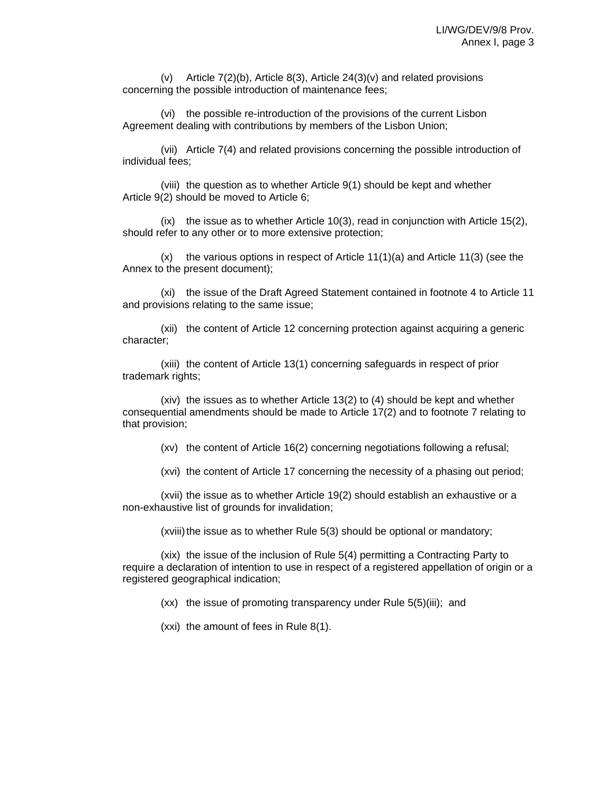(v) Article 7(2)(b), Article 8(3), Article 24(3)(v) and related provisions concerning the possible introduction of maintenance fees;

(vi) the possible re-introduction of the provisions of the current Lisbon Agreement dealing with contributions by members of the Lisbon Union;

(vii) Article 7(4) and related provisions concerning the possible introduction of individual fees;

(viii) the question as to whether Article 9(1) should be kept and whether Article 9(2) should be moved to Article 6;

(ix) the issue as to whether Article 10(3), read in conjunction with Article 15(2), should refer to any other or to more extensive protection;

 $(x)$  the various options in respect of Article 11(1)(a) and Article 11(3) (see the Annex to the present document);

(xi) the issue of the Draft Agreed Statement contained in footnote 4 to Article 11 and provisions relating to the same issue;

(xii) the content of Article 12 concerning protection against acquiring a generic character;

(xiii) the content of Article 13(1) concerning safeguards in respect of prior trademark rights;

(xiv) the issues as to whether Article 13(2) to (4) should be kept and whether consequential amendments should be made to Article 17(2) and to footnote 7 relating to that provision;

(xv) the content of Article 16(2) concerning negotiations following a refusal;

(xvi) the content of Article 17 concerning the necessity of a phasing out period;

(xvii) the issue as to whether Article 19(2) should establish an exhaustive or a non-exhaustive list of grounds for invalidation;

(xviii) the issue as to whether Rule 5(3) should be optional or mandatory;

(xix) the issue of the inclusion of Rule 5(4) permitting a Contracting Party to require a declaration of intention to use in respect of a registered appellation of origin or a registered geographical indication;

(xx) the issue of promoting transparency under Rule 5(5)(iii); and

(xxi) the amount of fees in Rule 8(1).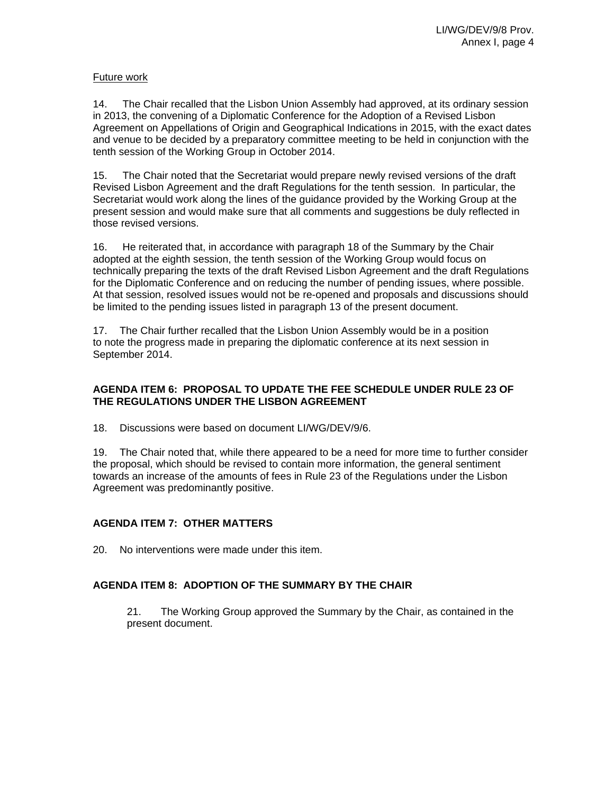## Future work

14. The Chair recalled that the Lisbon Union Assembly had approved, at its ordinary session in 2013, the convening of a Diplomatic Conference for the Adoption of a Revised Lisbon Agreement on Appellations of Origin and Geographical Indications in 2015, with the exact dates and venue to be decided by a preparatory committee meeting to be held in conjunction with the tenth session of the Working Group in October 2014.

15. The Chair noted that the Secretariat would prepare newly revised versions of the draft Revised Lisbon Agreement and the draft Regulations for the tenth session. In particular, the Secretariat would work along the lines of the guidance provided by the Working Group at the present session and would make sure that all comments and suggestions be duly reflected in those revised versions.

16. He reiterated that, in accordance with paragraph 18 of the Summary by the Chair adopted at the eighth session, the tenth session of the Working Group would focus on technically preparing the texts of the draft Revised Lisbon Agreement and the draft Regulations for the Diplomatic Conference and on reducing the number of pending issues, where possible. At that session, resolved issues would not be re-opened and proposals and discussions should be limited to the pending issues listed in paragraph 13 of the present document.

17. The Chair further recalled that the Lisbon Union Assembly would be in a position to note the progress made in preparing the diplomatic conference at its next session in September 2014.

## **AGENDA ITEM 6: PROPOSAL TO UPDATE THE FEE SCHEDULE UNDER RULE 23 OF THE REGULATIONS UNDER THE LISBON AGREEMENT**

18. Discussions were based on document LI/WG/DEV/9/6.

19. The Chair noted that, while there appeared to be a need for more time to further consider the proposal, which should be revised to contain more information, the general sentiment towards an increase of the amounts of fees in Rule 23 of the Regulations under the Lisbon Agreement was predominantly positive.

# **AGENDA ITEM 7: OTHER MATTERS**

20. No interventions were made under this item.

# **AGENDA ITEM 8: ADOPTION OF THE SUMMARY BY THE CHAIR**

21. The Working Group approved the Summary by the Chair, as contained in the present document.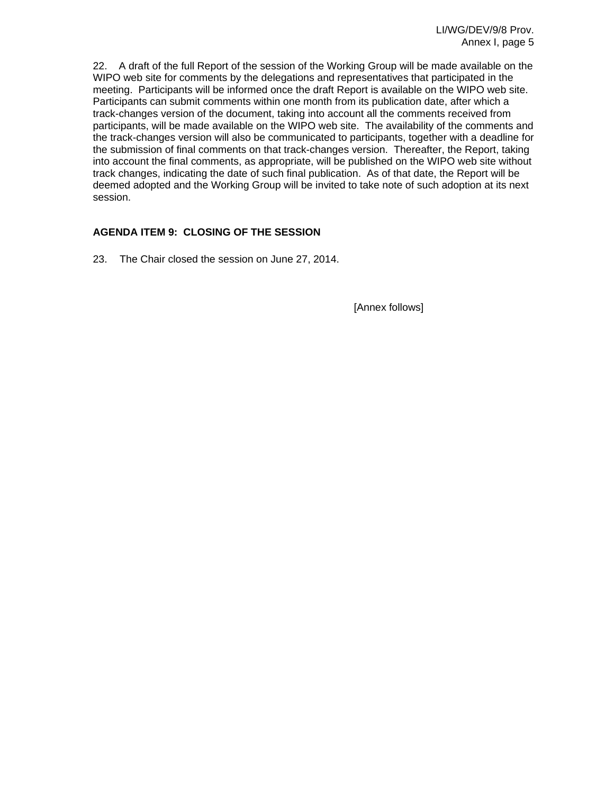22. A draft of the full Report of the session of the Working Group will be made available on the WIPO web site for comments by the delegations and representatives that participated in the meeting. Participants will be informed once the draft Report is available on the WIPO web site. Participants can submit comments within one month from its publication date, after which a track-changes version of the document, taking into account all the comments received from participants, will be made available on the WIPO web site. The availability of the comments and the track-changes version will also be communicated to participants, together with a deadline for the submission of final comments on that track-changes version. Thereafter, the Report, taking into account the final comments, as appropriate, will be published on the WIPO web site without track changes, indicating the date of such final publication. As of that date, the Report will be deemed adopted and the Working Group will be invited to take note of such adoption at its next session.

## **AGENDA ITEM 9: CLOSING OF THE SESSION**

23. The Chair closed the session on June 27, 2014.

[Annex follows]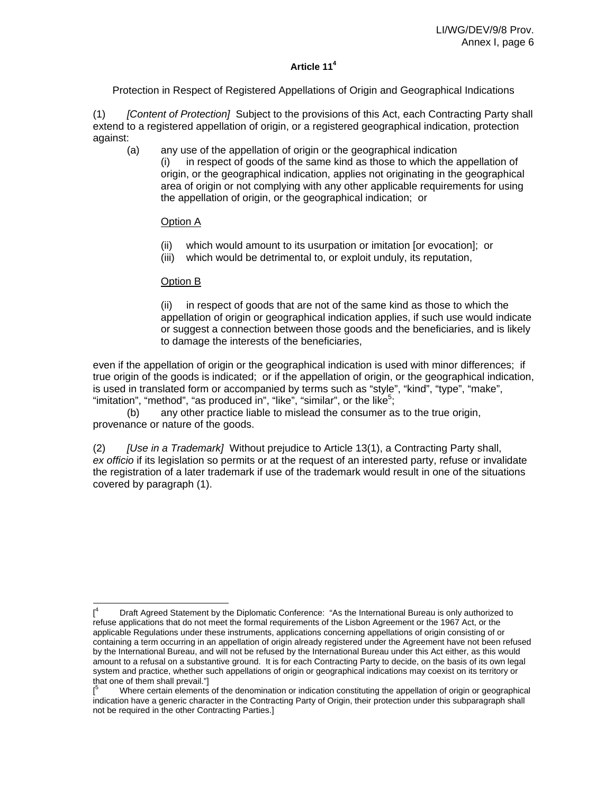## **Article 114**

Protection in Respect of Registered Appellations of Origin and Geographical Indications

(1) *[Content of Protection]* Subject to the provisions of this Act, each Contracting Party shall extend to a registered appellation of origin, or a registered geographical indication, protection against:

(a) any use of the appellation of origin or the geographical indication (i) in respect of goods of the same kind as those to which the appellation of origin, or the geographical indication, applies not originating in the geographical area of origin or not complying with any other applicable requirements for using the appellation of origin, or the geographical indication; or

## Option A

- (ii) which would amount to its usurpation or imitation [or evocation]; or
- (iii) which would be detrimental to, or exploit unduly, its reputation,

## Option B

(ii) in respect of goods that are not of the same kind as those to which the appellation of origin or geographical indication applies, if such use would indicate or suggest a connection between those goods and the beneficiaries, and is likely to damage the interests of the beneficiaries,

even if the appellation of origin or the geographical indication is used with minor differences; if true origin of the goods is indicated; or if the appellation of origin, or the geographical indication, is used in translated form or accompanied by terms such as "style", "kind", "type", "make", "imitation", "method", "as produced in", "like", "similar", or the like<sup>5</sup>;

 (b) any other practice liable to mislead the consumer as to the true origin, provenance or nature of the goods.

(2) *[Use in a Trademark]* Without prejudice to Article 13(1), a Contracting Party shall, *ex officio* if its legislation so permits or at the request of an interested party, refuse or invalidate the registration of a later trademark if use of the trademark would result in one of the situations covered by paragraph (1).

 $\overline{a}$  $[$ <sup>4</sup> Draft Agreed Statement by the Diplomatic Conference: "As the International Bureau is only authorized to refuse applications that do not meet the formal requirements of the Lisbon Agreement or the 1967 Act, or the applicable Regulations under these instruments, applications concerning appellations of origin consisting of or containing a term occurring in an appellation of origin already registered under the Agreement have not been refused by the International Bureau, and will not be refused by the International Bureau under this Act either, as this would amount to a refusal on a substantive ground. It is for each Contracting Party to decide, on the basis of its own legal system and practice, whether such appellations of origin or geographical indications may coexist on its territory or that one of them shall prevail."]

<sup>[</sup> 5 Where certain elements of the denomination or indication constituting the appellation of origin or geographical indication have a generic character in the Contracting Party of Origin, their protection under this subparagraph shall not be required in the other Contracting Parties.]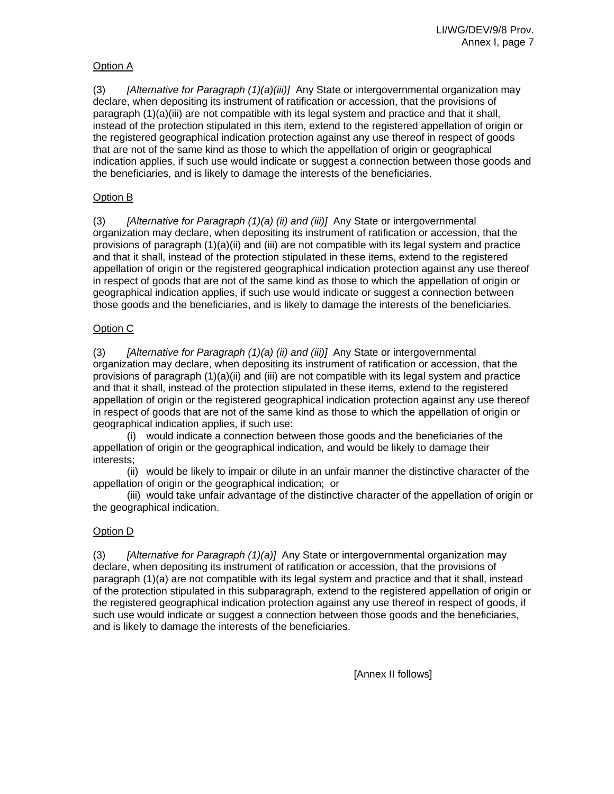## Option A

(3) *[Alternative for Paragraph (1)(a)(iii)]* Any State or intergovernmental organization may declare, when depositing its instrument of ratification or accession, that the provisions of paragraph (1)(a)(iii) are not compatible with its legal system and practice and that it shall, instead of the protection stipulated in this item, extend to the registered appellation of origin or the registered geographical indication protection against any use thereof in respect of goods that are not of the same kind as those to which the appellation of origin or geographical indication applies, if such use would indicate or suggest a connection between those goods and the beneficiaries, and is likely to damage the interests of the beneficiaries.

## Option B

(3) *[Alternative for Paragraph (1)(a) (ii) and (iii)]* Any State or intergovernmental organization may declare, when depositing its instrument of ratification or accession, that the provisions of paragraph (1)(a)(ii) and (iii) are not compatible with its legal system and practice and that it shall, instead of the protection stipulated in these items, extend to the registered appellation of origin or the registered geographical indication protection against any use thereof in respect of goods that are not of the same kind as those to which the appellation of origin or geographical indication applies, if such use would indicate or suggest a connection between those goods and the beneficiaries, and is likely to damage the interests of the beneficiaries.

## Option C

(3) *[Alternative for Paragraph (1)(a) (ii) and (iii)]* Any State or intergovernmental organization may declare, when depositing its instrument of ratification or accession, that the provisions of paragraph  $(1)(a)(ii)$  and  $(iii)$  are not compatible with its legal system and practice and that it shall, instead of the protection stipulated in these items, extend to the registered appellation of origin or the registered geographical indication protection against any use thereof in respect of goods that are not of the same kind as those to which the appellation of origin or geographical indication applies, if such use:

 (i) would indicate a connection between those goods and the beneficiaries of the appellation of origin or the geographical indication, and would be likely to damage their interests;

 (ii) would be likely to impair or dilute in an unfair manner the distinctive character of the appellation of origin or the geographical indication; or

 (iii) would take unfair advantage of the distinctive character of the appellation of origin or the geographical indication.

## Option D

(3) *[Alternative for Paragraph (1)(a)]* Any State or intergovernmental organization may declare, when depositing its instrument of ratification or accession, that the provisions of paragraph (1)(a) are not compatible with its legal system and practice and that it shall, instead of the protection stipulated in this subparagraph, extend to the registered appellation of origin or the registered geographical indication protection against any use thereof in respect of goods, if such use would indicate or suggest a connection between those goods and the beneficiaries, and is likely to damage the interests of the beneficiaries.

[Annex II follows]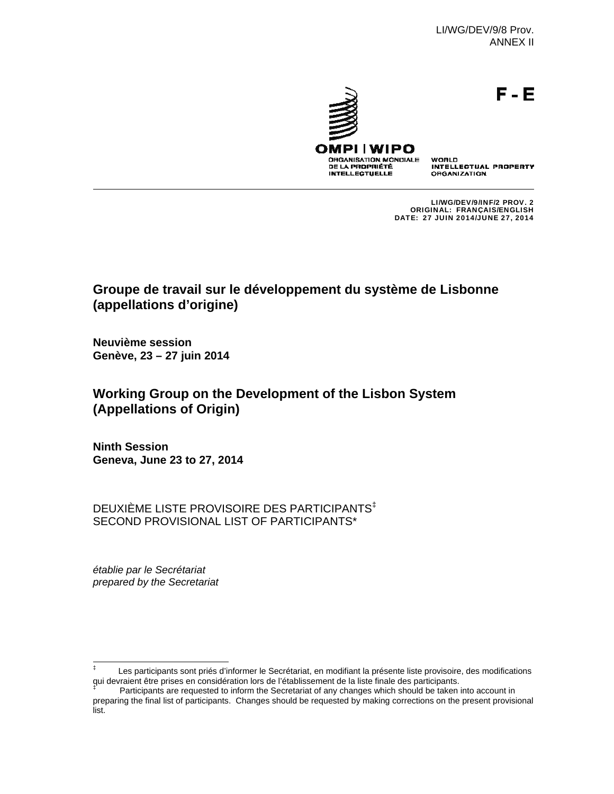LI/WG/DEV/9/8 Prov. ANNEX II

F-E



DE LA PROPRIÉTÉ

**INTELLECTUELLE** 

WORLD **INTELLECTUAL PROPERTY ORGANIZATION** 

LI/WG/DEV/9/INF/2 PROV. 2 ORIGINAL: FRANÇAIS/ENGLISH DATE: 27 JUIN 2014/JUNE 27, 2014

# **Groupe de travail sur le développement du système de Lisbonne (appellations d'origine)**

**Neuvième session Genève, 23 – 27 juin 2014**

# **Working Group on the Development of the Lisbon System (Appellations of Origin)**

**Ninth Session Geneva, June 23 to 27, 2014**

DEUXIÈME LISTE PROVISOIRE DES PARTICIPANTS‡ SECOND PROVISIONAL LIST OF PARTICIPANTS\*

*établie par le Secrétariat prepared by the Secretariat* 

 ‡ Les participants sont priés d'informer le Secrétariat, en modifiant la présente liste provisoire, des modifications qui devraient être prises en considération lors de l'établissement de la liste finale des participants.<br><sup>‡</sup> Participants era requested te inferm the Sesseteriet ef any changes unich should be teken i

Participants are requested to inform the Secretariat of any changes which should be taken into account in preparing the final list of participants. Changes should be requested by making corrections on the present provisional list.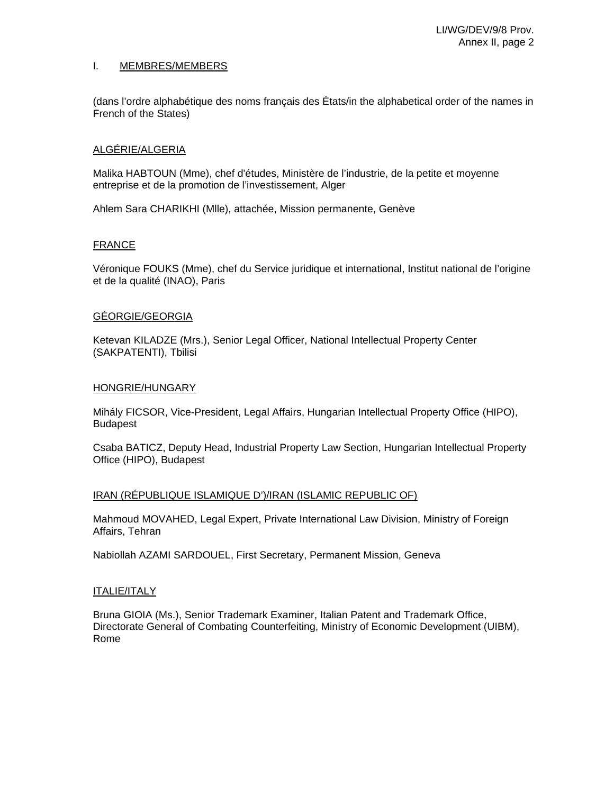#### I. MEMBRES/MEMBERS

(dans l'ordre alphabétique des noms français des États/in the alphabetical order of the names in French of the States)

#### ALGÉRIE/ALGERIA

Malika HABTOUN (Mme), chef d'études, Ministère de l'industrie, de la petite et moyenne entreprise et de la promotion de l'investissement, Alger

Ahlem Sara CHARIKHI (Mlle), attachée, Mission permanente, Genève

#### FRANCE

Véronique FOUKS (Mme), chef du Service juridique et international, Institut national de l'origine et de la qualité (INAO), Paris

#### GÉORGIE/GEORGIA

Ketevan KILADZE (Mrs.), Senior Legal Officer, National Intellectual Property Center (SAKPATENTI), Tbilisi

#### HONGRIE/HUNGARY

Mihály FICSOR, Vice-President, Legal Affairs, Hungarian Intellectual Property Office (HIPO), Budapest

Csaba BATICZ, Deputy Head, Industrial Property Law Section, Hungarian Intellectual Property Office (HIPO), Budapest

#### IRAN (RÉPUBLIQUE ISLAMIQUE D')/IRAN (ISLAMIC REPUBLIC OF)

Mahmoud MOVAHED, Legal Expert, Private International Law Division, Ministry of Foreign Affairs, Tehran

Nabiollah AZAMI SARDOUEL, First Secretary, Permanent Mission, Geneva

#### ITALIE/ITALY

Bruna GIOIA (Ms.), Senior Trademark Examiner, Italian Patent and Trademark Office, Directorate General of Combating Counterfeiting, Ministry of Economic Development (UIBM), Rome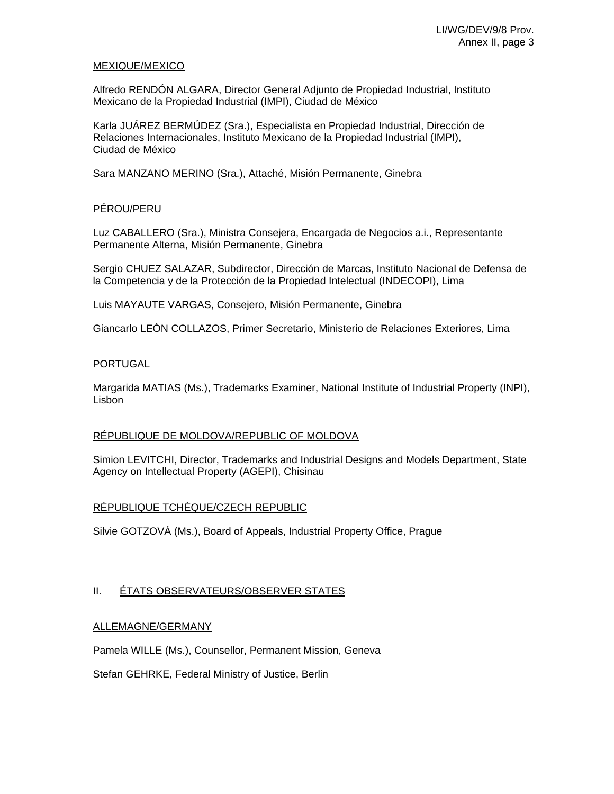#### MEXIQUE/MEXICO

Alfredo RENDÓN ALGARA, Director General Adjunto de Propiedad Industrial, Instituto Mexicano de la Propiedad Industrial (IMPI), Ciudad de México

Karla JUÁREZ BERMÚDEZ (Sra.), Especialista en Propiedad Industrial, Dirección de Relaciones Internacionales, Instituto Mexicano de la Propiedad Industrial (IMPI), Ciudad de México

Sara MANZANO MERINO (Sra.), Attaché, Misión Permanente, Ginebra

## PÉROU/PERU

Luz CABALLERO (Sra.), Ministra Consejera, Encargada de Negocios a.i., Representante Permanente Alterna, Misión Permanente, Ginebra

Sergio CHUEZ SALAZAR, Subdirector, Dirección de Marcas, Instituto Nacional de Defensa de la Competencia y de la Protección de la Propiedad Intelectual (INDECOPI), Lima

Luis MAYAUTE VARGAS, Consejero, Misión Permanente, Ginebra

Giancarlo LEÓN COLLAZOS, Primer Secretario, Ministerio de Relaciones Exteriores, Lima

## PORTUGAL

Margarida MATIAS (Ms.), Trademarks Examiner, National Institute of Industrial Property (INPI), Lisbon

## RÉPUBLIQUE DE MOLDOVA/REPUBLIC OF MOLDOVA

Simion LEVITCHI, Director, Trademarks and Industrial Designs and Models Department, State Agency on Intellectual Property (AGEPI), Chisinau

## RÉPUBLIQUE TCHÈQUE/CZECH REPUBLIC

Silvie GOTZOVÁ (Ms.), Board of Appeals, Industrial Property Office, Prague

## II. ÉTATS OBSERVATEURS/OBSERVER STATES

## ALLEMAGNE/GERMANY

Pamela WILLE (Ms.), Counsellor, Permanent Mission, Geneva

Stefan GEHRKE, Federal Ministry of Justice, Berlin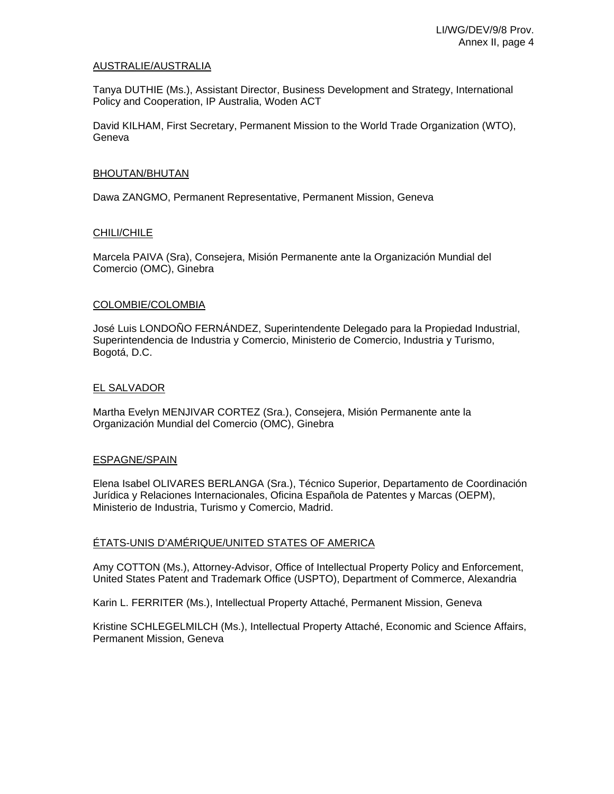#### AUSTRALIE/AUSTRALIA

Tanya DUTHIE (Ms.), Assistant Director, Business Development and Strategy, International Policy and Cooperation, IP Australia, Woden ACT

David KILHAM, First Secretary, Permanent Mission to the World Trade Organization (WTO), Geneva

#### BHOUTAN/BHUTAN

Dawa ZANGMO, Permanent Representative, Permanent Mission, Geneva

#### CHILI/CHILE

Marcela PAIVA (Sra), Consejera, Misión Permanente ante la Organización Mundial del Comercio (OMC), Ginebra

#### COLOMBIE/COLOMBIA

José Luis LONDOÑO FERNÁNDEZ, Superintendente Delegado para la Propiedad Industrial, Superintendencia de Industria y Comercio, Ministerio de Comercio, Industria y Turismo, Bogotá, D.C.

#### EL SALVADOR

Martha Evelyn MENJIVAR CORTEZ (Sra.), Consejera, Misión Permanente ante la Organización Mundial del Comercio (OMC), Ginebra

#### ESPAGNE/SPAIN

Elena Isabel OLIVARES BERLANGA (Sra.), Técnico Superior, Departamento de Coordinación Jurídica y Relaciones Internacionales, Oficina Española de Patentes y Marcas (OEPM), Ministerio de Industria, Turismo y Comercio, Madrid.

#### ÉTATS-UNIS D'AMÉRIQUE/UNITED STATES OF AMERICA

Amy COTTON (Ms.), Attorney-Advisor, Office of Intellectual Property Policy and Enforcement, United States Patent and Trademark Office (USPTO), Department of Commerce, Alexandria

Karin L. FERRITER (Ms.), Intellectual Property Attaché, Permanent Mission, Geneva

Kristine SCHLEGELMILCH (Ms.), Intellectual Property Attaché, Economic and Science Affairs, Permanent Mission, Geneva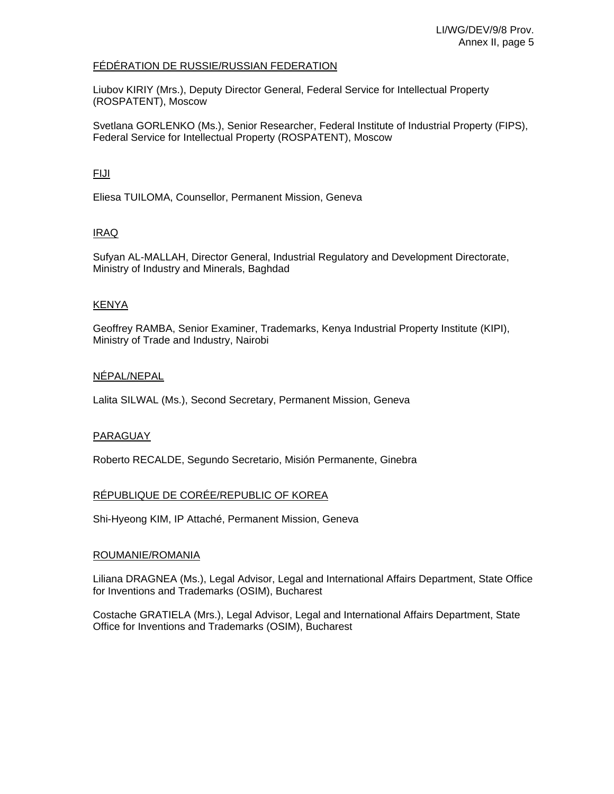#### FÉDÉRATION DE RUSSIE/RUSSIAN FEDERATION

Liubov KIRIY (Mrs.), Deputy Director General, Federal Service for Intellectual Property (ROSPATENT), Moscow

Svetlana GORLENKO (Ms.), Senior Researcher, Federal Institute of Industrial Property (FIPS), Federal Service for Intellectual Property (ROSPATENT), Moscow

## FIJI

Eliesa TUILOMA, Counsellor, Permanent Mission, Geneva

## IRAQ

Sufyan AL-MALLAH, Director General, Industrial Regulatory and Development Directorate, Ministry of Industry and Minerals, Baghdad

## KENYA

Geoffrey RAMBA, Senior Examiner, Trademarks, Kenya Industrial Property Institute (KIPI), Ministry of Trade and Industry, Nairobi

## NÉPAL/NEPAL

Lalita SILWAL (Ms.), Second Secretary, Permanent Mission, Geneva

## PARAGUAY

Roberto RECALDE, Segundo Secretario, Misión Permanente, Ginebra

## RÉPUBLIQUE DE CORÉE/REPUBLIC OF KOREA

Shi-Hyeong KIM, IP Attaché, Permanent Mission, Geneva

#### ROUMANIE/ROMANIA

Liliana DRAGNEA (Ms.), Legal Advisor, Legal and International Affairs Department, State Office for Inventions and Trademarks (OSIM), Bucharest

Costache GRATIELA (Mrs.), Legal Advisor, Legal and International Affairs Department, State Office for Inventions and Trademarks (OSIM), Bucharest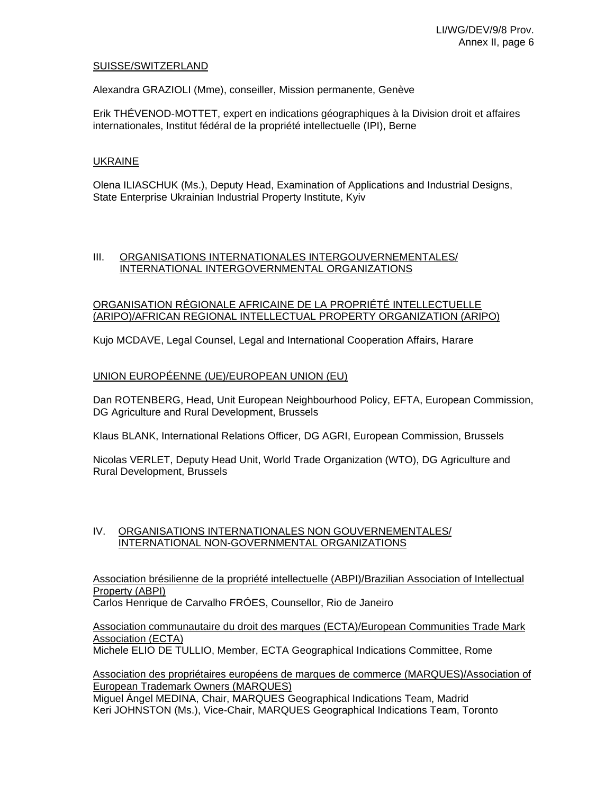#### SUISSE/SWITZERLAND

Alexandra GRAZIOLI (Mme), conseiller, Mission permanente, Genève

Erik THÉVENOD-MOTTET, expert en indications géographiques à la Division droit et affaires internationales, Institut fédéral de la propriété intellectuelle (IPI), Berne

## UKRAINE

Olena ILIASCHUK (Ms.), Deputy Head, Examination of Applications and Industrial Designs, State Enterprise Ukrainian Industrial Property Institute, Kyiv

## III. ORGANISATIONS INTERNATIONALES INTERGOUVERNEMENTALES/ INTERNATIONAL INTERGOVERNMENTAL ORGANIZATIONS

#### ORGANISATION RÉGIONALE AFRICAINE DE LA PROPRIÉTÉ INTELLECTUELLE (ARIPO)/AFRICAN REGIONAL INTELLECTUAL PROPERTY ORGANIZATION (ARIPO)

Kujo MCDAVE, Legal Counsel, Legal and International Cooperation Affairs, Harare

#### UNION EUROPÉENNE (UE)/EUROPEAN UNION (EU)

Dan ROTENBERG, Head, Unit European Neighbourhood Policy, EFTA, European Commission, DG Agriculture and Rural Development, Brussels

Klaus BLANK, International Relations Officer, DG AGRI, European Commission, Brussels

Nicolas VERLET, Deputy Head Unit, World Trade Organization (WTO), DG Agriculture and Rural Development, Brussels

#### IV. ORGANISATIONS INTERNATIONALES NON GOUVERNEMENTALES/ INTERNATIONAL NON-GOVERNMENTAL ORGANIZATIONS

Association brésilienne de la propriété intellectuelle (ABPI)/Brazilian Association of Intellectual Property (ABPI)

Carlos Henrique de Carvalho FRÓES, Counsellor, Rio de Janeiro

Association communautaire du droit des marques (ECTA)/European Communities Trade Mark Association (ECTA)

Michele ELIO DE TULLIO, Member, ECTA Geographical Indications Committee, Rome

#### Association des propriétaires européens de marques de commerce (MARQUES)/Association of European Trademark Owners (MARQUES)

Miguel Ángel MEDINA, Chair, MARQUES Geographical Indications Team, Madrid Keri JOHNSTON (Ms.), Vice-Chair, MARQUES Geographical Indications Team, Toronto